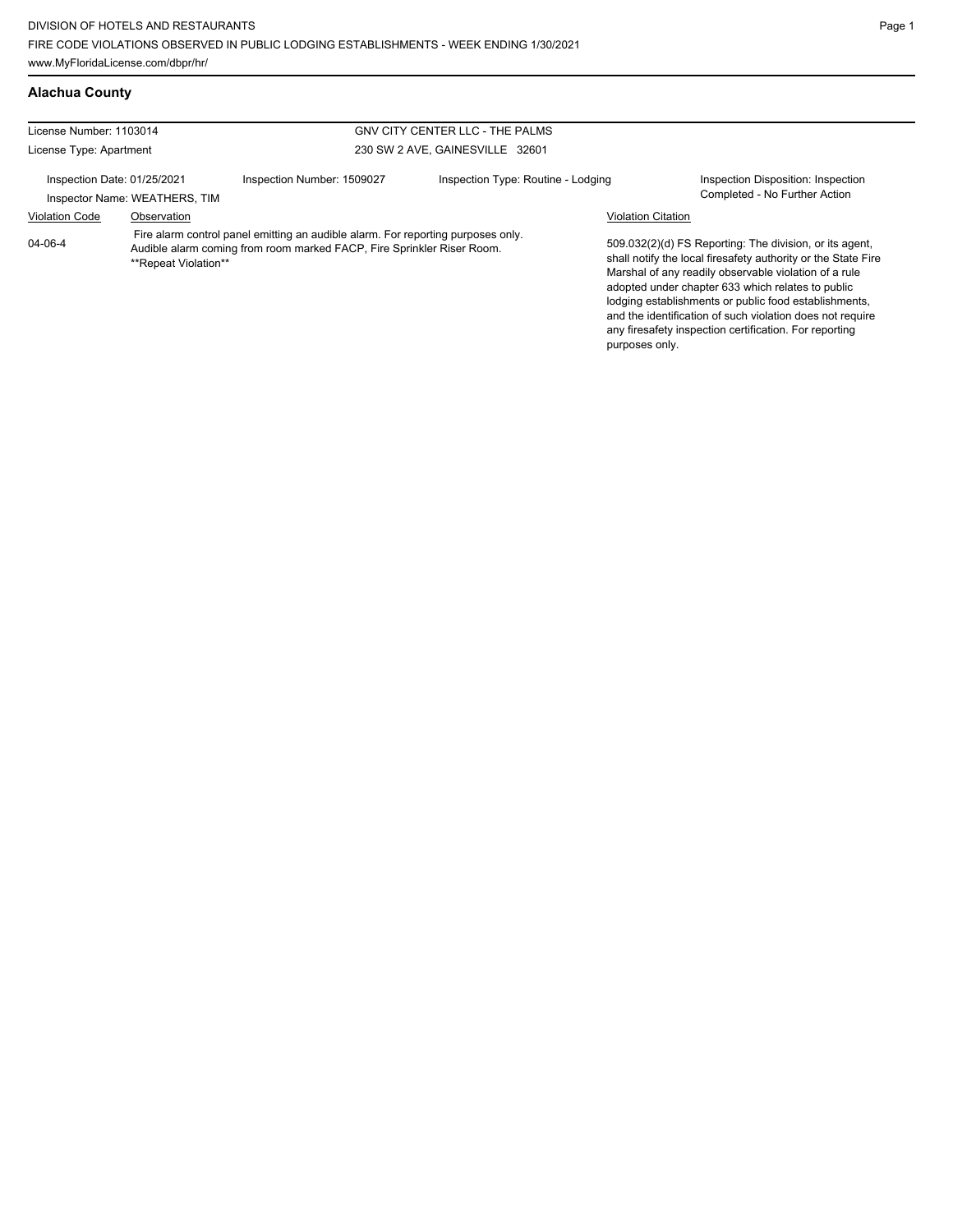# **Alachua County**

| License Number: 1103014                                      |                      |                                                                                                                                                            | GNV CITY CENTER LLC - THE PALMS    |                                                                                                                                                                                                                                                                                                                                                                                                                        |  |
|--------------------------------------------------------------|----------------------|------------------------------------------------------------------------------------------------------------------------------------------------------------|------------------------------------|------------------------------------------------------------------------------------------------------------------------------------------------------------------------------------------------------------------------------------------------------------------------------------------------------------------------------------------------------------------------------------------------------------------------|--|
| License Type: Apartment                                      |                      |                                                                                                                                                            | 230 SW 2 AVE, GAINESVILLE 32601    |                                                                                                                                                                                                                                                                                                                                                                                                                        |  |
| Inspection Date: 01/25/2021<br>Inspector Name: WEATHERS, TIM |                      | Inspection Number: 1509027                                                                                                                                 | Inspection Type: Routine - Lodging | Inspection Disposition: Inspection<br>Completed - No Further Action                                                                                                                                                                                                                                                                                                                                                    |  |
| <b>Violation Code</b>                                        | Observation          |                                                                                                                                                            |                                    | <b>Violation Citation</b>                                                                                                                                                                                                                                                                                                                                                                                              |  |
| 04-06-4                                                      | **Repeat Violation** | Fire alarm control panel emitting an audible alarm. For reporting purposes only.<br>Audible alarm coming from room marked FACP, Fire Sprinkler Riser Room. |                                    | 509.032(2)(d) FS Reporting: The division, or its agent,<br>shall notify the local firesafety authority or the State Fire<br>Marshal of any readily observable violation of a rule<br>adopted under chapter 633 which relates to public<br>lodging establishments or public food establishments,<br>and the identification of such violation does not require<br>any firesafety inspection certification. For reporting |  |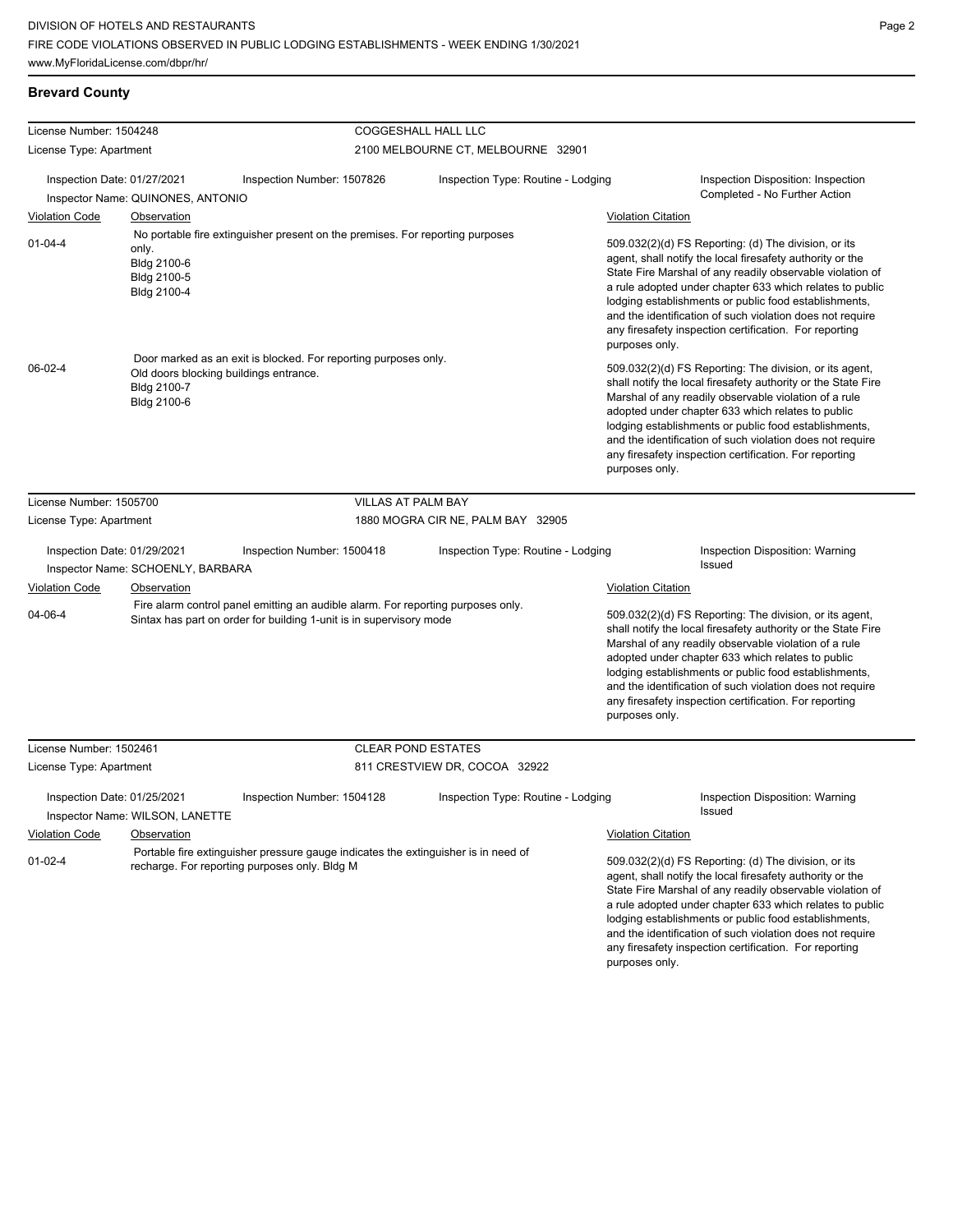# **Brevard County**

| License Number: 1504248                                        |                                                    |                                                                                                                                                         | COGGESHALL HALL LLC                |                                                                                                                                                                                                                                                                                                                                                                                                                                              |
|----------------------------------------------------------------|----------------------------------------------------|---------------------------------------------------------------------------------------------------------------------------------------------------------|------------------------------------|----------------------------------------------------------------------------------------------------------------------------------------------------------------------------------------------------------------------------------------------------------------------------------------------------------------------------------------------------------------------------------------------------------------------------------------------|
| License Type: Apartment                                        |                                                    | 2100 MELBOURNE CT, MELBOURNE 32901                                                                                                                      |                                    |                                                                                                                                                                                                                                                                                                                                                                                                                                              |
| Inspection Date: 01/27/2021                                    |                                                    | Inspection Type: Routine - Lodging<br>Inspection Number: 1507826                                                                                        |                                    | Inspection Disposition: Inspection<br>Completed - No Further Action                                                                                                                                                                                                                                                                                                                                                                          |
|                                                                | Inspector Name: QUINONES, ANTONIO                  |                                                                                                                                                         |                                    |                                                                                                                                                                                                                                                                                                                                                                                                                                              |
| <b>Violation Code</b>                                          | Observation                                        | No portable fire extinguisher present on the premises. For reporting purposes                                                                           |                                    | <b>Violation Citation</b>                                                                                                                                                                                                                                                                                                                                                                                                                    |
| $01 - 04 - 4$                                                  | only.<br>Bldg 2100-6<br>Bldg 2100-5<br>Bldg 2100-4 |                                                                                                                                                         |                                    | 509.032(2)(d) FS Reporting: (d) The division, or its<br>agent, shall notify the local firesafety authority or the<br>State Fire Marshal of any readily observable violation of<br>a rule adopted under chapter 633 which relates to public<br>lodging establishments or public food establishments,<br>and the identification of such violation does not require<br>any firesafety inspection certification. For reporting<br>purposes only. |
| 06-02-4                                                        | Bldg 2100-7<br>Bldg 2100-6                         | Door marked as an exit is blocked. For reporting purposes only.<br>Old doors blocking buildings entrance.                                               |                                    | 509.032(2)(d) FS Reporting: The division, or its agent,<br>shall notify the local firesafety authority or the State Fire<br>Marshal of any readily observable violation of a rule<br>adopted under chapter 633 which relates to public<br>lodging establishments or public food establishments,<br>and the identification of such violation does not require<br>any firesafety inspection certification. For reporting<br>purposes only.     |
| License Number: 1505700                                        |                                                    |                                                                                                                                                         | <b>VILLAS AT PALM BAY</b>          |                                                                                                                                                                                                                                                                                                                                                                                                                                              |
| License Type: Apartment                                        |                                                    |                                                                                                                                                         | 1880 MOGRA CIR NE, PALM BAY 32905  |                                                                                                                                                                                                                                                                                                                                                                                                                                              |
| Inspection Date: 01/29/2021                                    |                                                    | Inspection Number: 1500418                                                                                                                              | Inspection Type: Routine - Lodging | Inspection Disposition: Warning                                                                                                                                                                                                                                                                                                                                                                                                              |
|                                                                | Inspector Name: SCHOENLY, BARBARA                  |                                                                                                                                                         |                                    | Issued                                                                                                                                                                                                                                                                                                                                                                                                                                       |
| <b>Violation Code</b>                                          | <b>Observation</b>                                 |                                                                                                                                                         |                                    | <b>Violation Citation</b>                                                                                                                                                                                                                                                                                                                                                                                                                    |
| 04-06-4                                                        |                                                    | Fire alarm control panel emitting an audible alarm. For reporting purposes only.<br>Sintax has part on order for building 1-unit is in supervisory mode |                                    | 509.032(2)(d) FS Reporting: The division, or its agent,<br>shall notify the local firesafety authority or the State Fire<br>Marshal of any readily observable violation of a rule<br>adopted under chapter 633 which relates to public<br>lodging establishments or public food establishments,<br>and the identification of such violation does not require<br>any firesafety inspection certification. For reporting<br>purposes only.     |
| License Number: 1502461                                        |                                                    |                                                                                                                                                         | <b>CLEAR POND ESTATES</b>          |                                                                                                                                                                                                                                                                                                                                                                                                                                              |
| License Type: Apartment                                        |                                                    |                                                                                                                                                         | 811 CRESTVIEW DR, COCOA 32922      |                                                                                                                                                                                                                                                                                                                                                                                                                                              |
| Inspection Date: 01/25/2021<br>Inspector Name: WILSON, LANETTE |                                                    | Inspection Number: 1504128                                                                                                                              | Inspection Type: Routine - Lodging | Inspection Disposition: Warning<br>Issued<br><b>Violation Citation</b>                                                                                                                                                                                                                                                                                                                                                                       |
| <b>Violation Code</b><br>01-02-4                               | Observation                                        | Portable fire extinguisher pressure gauge indicates the extinguisher is in need of<br>recharge. For reporting purposes only. Bldg M                     |                                    | 509.032(2)(d) FS Reporting: (d) The division, or its<br>agent, shall notify the local firesafety authority or the<br>State Fire Marshal of any readily observable violation of<br>a rule adopted under chapter 633 which relates to public<br>lodging establishments or public food establishments,<br>and the identification of such violation does not require<br>any firesafety inspection certification. For reporting<br>purposes only. |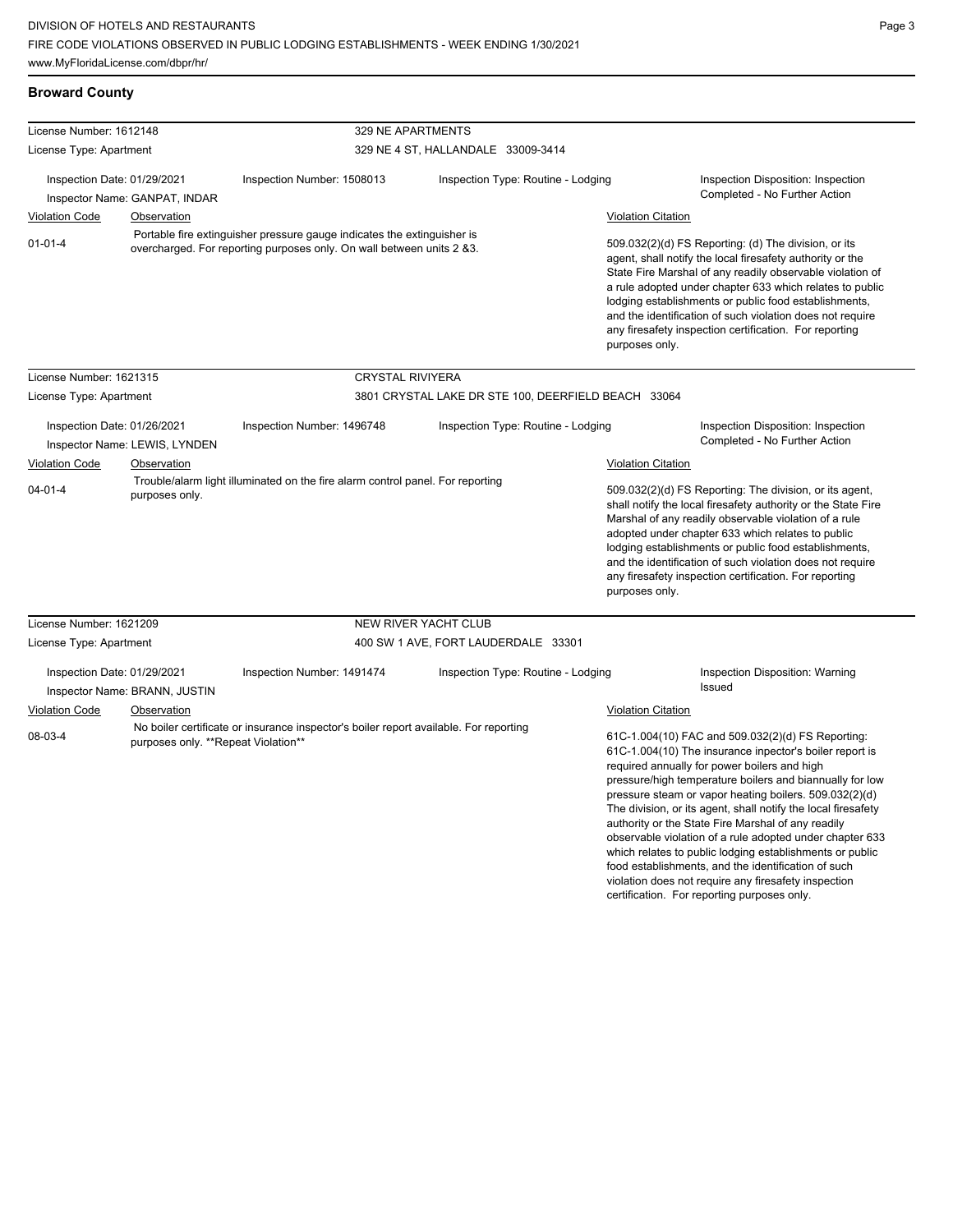violation does not require any firesafety inspection certification. For reporting purposes only.

| <b>Broward County</b>                                                                                |                                     |                                                                                                                                                  |                                                     |                                                                                                                                                                                                                                                                                                                                                                                                                                              |                                                                                                                                                                                                                                                                                                                                                                                                                                                                                                                                                                                          |
|------------------------------------------------------------------------------------------------------|-------------------------------------|--------------------------------------------------------------------------------------------------------------------------------------------------|-----------------------------------------------------|----------------------------------------------------------------------------------------------------------------------------------------------------------------------------------------------------------------------------------------------------------------------------------------------------------------------------------------------------------------------------------------------------------------------------------------------|------------------------------------------------------------------------------------------------------------------------------------------------------------------------------------------------------------------------------------------------------------------------------------------------------------------------------------------------------------------------------------------------------------------------------------------------------------------------------------------------------------------------------------------------------------------------------------------|
| License Number: 1612148                                                                              |                                     | 329 NE APARTMENTS                                                                                                                                |                                                     |                                                                                                                                                                                                                                                                                                                                                                                                                                              |                                                                                                                                                                                                                                                                                                                                                                                                                                                                                                                                                                                          |
| License Type: Apartment                                                                              |                                     |                                                                                                                                                  | 329 NE 4 ST, HALLANDALE 33009-3414                  |                                                                                                                                                                                                                                                                                                                                                                                                                                              |                                                                                                                                                                                                                                                                                                                                                                                                                                                                                                                                                                                          |
| Inspection Date: 01/29/2021<br>Inspector Name: GANPAT, INDAR<br><b>Violation Code</b><br>Observation |                                     | Inspection Number: 1508013                                                                                                                       | Inspection Type: Routine - Lodging                  |                                                                                                                                                                                                                                                                                                                                                                                                                                              | Inspection Disposition: Inspection<br>Completed - No Further Action                                                                                                                                                                                                                                                                                                                                                                                                                                                                                                                      |
|                                                                                                      |                                     |                                                                                                                                                  |                                                     | <b>Violation Citation</b>                                                                                                                                                                                                                                                                                                                                                                                                                    |                                                                                                                                                                                                                                                                                                                                                                                                                                                                                                                                                                                          |
| $01 - 01 - 4$                                                                                        |                                     | Portable fire extinguisher pressure gauge indicates the extinguisher is<br>overcharged. For reporting purposes only. On wall between units 2 &3. |                                                     | 509.032(2)(d) FS Reporting: (d) The division, or its<br>agent, shall notify the local firesafety authority or the<br>State Fire Marshal of any readily observable violation of<br>a rule adopted under chapter 633 which relates to public<br>lodging establishments or public food establishments,<br>and the identification of such violation does not require<br>any firesafety inspection certification. For reporting<br>purposes only. |                                                                                                                                                                                                                                                                                                                                                                                                                                                                                                                                                                                          |
| License Number: 1621315                                                                              |                                     | <b>CRYSTAL RIVIYERA</b>                                                                                                                          |                                                     |                                                                                                                                                                                                                                                                                                                                                                                                                                              |                                                                                                                                                                                                                                                                                                                                                                                                                                                                                                                                                                                          |
| License Type: Apartment                                                                              |                                     |                                                                                                                                                  | 3801 CRYSTAL LAKE DR STE 100, DEERFIELD BEACH 33064 |                                                                                                                                                                                                                                                                                                                                                                                                                                              |                                                                                                                                                                                                                                                                                                                                                                                                                                                                                                                                                                                          |
| Inspection Date: 01/26/2021                                                                          | Inspector Name: LEWIS, LYNDEN       | Inspection Number: 1496748                                                                                                                       | Inspection Type: Routine - Lodging                  |                                                                                                                                                                                                                                                                                                                                                                                                                                              | Inspection Disposition: Inspection<br>Completed - No Further Action                                                                                                                                                                                                                                                                                                                                                                                                                                                                                                                      |
| Violation Code                                                                                       | Observation                         |                                                                                                                                                  |                                                     | Violation Citation                                                                                                                                                                                                                                                                                                                                                                                                                           |                                                                                                                                                                                                                                                                                                                                                                                                                                                                                                                                                                                          |
| $04 - 01 - 4$                                                                                        | purposes only.                      | Trouble/alarm light illuminated on the fire alarm control panel. For reporting                                                                   |                                                     | purposes only.                                                                                                                                                                                                                                                                                                                                                                                                                               | 509.032(2)(d) FS Reporting: The division, or its agent,<br>shall notify the local firesafety authority or the State Fire<br>Marshal of any readily observable violation of a rule<br>adopted under chapter 633 which relates to public<br>lodging establishments or public food establishments,<br>and the identification of such violation does not require<br>any firesafety inspection certification. For reporting                                                                                                                                                                   |
| License Number: 1621209                                                                              |                                     |                                                                                                                                                  | <b>NEW RIVER YACHT CLUB</b>                         |                                                                                                                                                                                                                                                                                                                                                                                                                                              |                                                                                                                                                                                                                                                                                                                                                                                                                                                                                                                                                                                          |
| License Type: Apartment                                                                              |                                     |                                                                                                                                                  | 400 SW 1 AVE, FORT LAUDERDALE 33301                 |                                                                                                                                                                                                                                                                                                                                                                                                                                              |                                                                                                                                                                                                                                                                                                                                                                                                                                                                                                                                                                                          |
| Inspection Date: 01/29/2021                                                                          | Inspector Name: BRANN, JUSTIN       | Inspection Number: 1491474                                                                                                                       | Inspection Type: Routine - Lodging                  |                                                                                                                                                                                                                                                                                                                                                                                                                                              | Inspection Disposition: Warning<br>Issued                                                                                                                                                                                                                                                                                                                                                                                                                                                                                                                                                |
| Violation Code                                                                                       | Observation                         |                                                                                                                                                  |                                                     | <b>Violation Citation</b>                                                                                                                                                                                                                                                                                                                                                                                                                    |                                                                                                                                                                                                                                                                                                                                                                                                                                                                                                                                                                                          |
| 08-03-4                                                                                              | purposes only. **Repeat Violation** | No boiler certificate or insurance inspector's boiler report available. For reporting                                                            |                                                     |                                                                                                                                                                                                                                                                                                                                                                                                                                              | 61C-1.004(10) FAC and 509.032(2)(d) FS Reporting:<br>61C-1.004(10) The insurance inpector's boiler report is<br>required annually for power boilers and high<br>pressure/high temperature boilers and biannually for low<br>pressure steam or vapor heating boilers. 509.032(2)(d)<br>The division, or its agent, shall notify the local firesafety<br>authority or the State Fire Marshal of any readily<br>observable violation of a rule adopted under chapter 633<br>which relates to public lodging establishments or public<br>food establishments, and the identification of such |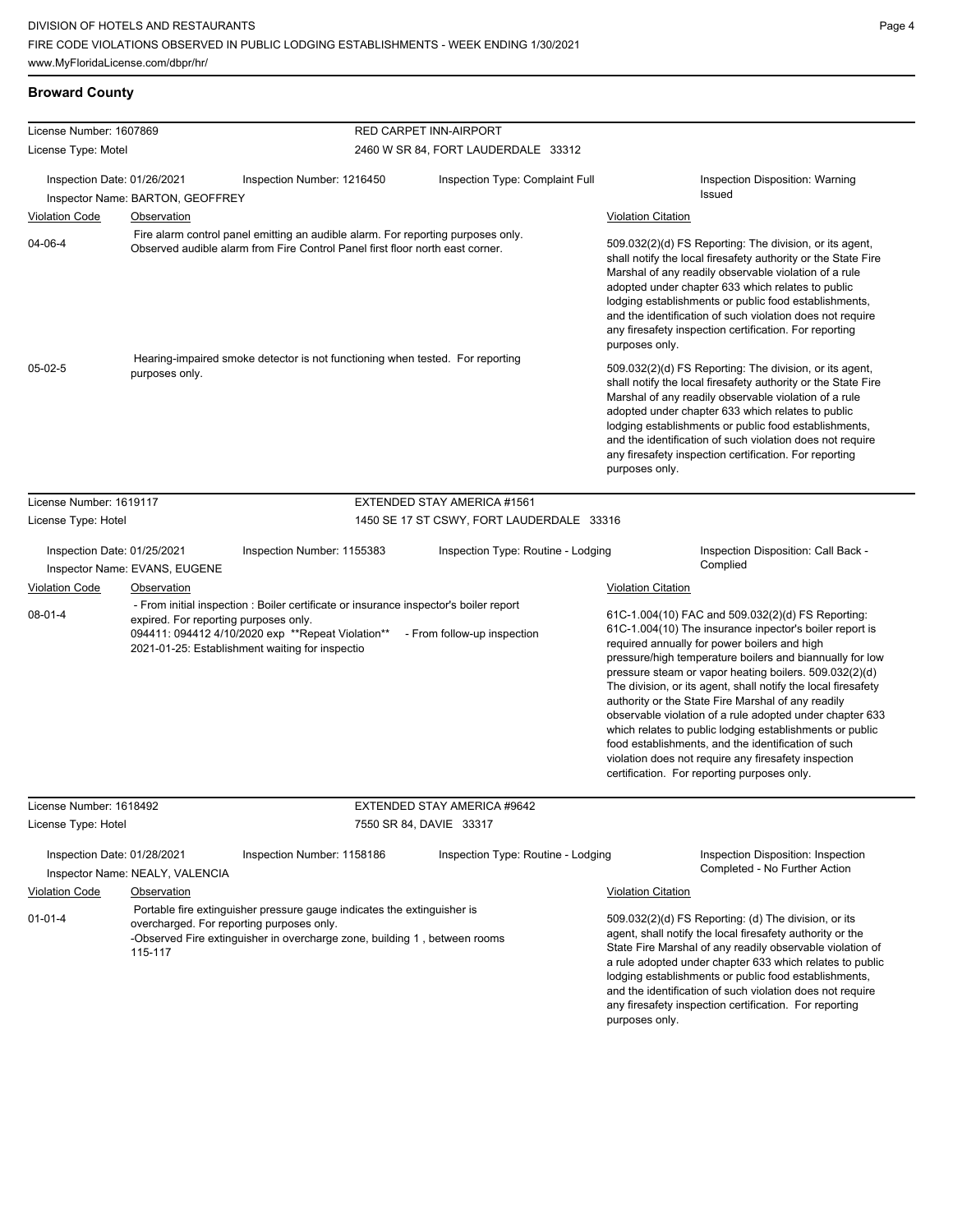# **Broward County**

| License Number: 1607869                                                                                                                                                                                                       |                                                                                                                                                                   |                                                                                                                                                                                                | RED CARPET INN-AIRPORT                                                                                                                                                                                                                                                                                                                                                                                                                   |                                                                                                                                                                                                                                                                                                                                                                                                                                                                                                                                                                                                                                                                                                 |
|-------------------------------------------------------------------------------------------------------------------------------------------------------------------------------------------------------------------------------|-------------------------------------------------------------------------------------------------------------------------------------------------------------------|------------------------------------------------------------------------------------------------------------------------------------------------------------------------------------------------|------------------------------------------------------------------------------------------------------------------------------------------------------------------------------------------------------------------------------------------------------------------------------------------------------------------------------------------------------------------------------------------------------------------------------------------|-------------------------------------------------------------------------------------------------------------------------------------------------------------------------------------------------------------------------------------------------------------------------------------------------------------------------------------------------------------------------------------------------------------------------------------------------------------------------------------------------------------------------------------------------------------------------------------------------------------------------------------------------------------------------------------------------|
| License Type: Motel                                                                                                                                                                                                           |                                                                                                                                                                   |                                                                                                                                                                                                | 2460 W SR 84, FORT LAUDERDALE 33312                                                                                                                                                                                                                                                                                                                                                                                                      |                                                                                                                                                                                                                                                                                                                                                                                                                                                                                                                                                                                                                                                                                                 |
| Inspection Date: 01/26/2021                                                                                                                                                                                                   | Inspector Name: BARTON, GEOFFREY                                                                                                                                  | Inspection Number: 1216450                                                                                                                                                                     | Inspection Type: Complaint Full                                                                                                                                                                                                                                                                                                                                                                                                          | Inspection Disposition: Warning<br>Issued                                                                                                                                                                                                                                                                                                                                                                                                                                                                                                                                                                                                                                                       |
| <b>Violation Code</b>                                                                                                                                                                                                         | Observation                                                                                                                                                       |                                                                                                                                                                                                |                                                                                                                                                                                                                                                                                                                                                                                                                                          | <b>Violation Citation</b>                                                                                                                                                                                                                                                                                                                                                                                                                                                                                                                                                                                                                                                                       |
| 04-06-4                                                                                                                                                                                                                       | Fire alarm control panel emitting an audible alarm. For reporting purposes only.<br>Observed audible alarm from Fire Control Panel first floor north east corner. |                                                                                                                                                                                                |                                                                                                                                                                                                                                                                                                                                                                                                                                          | 509.032(2)(d) FS Reporting: The division, or its agent,<br>shall notify the local firesafety authority or the State Fire<br>Marshal of any readily observable violation of a rule<br>adopted under chapter 633 which relates to public<br>lodging establishments or public food establishments,<br>and the identification of such violation does not require<br>any firesafety inspection certification. For reporting<br>purposes only.                                                                                                                                                                                                                                                        |
| Hearing-impaired smoke detector is not functioning when tested. For reporting<br>$05-02-5$<br>purposes only.                                                                                                                  |                                                                                                                                                                   |                                                                                                                                                                                                | 509.032(2)(d) FS Reporting: The division, or its agent,<br>shall notify the local firesafety authority or the State Fire<br>Marshal of any readily observable violation of a rule<br>adopted under chapter 633 which relates to public<br>lodging establishments or public food establishments,<br>and the identification of such violation does not require<br>any firesafety inspection certification. For reporting<br>purposes only. |                                                                                                                                                                                                                                                                                                                                                                                                                                                                                                                                                                                                                                                                                                 |
| License Number: 1619117                                                                                                                                                                                                       |                                                                                                                                                                   |                                                                                                                                                                                                | EXTENDED STAY AMERICA #1561                                                                                                                                                                                                                                                                                                                                                                                                              |                                                                                                                                                                                                                                                                                                                                                                                                                                                                                                                                                                                                                                                                                                 |
| License Type: Hotel                                                                                                                                                                                                           |                                                                                                                                                                   |                                                                                                                                                                                                | 1450 SE 17 ST CSWY, FORT LAUDERDALE 33316                                                                                                                                                                                                                                                                                                                                                                                                |                                                                                                                                                                                                                                                                                                                                                                                                                                                                                                                                                                                                                                                                                                 |
| Inspection Date: 01/25/2021                                                                                                                                                                                                   | Inspector Name: EVANS, EUGENE                                                                                                                                     | Inspection Number: 1155383                                                                                                                                                                     | Inspection Type: Routine - Lodging                                                                                                                                                                                                                                                                                                                                                                                                       | Inspection Disposition: Call Back -<br>Complied                                                                                                                                                                                                                                                                                                                                                                                                                                                                                                                                                                                                                                                 |
| <b>Violation Code</b>                                                                                                                                                                                                         | Observation                                                                                                                                                       |                                                                                                                                                                                                |                                                                                                                                                                                                                                                                                                                                                                                                                                          | <b>Violation Citation</b>                                                                                                                                                                                                                                                                                                                                                                                                                                                                                                                                                                                                                                                                       |
| $08 - 01 - 4$                                                                                                                                                                                                                 | expired. For reporting purposes only.                                                                                                                             | - From initial inspection : Boiler certificate or insurance inspector's boiler report<br>094411: 094412 4/10/2020 exp ** Repeat Violation**<br>2021-01-25: Establishment waiting for inspectio | - From follow-up inspection                                                                                                                                                                                                                                                                                                                                                                                                              | 61C-1.004(10) FAC and 509.032(2)(d) FS Reporting:<br>61C-1.004(10) The insurance inpector's boiler report is<br>required annually for power boilers and high<br>pressure/high temperature boilers and biannually for low<br>pressure steam or vapor heating boilers. 509.032(2)(d)<br>The division, or its agent, shall notify the local firesafety<br>authority or the State Fire Marshal of any readily<br>observable violation of a rule adopted under chapter 633<br>which relates to public lodging establishments or public<br>food establishments, and the identification of such<br>violation does not require any firesafety inspection<br>certification. For reporting purposes only. |
| License Number: 1618492                                                                                                                                                                                                       |                                                                                                                                                                   |                                                                                                                                                                                                | EXTENDED STAY AMERICA #9642                                                                                                                                                                                                                                                                                                                                                                                                              |                                                                                                                                                                                                                                                                                                                                                                                                                                                                                                                                                                                                                                                                                                 |
| License Type: Hotel                                                                                                                                                                                                           |                                                                                                                                                                   |                                                                                                                                                                                                | 7550 SR 84, DAVIE 33317                                                                                                                                                                                                                                                                                                                                                                                                                  |                                                                                                                                                                                                                                                                                                                                                                                                                                                                                                                                                                                                                                                                                                 |
| Inspection Date: 01/28/2021                                                                                                                                                                                                   | Inspector Name: NEALY, VALENCIA                                                                                                                                   | Inspection Number: 1158186                                                                                                                                                                     | Inspection Type: Routine - Lodging                                                                                                                                                                                                                                                                                                                                                                                                       | Inspection Disposition: Inspection<br>Completed - No Further Action                                                                                                                                                                                                                                                                                                                                                                                                                                                                                                                                                                                                                             |
| <b>Violation Code</b>                                                                                                                                                                                                         | Observation                                                                                                                                                       |                                                                                                                                                                                                |                                                                                                                                                                                                                                                                                                                                                                                                                                          | <b>Violation Citation</b>                                                                                                                                                                                                                                                                                                                                                                                                                                                                                                                                                                                                                                                                       |
| Portable fire extinguisher pressure gauge indicates the extinguisher is<br>$01 - 01 - 4$<br>overcharged. For reporting purposes only.<br>-Observed Fire extinguisher in overcharge zone, building 1, between rooms<br>115-117 |                                                                                                                                                                   |                                                                                                                                                                                                | 509.032(2)(d) FS Reporting: (d) The division, or its<br>agent, shall notify the local firesafety authority or the<br>State Fire Marshal of any readily observable violation of<br>a rule adopted under chapter 633 which relates to public<br>lodging establishments or public food establishments,<br>and the identification of such violation does not require                                                                         |                                                                                                                                                                                                                                                                                                                                                                                                                                                                                                                                                                                                                                                                                                 |

any firesafety inspection certification. For reporting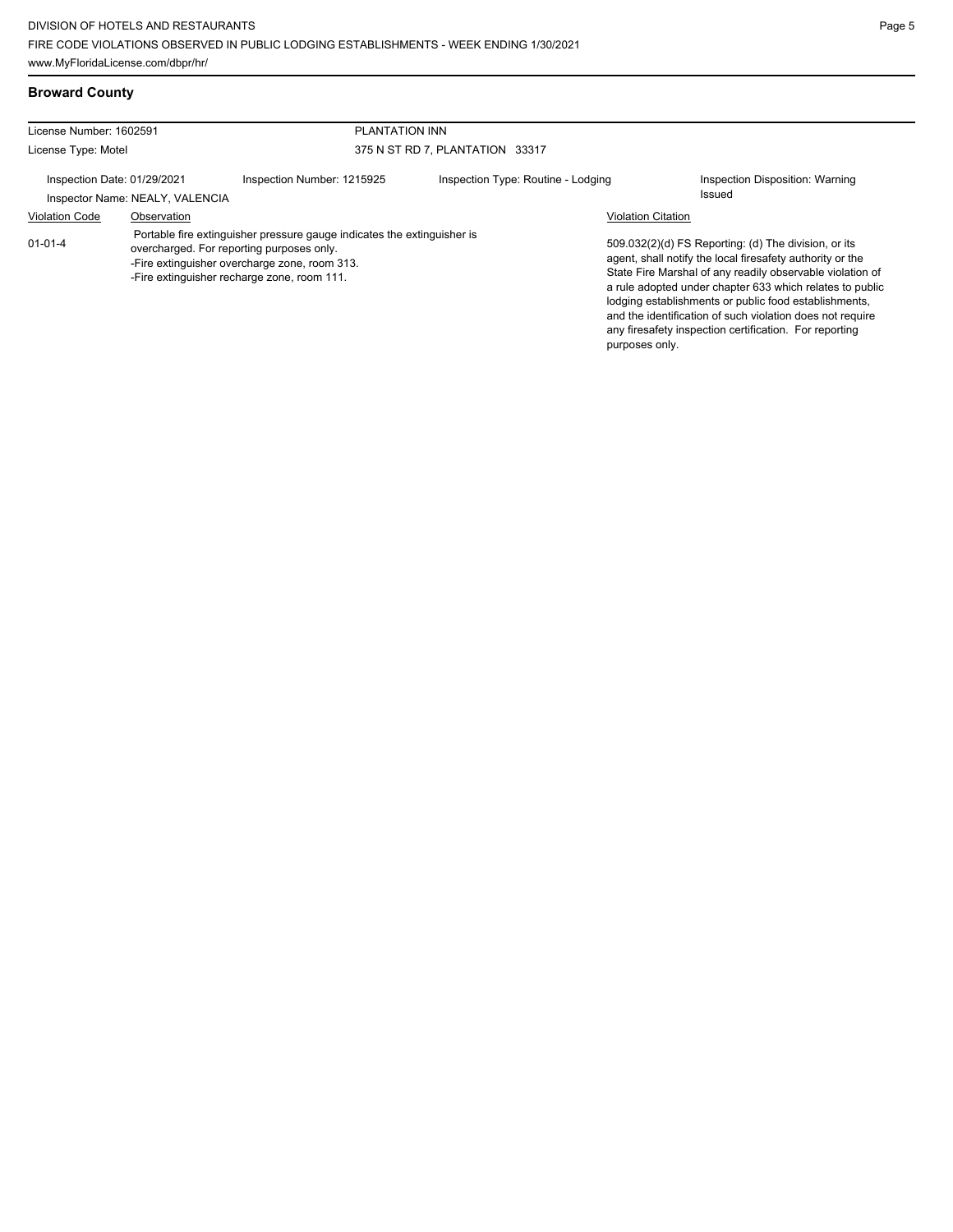# **Broward County**

| License Number: 1602591<br>License Type: Motel                                                                                                                                                                                                                                |  | <b>PLANTATION INN</b>           |                                    |                                                                                                                                                                                                                                                                                                       |                                           |
|-------------------------------------------------------------------------------------------------------------------------------------------------------------------------------------------------------------------------------------------------------------------------------|--|---------------------------------|------------------------------------|-------------------------------------------------------------------------------------------------------------------------------------------------------------------------------------------------------------------------------------------------------------------------------------------------------|-------------------------------------------|
|                                                                                                                                                                                                                                                                               |  | 375 N ST RD 7, PLANTATION 33317 |                                    |                                                                                                                                                                                                                                                                                                       |                                           |
| Inspection Date: 01/29/2021<br>Inspector Name: NEALY, VALENCIA                                                                                                                                                                                                                |  | Inspection Number: 1215925      | Inspection Type: Routine - Lodging |                                                                                                                                                                                                                                                                                                       | Inspection Disposition: Warning<br>Issued |
| <b>Violation Code</b><br>Observation<br>Portable fire extinguisher pressure gauge indicates the extinguisher is<br>$01 - 01 - 4$<br>overcharged. For reporting purposes only.<br>-Fire extinguisher overcharge zone, room 313.<br>-Fire extinguisher recharge zone, room 111. |  |                                 | <b>Violation Citation</b>          | 509.032(2)(d) FS Reporting: (d) The division, or its<br>agent, shall notify the local firesafety authority or the                                                                                                                                                                                     |                                           |
|                                                                                                                                                                                                                                                                               |  |                                 | purposes only.                     | State Fire Marshal of any readily observable violation of<br>a rule adopted under chapter 633 which relates to public<br>lodging establishments or public food establishments.<br>and the identification of such violation does not require<br>any firesafety inspection certification. For reporting |                                           |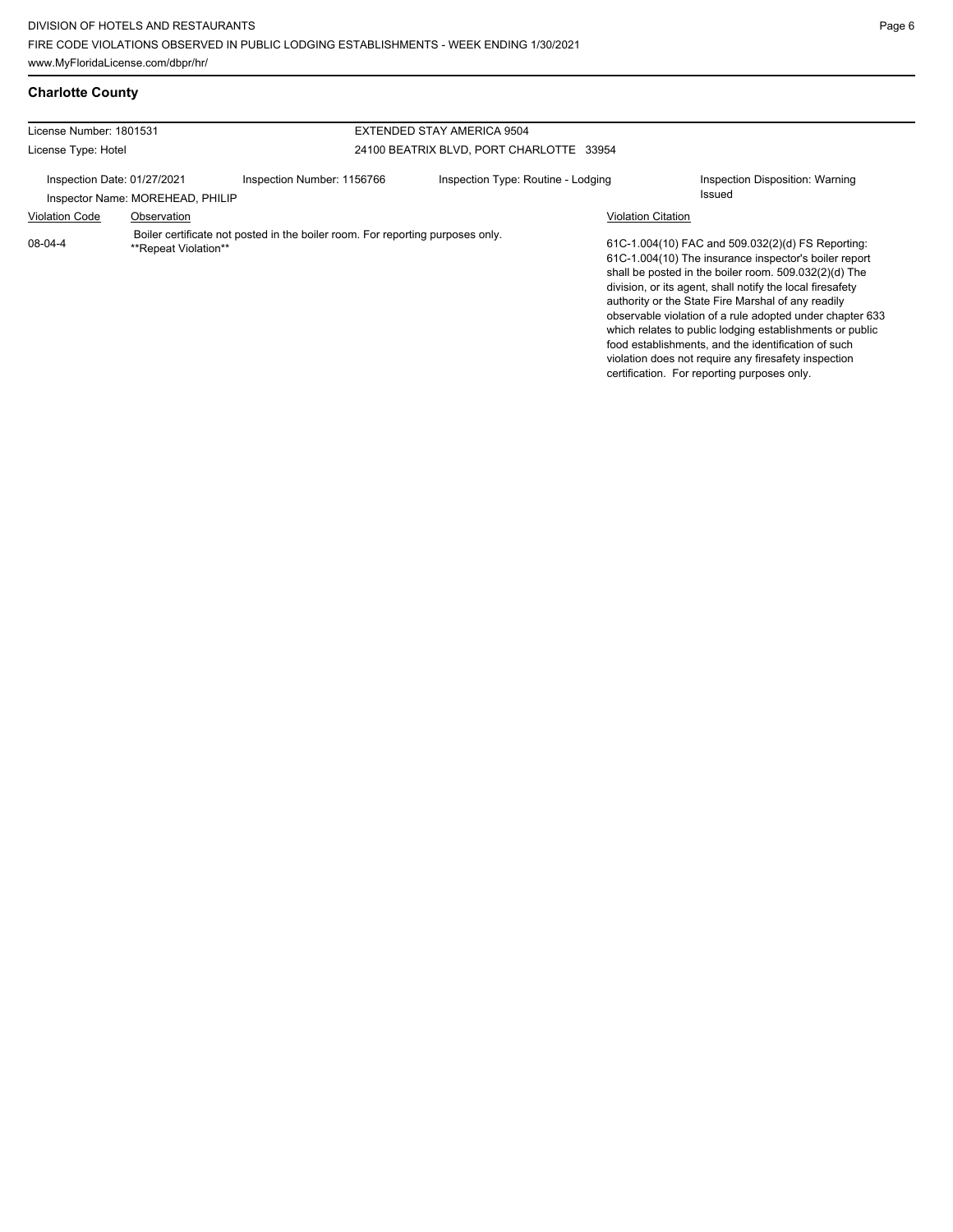# **Charlotte County**

| License Number: 1801531                                         |                      |                                                                                | EXTENDED STAY AMERICA 9504               |                           |                                                                                                                                                                                                                                                                                                                                                                                                                                                                                                                                                                              |
|-----------------------------------------------------------------|----------------------|--------------------------------------------------------------------------------|------------------------------------------|---------------------------|------------------------------------------------------------------------------------------------------------------------------------------------------------------------------------------------------------------------------------------------------------------------------------------------------------------------------------------------------------------------------------------------------------------------------------------------------------------------------------------------------------------------------------------------------------------------------|
| License Type: Hotel                                             |                      |                                                                                | 24100 BEATRIX BLVD, PORT CHARLOTTE 33954 |                           |                                                                                                                                                                                                                                                                                                                                                                                                                                                                                                                                                                              |
| Inspection Date: 01/27/2021<br>Inspector Name: MOREHEAD, PHILIP |                      | Inspection Number: 1156766                                                     | Inspection Type: Routine - Lodging       |                           | Inspection Disposition: Warning<br>Issued                                                                                                                                                                                                                                                                                                                                                                                                                                                                                                                                    |
| <b>Violation Code</b>                                           | Observation          |                                                                                |                                          | <b>Violation Citation</b> |                                                                                                                                                                                                                                                                                                                                                                                                                                                                                                                                                                              |
| $08-04-4$                                                       | **Repeat Violation** | Boiler certificate not posted in the boiler room. For reporting purposes only. |                                          |                           | 61C-1.004(10) FAC and 509.032(2)(d) FS Reporting:<br>61C-1.004(10) The insurance inspector's boiler report<br>shall be posted in the boiler room. 509.032(2)(d) The<br>division, or its agent, shall notify the local firesafety<br>authority or the State Fire Marshal of any readily<br>observable violation of a rule adopted under chapter 633<br>which relates to public lodging establishments or public<br>food establishments, and the identification of such<br>violation does not require any firesafety inspection<br>certification. For reporting purposes only. |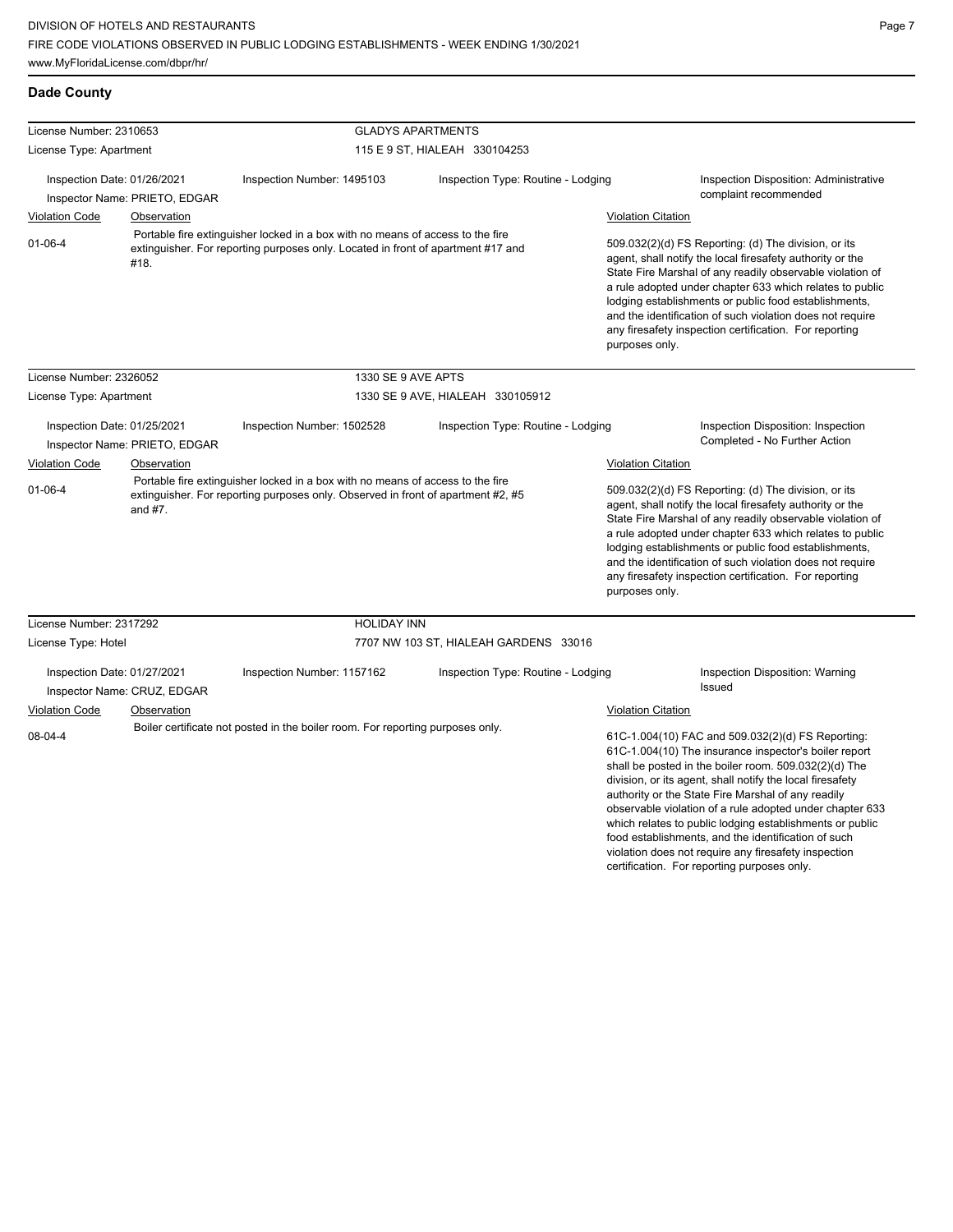| License Number: 2310653                                      |                               | <b>GLADYS APARTMENTS</b>                                                                                                                                                             |                                       |                                                                                                                                                                                                                                                                                                                                                                                                                            |                                                                                                                                                                                                                                                                                                                                                                                                                                                                                                                               |
|--------------------------------------------------------------|-------------------------------|--------------------------------------------------------------------------------------------------------------------------------------------------------------------------------------|---------------------------------------|----------------------------------------------------------------------------------------------------------------------------------------------------------------------------------------------------------------------------------------------------------------------------------------------------------------------------------------------------------------------------------------------------------------------------|-------------------------------------------------------------------------------------------------------------------------------------------------------------------------------------------------------------------------------------------------------------------------------------------------------------------------------------------------------------------------------------------------------------------------------------------------------------------------------------------------------------------------------|
| License Type: Apartment                                      |                               |                                                                                                                                                                                      | 115 E 9 ST, HIALEAH 330104253         |                                                                                                                                                                                                                                                                                                                                                                                                                            |                                                                                                                                                                                                                                                                                                                                                                                                                                                                                                                               |
| Inspection Date: 01/26/2021<br>Inspector Name: PRIETO, EDGAR |                               | Inspection Number: 1495103                                                                                                                                                           | Inspection Type: Routine - Lodging    |                                                                                                                                                                                                                                                                                                                                                                                                                            | Inspection Disposition: Administrative<br>complaint recommended                                                                                                                                                                                                                                                                                                                                                                                                                                                               |
| <b>Violation Code</b>                                        | Observation                   |                                                                                                                                                                                      |                                       | <b>Violation Citation</b>                                                                                                                                                                                                                                                                                                                                                                                                  |                                                                                                                                                                                                                                                                                                                                                                                                                                                                                                                               |
| $01 - 06 - 4$                                                | #18.                          | Portable fire extinguisher locked in a box with no means of access to the fire<br>extinguisher. For reporting purposes only. Located in front of apartment #17 and<br>purposes only. |                                       | 509.032(2)(d) FS Reporting: (d) The division, or its<br>agent, shall notify the local firesafety authority or the<br>State Fire Marshal of any readily observable violation of<br>a rule adopted under chapter 633 which relates to public<br>lodging establishments or public food establishments,<br>and the identification of such violation does not require<br>any firesafety inspection certification. For reporting |                                                                                                                                                                                                                                                                                                                                                                                                                                                                                                                               |
| License Number: 2326052                                      |                               | 1330 SE 9 AVE APTS                                                                                                                                                                   |                                       |                                                                                                                                                                                                                                                                                                                                                                                                                            |                                                                                                                                                                                                                                                                                                                                                                                                                                                                                                                               |
| License Type: Apartment                                      |                               |                                                                                                                                                                                      | 1330 SE 9 AVE, HIALEAH 330105912      |                                                                                                                                                                                                                                                                                                                                                                                                                            |                                                                                                                                                                                                                                                                                                                                                                                                                                                                                                                               |
| Inspection Date: 01/25/2021                                  | Inspector Name: PRIETO, EDGAR | Inspection Number: 1502528                                                                                                                                                           | Inspection Type: Routine - Lodging    |                                                                                                                                                                                                                                                                                                                                                                                                                            | Inspection Disposition: Inspection<br>Completed - No Further Action                                                                                                                                                                                                                                                                                                                                                                                                                                                           |
| <b>Violation Code</b>                                        | Observation                   |                                                                                                                                                                                      |                                       | <b>Violation Citation</b>                                                                                                                                                                                                                                                                                                                                                                                                  |                                                                                                                                                                                                                                                                                                                                                                                                                                                                                                                               |
| $01 - 06 - 4$                                                | and $#7$ .                    | Portable fire extinguisher locked in a box with no means of access to the fire<br>extinguisher. For reporting purposes only. Observed in front of apartment #2, #5                   |                                       | purposes only.                                                                                                                                                                                                                                                                                                                                                                                                             | 509.032(2)(d) FS Reporting: (d) The division, or its<br>agent, shall notify the local firesafety authority or the<br>State Fire Marshal of any readily observable violation of<br>a rule adopted under chapter 633 which relates to public<br>lodging establishments or public food establishments,<br>and the identification of such violation does not require<br>any firesafety inspection certification. For reporting                                                                                                    |
| License Number: 2317292                                      |                               | <b>HOLIDAY INN</b>                                                                                                                                                                   |                                       |                                                                                                                                                                                                                                                                                                                                                                                                                            |                                                                                                                                                                                                                                                                                                                                                                                                                                                                                                                               |
| License Type: Hotel                                          |                               |                                                                                                                                                                                      | 7707 NW 103 ST, HIALEAH GARDENS 33016 |                                                                                                                                                                                                                                                                                                                                                                                                                            |                                                                                                                                                                                                                                                                                                                                                                                                                                                                                                                               |
| Inspection Date: 01/27/2021                                  | Inspector Name: CRUZ, EDGAR   | Inspection Number: 1157162                                                                                                                                                           | Inspection Type: Routine - Lodging    |                                                                                                                                                                                                                                                                                                                                                                                                                            | Inspection Disposition: Warning<br>Issued                                                                                                                                                                                                                                                                                                                                                                                                                                                                                     |
| <b>Violation Code</b>                                        | Observation                   |                                                                                                                                                                                      |                                       | <b>Violation Citation</b>                                                                                                                                                                                                                                                                                                                                                                                                  |                                                                                                                                                                                                                                                                                                                                                                                                                                                                                                                               |
| 08-04-4                                                      |                               | Boiler certificate not posted in the boiler room. For reporting purposes only.                                                                                                       |                                       |                                                                                                                                                                                                                                                                                                                                                                                                                            | 61C-1.004(10) FAC and 509.032(2)(d) FS Reporting:<br>61C-1.004(10) The insurance inspector's boiler report<br>shall be posted in the boiler room. 509.032(2)(d) The<br>division, or its agent, shall notify the local firesafety<br>authority or the State Fire Marshal of any readily<br>observable violation of a rule adopted under chapter 633<br>which relates to public lodging establishments or public<br>food establishments, and the identification of such<br>violation does not require any firesafety inspection |

certification. For reporting purposes only.

Page 7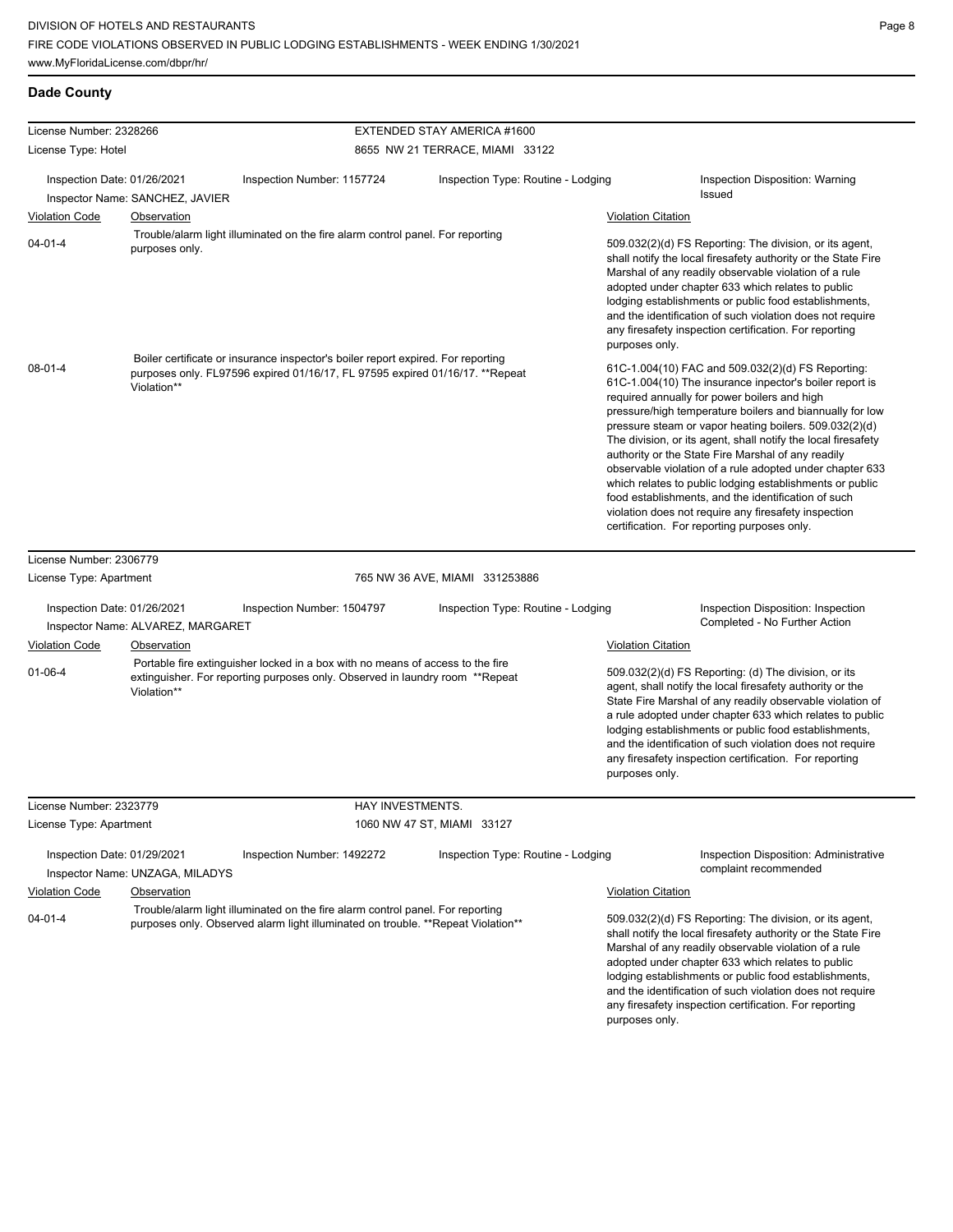| License Number: 2328266     |                                   |                                                                                                                                                                    | EXTENDED STAY AMERICA #1600        |                                                                                                                                                                                                                                                                                                                                                                                                                                                                                                                                                                                                                                                                                                 |
|-----------------------------|-----------------------------------|--------------------------------------------------------------------------------------------------------------------------------------------------------------------|------------------------------------|-------------------------------------------------------------------------------------------------------------------------------------------------------------------------------------------------------------------------------------------------------------------------------------------------------------------------------------------------------------------------------------------------------------------------------------------------------------------------------------------------------------------------------------------------------------------------------------------------------------------------------------------------------------------------------------------------|
| License Type: Hotel         |                                   |                                                                                                                                                                    | 8655 NW 21 TERRACE, MIAMI 33122    |                                                                                                                                                                                                                                                                                                                                                                                                                                                                                                                                                                                                                                                                                                 |
|                             |                                   |                                                                                                                                                                    |                                    |                                                                                                                                                                                                                                                                                                                                                                                                                                                                                                                                                                                                                                                                                                 |
| Inspection Date: 01/26/2021 | Inspector Name: SANCHEZ, JAVIER   | Inspection Number: 1157724                                                                                                                                         | Inspection Type: Routine - Lodging | Inspection Disposition: Warning<br>Issued                                                                                                                                                                                                                                                                                                                                                                                                                                                                                                                                                                                                                                                       |
| <b>Violation Code</b>       | Observation                       |                                                                                                                                                                    |                                    | <b>Violation Citation</b>                                                                                                                                                                                                                                                                                                                                                                                                                                                                                                                                                                                                                                                                       |
| $04 - 01 - 4$               | purposes only.                    | Trouble/alarm light illuminated on the fire alarm control panel. For reporting                                                                                     |                                    | 509.032(2)(d) FS Reporting: The division, or its agent,<br>shall notify the local firesafety authority or the State Fire<br>Marshal of any readily observable violation of a rule<br>adopted under chapter 633 which relates to public<br>lodging establishments or public food establishments,<br>and the identification of such violation does not require<br>any firesafety inspection certification. For reporting<br>purposes only.                                                                                                                                                                                                                                                        |
| $08 - 01 - 4$               | Violation**                       | Boiler certificate or insurance inspector's boiler report expired. For reporting<br>purposes only. FL97596 expired 01/16/17, FL 97595 expired 01/16/17. **Repeat   |                                    | 61C-1.004(10) FAC and 509.032(2)(d) FS Reporting:<br>61C-1.004(10) The insurance inpector's boiler report is<br>required annually for power boilers and high<br>pressure/high temperature boilers and biannually for low<br>pressure steam or vapor heating boilers. 509.032(2)(d)<br>The division, or its agent, shall notify the local firesafety<br>authority or the State Fire Marshal of any readily<br>observable violation of a rule adopted under chapter 633<br>which relates to public lodging establishments or public<br>food establishments, and the identification of such<br>violation does not require any firesafety inspection<br>certification. For reporting purposes only. |
| License Number: 2306779     |                                   |                                                                                                                                                                    |                                    |                                                                                                                                                                                                                                                                                                                                                                                                                                                                                                                                                                                                                                                                                                 |
| License Type: Apartment     |                                   |                                                                                                                                                                    | 765 NW 36 AVE, MIAMI 331253886     |                                                                                                                                                                                                                                                                                                                                                                                                                                                                                                                                                                                                                                                                                                 |
| Inspection Date: 01/26/2021 |                                   | Inspection Number: 1504797                                                                                                                                         | Inspection Type: Routine - Lodging | Inspection Disposition: Inspection<br>Completed - No Further Action                                                                                                                                                                                                                                                                                                                                                                                                                                                                                                                                                                                                                             |
|                             | Inspector Name: ALVAREZ, MARGARET |                                                                                                                                                                    |                                    |                                                                                                                                                                                                                                                                                                                                                                                                                                                                                                                                                                                                                                                                                                 |
| Violation Code              | Observation                       |                                                                                                                                                                    |                                    | <b>Violation Citation</b>                                                                                                                                                                                                                                                                                                                                                                                                                                                                                                                                                                                                                                                                       |
| $01 - 06 - 4$               | Violation**                       | Portable fire extinguisher locked in a box with no means of access to the fire<br>extinguisher. For reporting purposes only. Observed in laundry room **Repeat     |                                    | 509.032(2)(d) FS Reporting: (d) The division, or its<br>agent, shall notify the local firesafety authority or the<br>State Fire Marshal of any readily observable violation of<br>a rule adopted under chapter 633 which relates to public<br>lodging establishments or public food establishments,<br>and the identification of such violation does not require<br>any firesafety inspection certification. For reporting<br>purposes only.                                                                                                                                                                                                                                                    |
| License Number: 2323779     |                                   | HAY INVESTMENTS.                                                                                                                                                   |                                    |                                                                                                                                                                                                                                                                                                                                                                                                                                                                                                                                                                                                                                                                                                 |
| License Type: Apartment     |                                   |                                                                                                                                                                    | 1060 NW 47 ST, MIAMI 33127         |                                                                                                                                                                                                                                                                                                                                                                                                                                                                                                                                                                                                                                                                                                 |
| Inspection Date: 01/29/2021 | Inspector Name: UNZAGA, MILADYS   | Inspection Number: 1492272                                                                                                                                         | Inspection Type: Routine - Lodging | <b>Inspection Disposition: Administrative</b><br>complaint recommended                                                                                                                                                                                                                                                                                                                                                                                                                                                                                                                                                                                                                          |
| <b>Violation Code</b>       | Observation                       |                                                                                                                                                                    |                                    | <b>Violation Citation</b>                                                                                                                                                                                                                                                                                                                                                                                                                                                                                                                                                                                                                                                                       |
| $04 - 01 - 4$               |                                   | Trouble/alarm light illuminated on the fire alarm control panel. For reporting<br>purposes only. Observed alarm light illuminated on trouble. **Repeat Violation** |                                    | 509.032(2)(d) FS Reporting: The division, or its agent,<br>shall notify the local firesafety authority or the State Fire<br>Marshal of any readily observable violation of a rule<br>adopted under chapter 633 which relates to public<br>lodging establishments or public food establishments,<br>and the identification of such violation does not require<br>any firesafety inspection certification. For reporting                                                                                                                                                                                                                                                                          |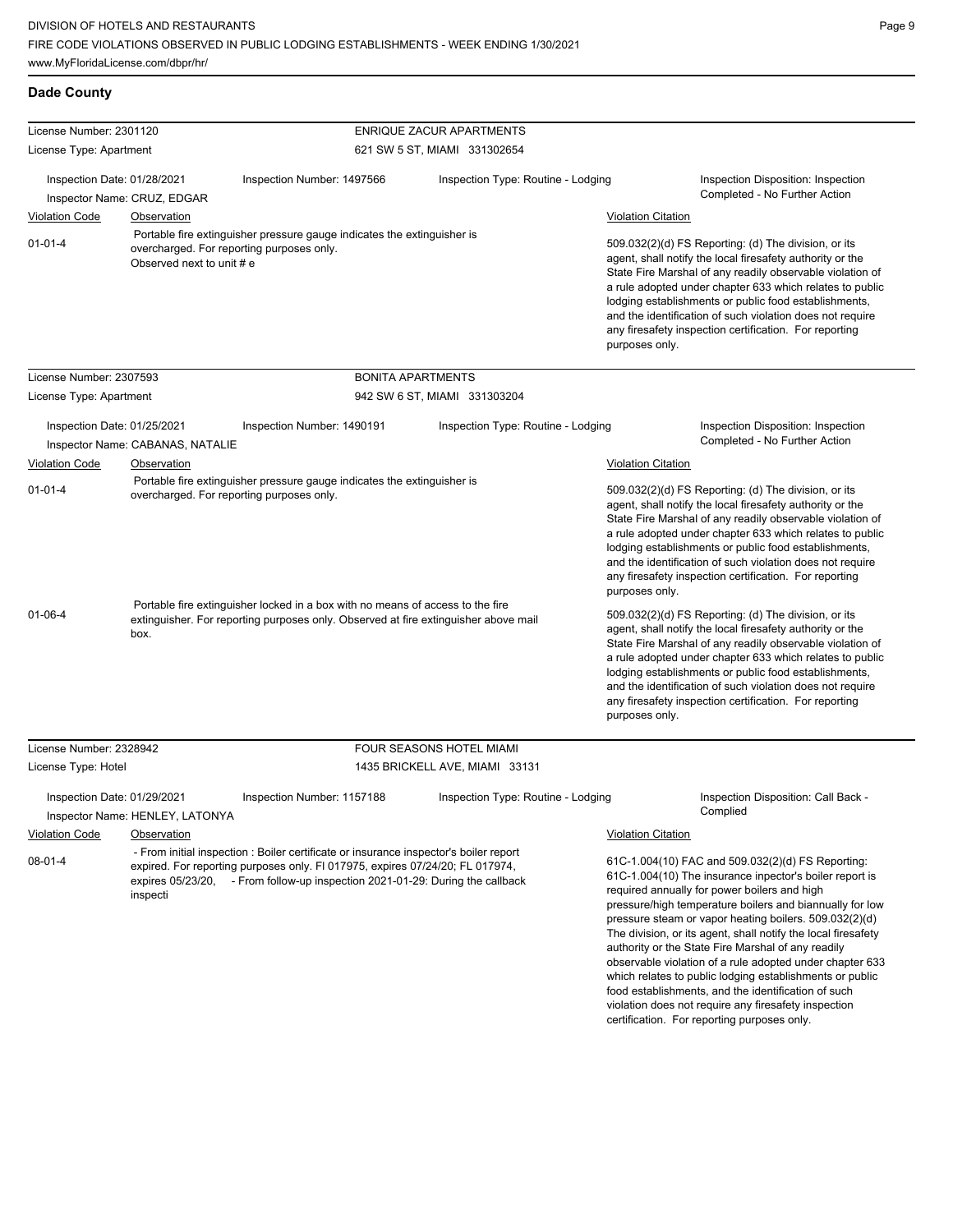| License Number: 2301120                              |                                                |                                                                                                                                                                                                                                                         | ENRIQUE ZACUR APARTMENTS           |                                                                                                                                                                                                                                                                                                                                                                                                                                              |                                                                                                                                                                                                                                                                                                                                                                                                                                                                                                                                                                                                                                                                                                 |  |
|------------------------------------------------------|------------------------------------------------|---------------------------------------------------------------------------------------------------------------------------------------------------------------------------------------------------------------------------------------------------------|------------------------------------|----------------------------------------------------------------------------------------------------------------------------------------------------------------------------------------------------------------------------------------------------------------------------------------------------------------------------------------------------------------------------------------------------------------------------------------------|-------------------------------------------------------------------------------------------------------------------------------------------------------------------------------------------------------------------------------------------------------------------------------------------------------------------------------------------------------------------------------------------------------------------------------------------------------------------------------------------------------------------------------------------------------------------------------------------------------------------------------------------------------------------------------------------------|--|
| License Type: Apartment                              |                                                |                                                                                                                                                                                                                                                         | 621 SW 5 ST, MIAMI 331302654       |                                                                                                                                                                                                                                                                                                                                                                                                                                              |                                                                                                                                                                                                                                                                                                                                                                                                                                                                                                                                                                                                                                                                                                 |  |
| Inspection Date: 01/28/2021                          | Inspector Name: CRUZ, EDGAR                    | Inspection Number: 1497566                                                                                                                                                                                                                              | Inspection Type: Routine - Lodging |                                                                                                                                                                                                                                                                                                                                                                                                                                              | Inspection Disposition: Inspection<br>Completed - No Further Action                                                                                                                                                                                                                                                                                                                                                                                                                                                                                                                                                                                                                             |  |
| <b>Violation Code</b>                                | Observation                                    |                                                                                                                                                                                                                                                         |                                    | <b>Violation Citation</b>                                                                                                                                                                                                                                                                                                                                                                                                                    |                                                                                                                                                                                                                                                                                                                                                                                                                                                                                                                                                                                                                                                                                                 |  |
| $01 - 01 - 4$                                        | Observed next to unit # e                      | Portable fire extinguisher pressure gauge indicates the extinguisher is<br>overcharged. For reporting purposes only.                                                                                                                                    |                                    | 509.032(2)(d) FS Reporting: (d) The division, or its<br>agent, shall notify the local firesafety authority or the<br>State Fire Marshal of any readily observable violation of<br>a rule adopted under chapter 633 which relates to public<br>lodging establishments or public food establishments,<br>and the identification of such violation does not require<br>any firesafety inspection certification. For reporting<br>purposes only. |                                                                                                                                                                                                                                                                                                                                                                                                                                                                                                                                                                                                                                                                                                 |  |
| License Number: 2307593                              |                                                |                                                                                                                                                                                                                                                         | <b>BONITA APARTMENTS</b>           |                                                                                                                                                                                                                                                                                                                                                                                                                                              |                                                                                                                                                                                                                                                                                                                                                                                                                                                                                                                                                                                                                                                                                                 |  |
| License Type: Apartment                              |                                                |                                                                                                                                                                                                                                                         | 942 SW 6 ST, MIAMI 331303204       |                                                                                                                                                                                                                                                                                                                                                                                                                                              |                                                                                                                                                                                                                                                                                                                                                                                                                                                                                                                                                                                                                                                                                                 |  |
| Inspection Date: 01/25/2021                          | Inspector Name: CABANAS, NATALIE               | Inspection Number: 1490191                                                                                                                                                                                                                              | Inspection Type: Routine - Lodging |                                                                                                                                                                                                                                                                                                                                                                                                                                              | Inspection Disposition: Inspection<br>Completed - No Further Action                                                                                                                                                                                                                                                                                                                                                                                                                                                                                                                                                                                                                             |  |
| <b>Violation Code</b>                                | Observation                                    |                                                                                                                                                                                                                                                         |                                    | <b>Violation Citation</b>                                                                                                                                                                                                                                                                                                                                                                                                                    |                                                                                                                                                                                                                                                                                                                                                                                                                                                                                                                                                                                                                                                                                                 |  |
| $01 - 01 - 4$                                        |                                                | Portable fire extinguisher pressure gauge indicates the extinguisher is<br>overcharged. For reporting purposes only.                                                                                                                                    |                                    | purposes only.                                                                                                                                                                                                                                                                                                                                                                                                                               | 509.032(2)(d) FS Reporting: (d) The division, or its<br>agent, shall notify the local firesafety authority or the<br>State Fire Marshal of any readily observable violation of<br>a rule adopted under chapter 633 which relates to public<br>lodging establishments or public food establishments,<br>and the identification of such violation does not require<br>any firesafety inspection certification. For reporting                                                                                                                                                                                                                                                                      |  |
| $01 - 06 - 4$                                        | box.                                           | Portable fire extinguisher locked in a box with no means of access to the fire<br>extinguisher. For reporting purposes only. Observed at fire extinguisher above mail                                                                                   |                                    | purposes only.                                                                                                                                                                                                                                                                                                                                                                                                                               | 509.032(2)(d) FS Reporting: (d) The division, or its<br>agent, shall notify the local firesafety authority or the<br>State Fire Marshal of any readily observable violation of<br>a rule adopted under chapter 633 which relates to public<br>lodging establishments or public food establishments,<br>and the identification of such violation does not require<br>any firesafety inspection certification. For reporting                                                                                                                                                                                                                                                                      |  |
| License Number: 2328942                              |                                                |                                                                                                                                                                                                                                                         | FOUR SEASONS HOTEL MIAMI           |                                                                                                                                                                                                                                                                                                                                                                                                                                              |                                                                                                                                                                                                                                                                                                                                                                                                                                                                                                                                                                                                                                                                                                 |  |
| License Type: Hotel                                  |                                                |                                                                                                                                                                                                                                                         | 1435 BRICKELL AVE, MIAMI 33131     |                                                                                                                                                                                                                                                                                                                                                                                                                                              |                                                                                                                                                                                                                                                                                                                                                                                                                                                                                                                                                                                                                                                                                                 |  |
| Inspection Date: 01/29/2021<br><b>Violation Code</b> | Inspector Name: HENLEY, LATONYA<br>Observation | Inspection Number: 1157188                                                                                                                                                                                                                              | Inspection Type: Routine - Lodging | <b>Violation Citation</b>                                                                                                                                                                                                                                                                                                                                                                                                                    | Inspection Disposition: Call Back -<br>Complied                                                                                                                                                                                                                                                                                                                                                                                                                                                                                                                                                                                                                                                 |  |
| $08 - 01 - 4$                                        | inspecti                                       | - From initial inspection : Boiler certificate or insurance inspector's boiler report<br>expired. For reporting purposes only. FI 017975, expires 07/24/20; FL 017974,<br>expires 05/23/20, - From follow-up inspection 2021-01-29: During the callback |                                    |                                                                                                                                                                                                                                                                                                                                                                                                                                              | 61C-1.004(10) FAC and 509.032(2)(d) FS Reporting:<br>61C-1.004(10) The insurance inpector's boiler report is<br>required annually for power boilers and high<br>pressure/high temperature boilers and biannually for low<br>pressure steam or vapor heating boilers. 509.032(2)(d)<br>The division, or its agent, shall notify the local firesafety<br>authority or the State Fire Marshal of any readily<br>observable violation of a rule adopted under chapter 633<br>which relates to public lodging establishments or public<br>food establishments, and the identification of such<br>violation does not require any firesafety inspection<br>certification. For reporting purposes only. |  |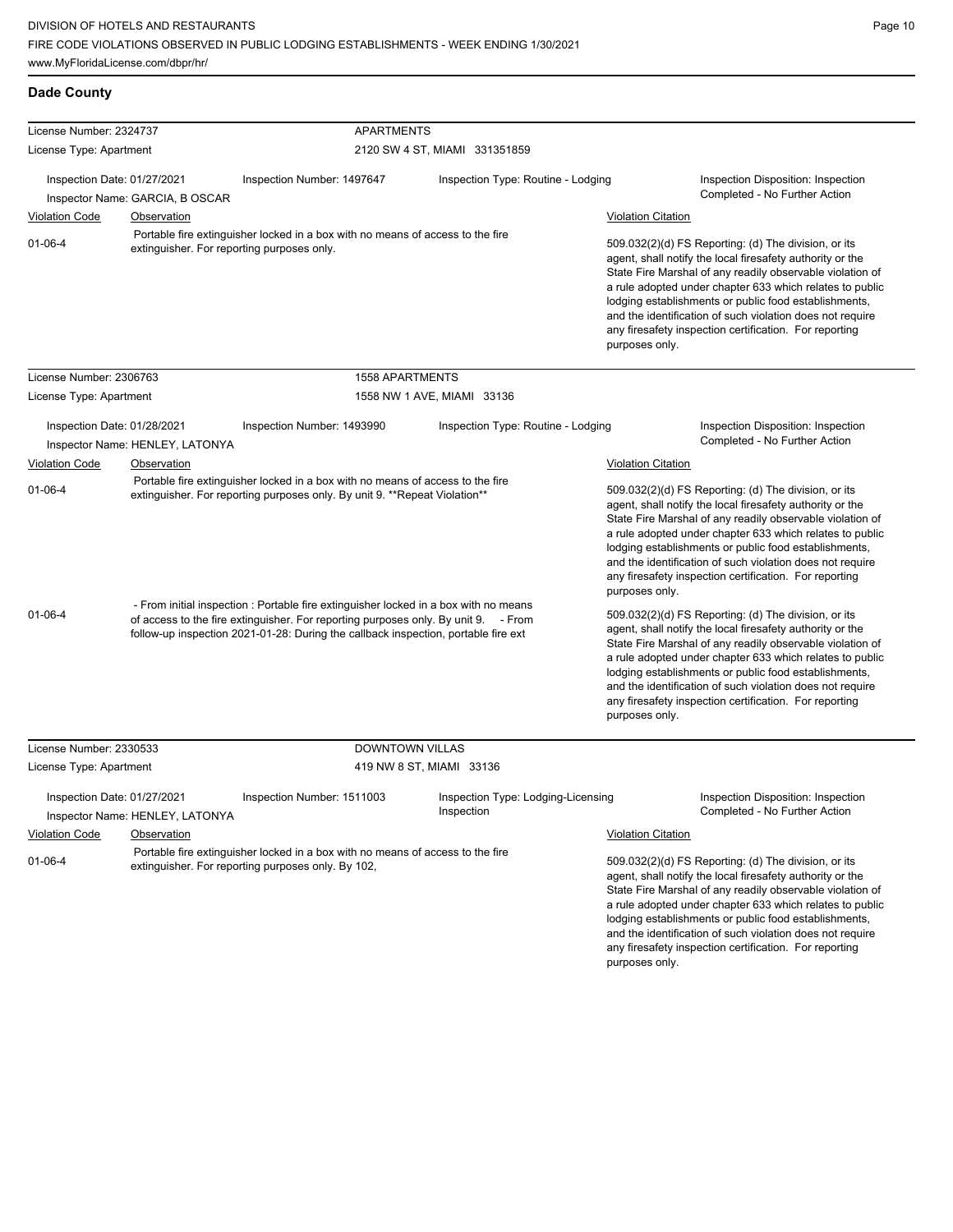| License Number: 2324737     |                                            | <b>APARTMENTS</b>                                                                                                                                                                                                                                                                                                                                                                                                                |                                                  |                                                                                                                                                                                                                                                                                                                                                                                                                                              |                                                                                                                                                                                                                                                                                                                                                                                                                                                                                                                                                                                                                                                                          |
|-----------------------------|--------------------------------------------|----------------------------------------------------------------------------------------------------------------------------------------------------------------------------------------------------------------------------------------------------------------------------------------------------------------------------------------------------------------------------------------------------------------------------------|--------------------------------------------------|----------------------------------------------------------------------------------------------------------------------------------------------------------------------------------------------------------------------------------------------------------------------------------------------------------------------------------------------------------------------------------------------------------------------------------------------|--------------------------------------------------------------------------------------------------------------------------------------------------------------------------------------------------------------------------------------------------------------------------------------------------------------------------------------------------------------------------------------------------------------------------------------------------------------------------------------------------------------------------------------------------------------------------------------------------------------------------------------------------------------------------|
| License Type: Apartment     |                                            |                                                                                                                                                                                                                                                                                                                                                                                                                                  | 2120 SW 4 ST, MIAMI 331351859                    |                                                                                                                                                                                                                                                                                                                                                                                                                                              |                                                                                                                                                                                                                                                                                                                                                                                                                                                                                                                                                                                                                                                                          |
| Inspection Date: 01/27/2021 |                                            | Inspection Number: 1497647                                                                                                                                                                                                                                                                                                                                                                                                       | Inspection Type: Routine - Lodging               |                                                                                                                                                                                                                                                                                                                                                                                                                                              | Inspection Disposition: Inspection<br>Completed - No Further Action                                                                                                                                                                                                                                                                                                                                                                                                                                                                                                                                                                                                      |
|                             | Inspector Name: GARCIA, B OSCAR            |                                                                                                                                                                                                                                                                                                                                                                                                                                  |                                                  |                                                                                                                                                                                                                                                                                                                                                                                                                                              |                                                                                                                                                                                                                                                                                                                                                                                                                                                                                                                                                                                                                                                                          |
| <b>Violation Code</b>       | <b>Observation</b>                         | Portable fire extinguisher locked in a box with no means of access to the fire                                                                                                                                                                                                                                                                                                                                                   |                                                  | <b>Violation Citation</b>                                                                                                                                                                                                                                                                                                                                                                                                                    |                                                                                                                                                                                                                                                                                                                                                                                                                                                                                                                                                                                                                                                                          |
| $01 - 06 - 4$               | extinguisher. For reporting purposes only. |                                                                                                                                                                                                                                                                                                                                                                                                                                  |                                                  | 509.032(2)(d) FS Reporting: (d) The division, or its<br>agent, shall notify the local firesafety authority or the<br>State Fire Marshal of any readily observable violation of<br>a rule adopted under chapter 633 which relates to public<br>lodging establishments or public food establishments,<br>and the identification of such violation does not require<br>any firesafety inspection certification. For reporting<br>purposes only. |                                                                                                                                                                                                                                                                                                                                                                                                                                                                                                                                                                                                                                                                          |
| License Number: 2306763     |                                            | 1558 APARTMENTS                                                                                                                                                                                                                                                                                                                                                                                                                  |                                                  |                                                                                                                                                                                                                                                                                                                                                                                                                                              |                                                                                                                                                                                                                                                                                                                                                                                                                                                                                                                                                                                                                                                                          |
| License Type: Apartment     |                                            |                                                                                                                                                                                                                                                                                                                                                                                                                                  | 1558 NW 1 AVE, MIAMI 33136                       |                                                                                                                                                                                                                                                                                                                                                                                                                                              |                                                                                                                                                                                                                                                                                                                                                                                                                                                                                                                                                                                                                                                                          |
| Inspection Date: 01/28/2021 | Inspector Name: HENLEY, LATONYA            | Inspection Number: 1493990                                                                                                                                                                                                                                                                                                                                                                                                       | Inspection Type: Routine - Lodging               |                                                                                                                                                                                                                                                                                                                                                                                                                                              | Inspection Disposition: Inspection<br>Completed - No Further Action                                                                                                                                                                                                                                                                                                                                                                                                                                                                                                                                                                                                      |
| <b>Violation Code</b>       | <b>Observation</b>                         |                                                                                                                                                                                                                                                                                                                                                                                                                                  |                                                  | <b>Violation Citation</b>                                                                                                                                                                                                                                                                                                                                                                                                                    |                                                                                                                                                                                                                                                                                                                                                                                                                                                                                                                                                                                                                                                                          |
| $01 - 06 - 4$<br>01-06-4    |                                            | Portable fire extinguisher locked in a box with no means of access to the fire<br>extinguisher. For reporting purposes only. By unit 9. **Repeat Violation**<br>- From initial inspection : Portable fire extinguisher locked in a box with no means<br>of access to the fire extinguisher. For reporting purposes only. By unit 9. - From<br>follow-up inspection 2021-01-28: During the callback inspection, portable fire ext |                                                  | purposes only.                                                                                                                                                                                                                                                                                                                                                                                                                               | 509.032(2)(d) FS Reporting: (d) The division, or its<br>agent, shall notify the local firesafety authority or the<br>State Fire Marshal of any readily observable violation of<br>a rule adopted under chapter 633 which relates to public<br>lodging establishments or public food establishments,<br>and the identification of such violation does not require<br>any firesafety inspection certification. For reporting<br>509.032(2)(d) FS Reporting: (d) The division, or its<br>agent, shall notify the local firesafety authority or the<br>State Fire Marshal of any readily observable violation of<br>a rule adopted under chapter 633 which relates to public |
|                             |                                            |                                                                                                                                                                                                                                                                                                                                                                                                                                  |                                                  | lodging establishments or public food establishments,<br>and the identification of such violation does not require<br>any firesafety inspection certification. For reporting<br>purposes only.                                                                                                                                                                                                                                               |                                                                                                                                                                                                                                                                                                                                                                                                                                                                                                                                                                                                                                                                          |
| License Number: 2330533     |                                            | <b>DOWNTOWN VILLAS</b>                                                                                                                                                                                                                                                                                                                                                                                                           |                                                  |                                                                                                                                                                                                                                                                                                                                                                                                                                              |                                                                                                                                                                                                                                                                                                                                                                                                                                                                                                                                                                                                                                                                          |
| License Type: Apartment     |                                            |                                                                                                                                                                                                                                                                                                                                                                                                                                  | 419 NW 8 ST, MIAMI 33136                         |                                                                                                                                                                                                                                                                                                                                                                                                                                              |                                                                                                                                                                                                                                                                                                                                                                                                                                                                                                                                                                                                                                                                          |
| Inspection Date: 01/27/2021 | Inspector Name: HENLEY, LATONYA            | Inspection Number: 1511003                                                                                                                                                                                                                                                                                                                                                                                                       | Inspection Type: Lodging-Licensing<br>Inspection |                                                                                                                                                                                                                                                                                                                                                                                                                                              | Inspection Disposition: Inspection<br>Completed - No Further Action                                                                                                                                                                                                                                                                                                                                                                                                                                                                                                                                                                                                      |
| <b>Violation Code</b>       | Observation                                |                                                                                                                                                                                                                                                                                                                                                                                                                                  |                                                  | <b>Violation Citation</b>                                                                                                                                                                                                                                                                                                                                                                                                                    |                                                                                                                                                                                                                                                                                                                                                                                                                                                                                                                                                                                                                                                                          |
| $01-06-4$                   |                                            | Portable fire extinguisher locked in a box with no means of access to the fire<br>extinguisher. For reporting purposes only. By 102,                                                                                                                                                                                                                                                                                             |                                                  | purposes only.                                                                                                                                                                                                                                                                                                                                                                                                                               | 509.032(2)(d) FS Reporting: (d) The division, or its<br>agent, shall notify the local firesafety authority or the<br>State Fire Marshal of any readily observable violation of<br>a rule adopted under chapter 633 which relates to public<br>lodging establishments or public food establishments,<br>and the identification of such violation does not require<br>any firesafety inspection certification. For reporting                                                                                                                                                                                                                                               |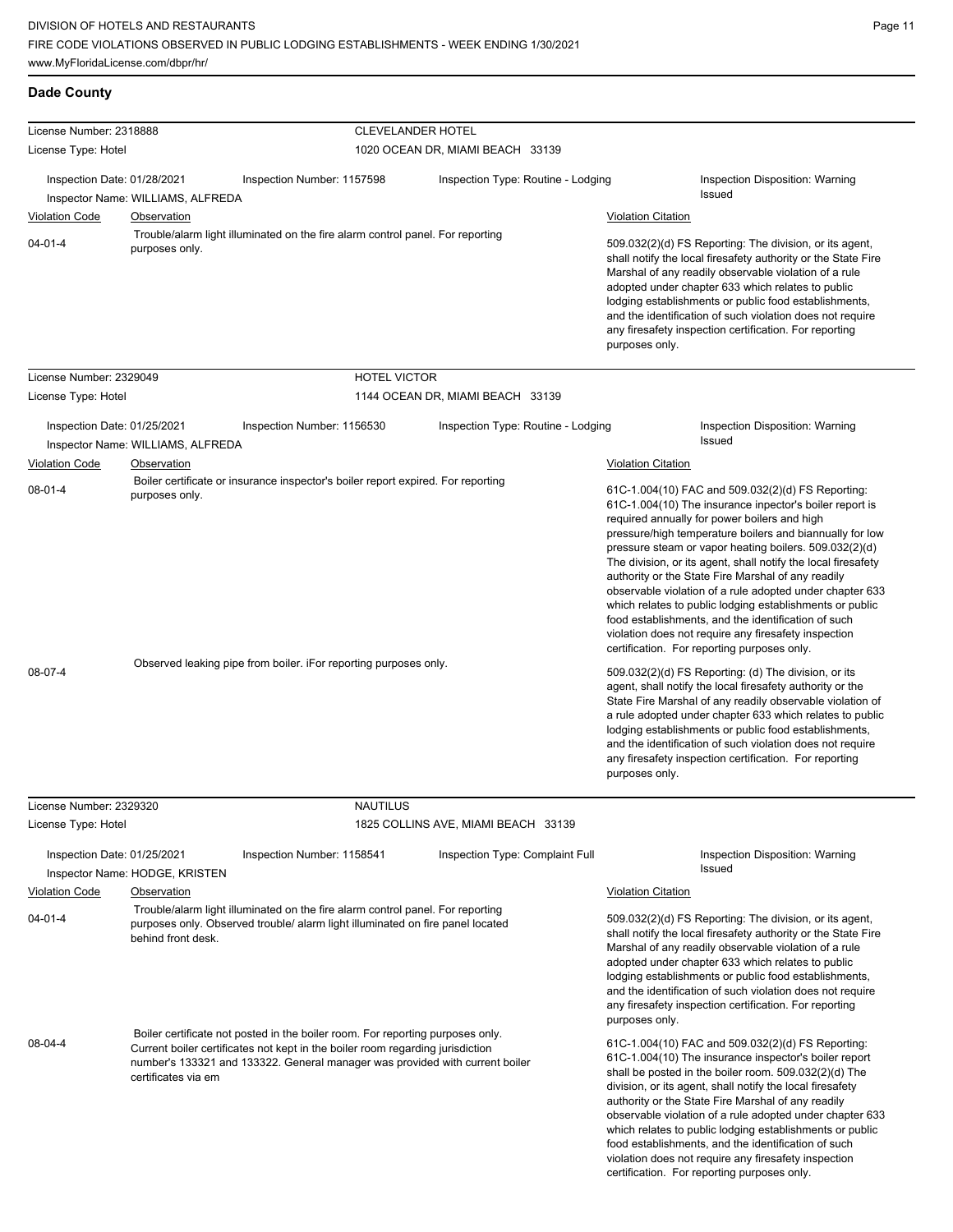| License Number: 2318888                       |                                               | <b>CLEVELANDER HOTEL</b>                                                                                                                                                                                                                                                                                                                                                                                                                                                                                                                                                                                     |                                     |                                                                                                                                                                                                                                                                                                                                                                                                                                                                                                                                                                                                                                                                                                                                                         |
|-----------------------------------------------|-----------------------------------------------|--------------------------------------------------------------------------------------------------------------------------------------------------------------------------------------------------------------------------------------------------------------------------------------------------------------------------------------------------------------------------------------------------------------------------------------------------------------------------------------------------------------------------------------------------------------------------------------------------------------|-------------------------------------|---------------------------------------------------------------------------------------------------------------------------------------------------------------------------------------------------------------------------------------------------------------------------------------------------------------------------------------------------------------------------------------------------------------------------------------------------------------------------------------------------------------------------------------------------------------------------------------------------------------------------------------------------------------------------------------------------------------------------------------------------------|
| License Type: Hotel                           |                                               |                                                                                                                                                                                                                                                                                                                                                                                                                                                                                                                                                                                                              | 1020 OCEAN DR, MIAMI BEACH 33139    |                                                                                                                                                                                                                                                                                                                                                                                                                                                                                                                                                                                                                                                                                                                                                         |
| Inspection Date: 01/28/2021                   | Inspector Name: WILLIAMS, ALFREDA             | Inspection Number: 1157598                                                                                                                                                                                                                                                                                                                                                                                                                                                                                                                                                                                   | Inspection Type: Routine - Lodging  | Inspection Disposition: Warning<br>Issued                                                                                                                                                                                                                                                                                                                                                                                                                                                                                                                                                                                                                                                                                                               |
| <b>Violation Code</b>                         | <b>Observation</b>                            |                                                                                                                                                                                                                                                                                                                                                                                                                                                                                                                                                                                                              |                                     | <b>Violation Citation</b>                                                                                                                                                                                                                                                                                                                                                                                                                                                                                                                                                                                                                                                                                                                               |
| $04 - 01 - 4$                                 | purposes only.                                | Trouble/alarm light illuminated on the fire alarm control panel. For reporting                                                                                                                                                                                                                                                                                                                                                                                                                                                                                                                               |                                     | 509.032(2)(d) FS Reporting: The division, or its agent,<br>shall notify the local firesafety authority or the State Fire<br>Marshal of any readily observable violation of a rule<br>adopted under chapter 633 which relates to public<br>lodging establishments or public food establishments,<br>and the identification of such violation does not require<br>any firesafety inspection certification. For reporting<br>purposes only.                                                                                                                                                                                                                                                                                                                |
| License Number: 2329049                       |                                               | <b>HOTEL VICTOR</b>                                                                                                                                                                                                                                                                                                                                                                                                                                                                                                                                                                                          |                                     |                                                                                                                                                                                                                                                                                                                                                                                                                                                                                                                                                                                                                                                                                                                                                         |
| License Type: Hotel                           |                                               |                                                                                                                                                                                                                                                                                                                                                                                                                                                                                                                                                                                                              | 1144 OCEAN DR, MIAMI BEACH 33139    |                                                                                                                                                                                                                                                                                                                                                                                                                                                                                                                                                                                                                                                                                                                                                         |
| Inspection Date: 01/25/2021                   | Inspector Name: WILLIAMS, ALFREDA             | Inspection Number: 1156530                                                                                                                                                                                                                                                                                                                                                                                                                                                                                                                                                                                   | Inspection Type: Routine - Lodging  | Inspection Disposition: Warning<br>Issued                                                                                                                                                                                                                                                                                                                                                                                                                                                                                                                                                                                                                                                                                                               |
| <b>Violation Code</b>                         | Observation                                   |                                                                                                                                                                                                                                                                                                                                                                                                                                                                                                                                                                                                              |                                     | <b>Violation Citation</b>                                                                                                                                                                                                                                                                                                                                                                                                                                                                                                                                                                                                                                                                                                                               |
| $08 - 01 - 4$<br>08-07-4                      | purposes only.                                | Boiler certificate or insurance inspector's boiler report expired. For reporting<br>Observed leaking pipe from boiler. iFor reporting purposes only.                                                                                                                                                                                                                                                                                                                                                                                                                                                         |                                     | 61C-1.004(10) FAC and 509.032(2)(d) FS Reporting:<br>61C-1.004(10) The insurance inpector's boiler report is<br>required annually for power boilers and high<br>pressure/high temperature boilers and biannually for low<br>pressure steam or vapor heating boilers. 509.032(2)(d)<br>The division, or its agent, shall notify the local firesafety<br>authority or the State Fire Marshal of any readily<br>observable violation of a rule adopted under chapter 633<br>which relates to public lodging establishments or public<br>food establishments, and the identification of such<br>violation does not require any firesafety inspection<br>certification. For reporting purposes only.<br>509.032(2)(d) FS Reporting: (d) The division, or its |
|                                               |                                               |                                                                                                                                                                                                                                                                                                                                                                                                                                                                                                                                                                                                              |                                     | agent, shall notify the local firesafety authority or the<br>State Fire Marshal of any readily observable violation of<br>a rule adopted under chapter 633 which relates to public<br>lodging establishments or public food establishments,<br>and the identification of such violation does not require<br>any firesafety inspection certification. For reporting<br>purposes only.                                                                                                                                                                                                                                                                                                                                                                    |
| License Number: 2329320                       |                                               | <b>NAUTILUS</b>                                                                                                                                                                                                                                                                                                                                                                                                                                                                                                                                                                                              |                                     |                                                                                                                                                                                                                                                                                                                                                                                                                                                                                                                                                                                                                                                                                                                                                         |
| License Type: Hotel                           |                                               |                                                                                                                                                                                                                                                                                                                                                                                                                                                                                                                                                                                                              | 1825 COLLINS AVE, MIAMI BEACH 33139 |                                                                                                                                                                                                                                                                                                                                                                                                                                                                                                                                                                                                                                                                                                                                                         |
| Inspection Date: 01/25/2021<br>Violation Code | Inspector Name: HODGE, KRISTEN<br>Observation | Inspection Number: 1158541                                                                                                                                                                                                                                                                                                                                                                                                                                                                                                                                                                                   | Inspection Type: Complaint Full     | Inspection Disposition: Warning<br>Issued<br><b>Violation Citation</b>                                                                                                                                                                                                                                                                                                                                                                                                                                                                                                                                                                                                                                                                                  |
| $04 - 01 - 4$                                 | behind front desk.                            | Trouble/alarm light illuminated on the fire alarm control panel. For reporting<br>509.032(2)(d) FS Reporting: The division, or its agent,<br>purposes only. Observed trouble/ alarm light illuminated on fire panel located<br>shall notify the local firesafety authority or the State Fire<br>Marshal of any readily observable violation of a rule<br>adopted under chapter 633 which relates to public<br>lodging establishments or public food establishments,<br>and the identification of such violation does not require<br>any firesafety inspection certification. For reporting<br>purposes only. |                                     |                                                                                                                                                                                                                                                                                                                                                                                                                                                                                                                                                                                                                                                                                                                                                         |
| 08-04-4                                       | certificates via em                           | Boiler certificate not posted in the boiler room. For reporting purposes only.<br>Current boiler certificates not kept in the boiler room regarding jurisdiction<br>number's 133321 and 133322. General manager was provided with current boiler                                                                                                                                                                                                                                                                                                                                                             |                                     | 61C-1.004(10) FAC and 509.032(2)(d) FS Reporting:<br>61C-1.004(10) The insurance inspector's boiler report<br>shall be posted in the boiler room. 509.032(2)(d) The<br>division, or its agent, shall notify the local firesafety<br>authority or the State Fire Marshal of any readily<br>observable violation of a rule adopted under chapter 633<br>which relates to public lodging establishments or public<br>food establishments, and the identification of such                                                                                                                                                                                                                                                                                   |

violation does not require any firesafety inspection certification. For reporting purposes only.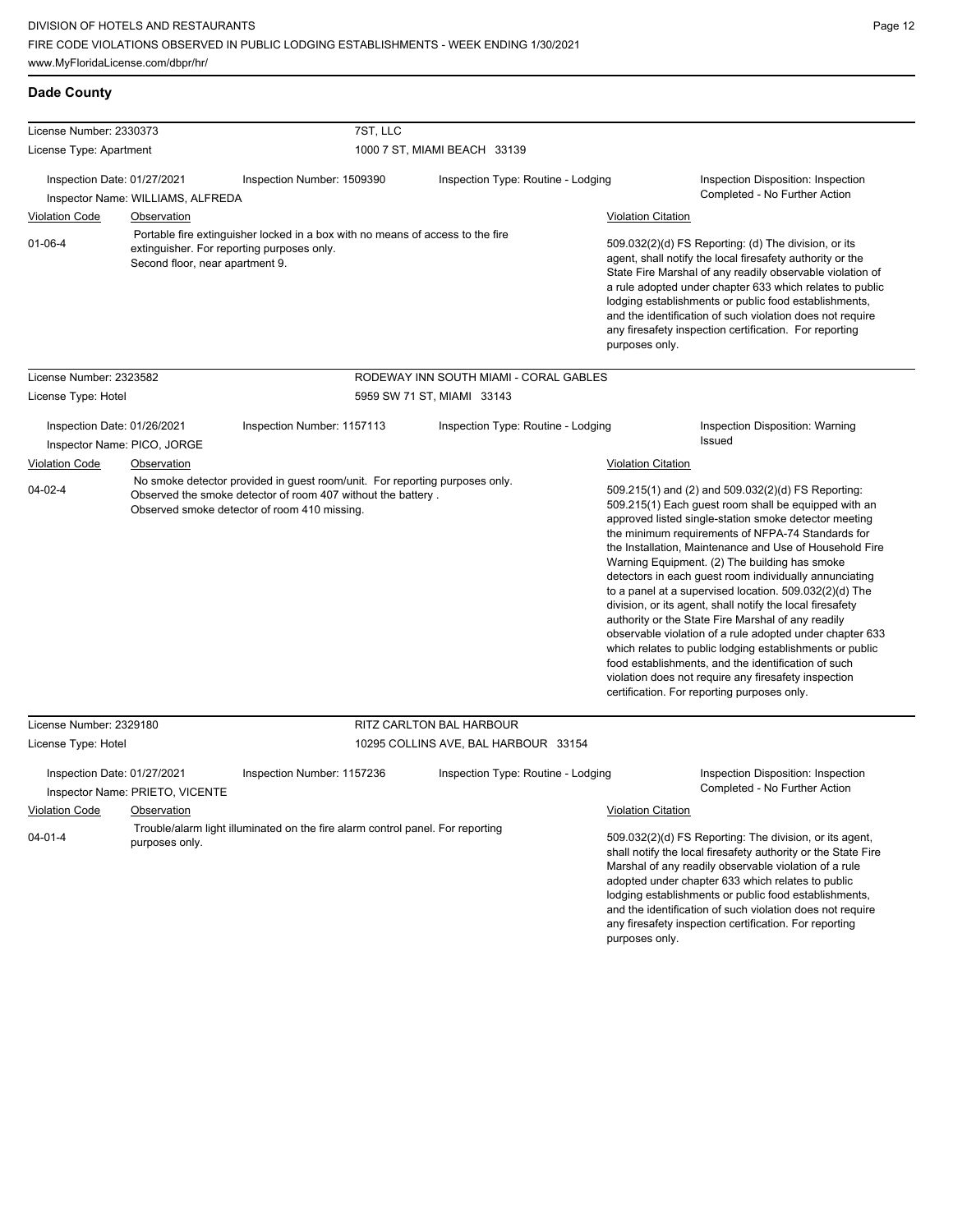| <b>Dade County</b> |
|--------------------|
|                    |

| License Number: 2330373                              |                                                   | 7ST, LLC                                                                                                                                                                                    |                                        |                           |                                                                                                                                                                                                                                                                                                                                                                                                                                                                                                                                                                                                                                                                                                                                                                                                                                                                   |  |  |
|------------------------------------------------------|---------------------------------------------------|---------------------------------------------------------------------------------------------------------------------------------------------------------------------------------------------|----------------------------------------|---------------------------|-------------------------------------------------------------------------------------------------------------------------------------------------------------------------------------------------------------------------------------------------------------------------------------------------------------------------------------------------------------------------------------------------------------------------------------------------------------------------------------------------------------------------------------------------------------------------------------------------------------------------------------------------------------------------------------------------------------------------------------------------------------------------------------------------------------------------------------------------------------------|--|--|
| License Type: Apartment                              |                                                   |                                                                                                                                                                                             | 1000 7 ST, MIAMI BEACH 33139           |                           |                                                                                                                                                                                                                                                                                                                                                                                                                                                                                                                                                                                                                                                                                                                                                                                                                                                                   |  |  |
| Inspection Date: 01/27/2021                          |                                                   | Inspection Number: 1509390                                                                                                                                                                  | Inspection Type: Routine - Lodging     |                           | Inspection Disposition: Inspection                                                                                                                                                                                                                                                                                                                                                                                                                                                                                                                                                                                                                                                                                                                                                                                                                                |  |  |
|                                                      | Inspector Name: WILLIAMS, ALFREDA                 |                                                                                                                                                                                             |                                        |                           | Completed - No Further Action                                                                                                                                                                                                                                                                                                                                                                                                                                                                                                                                                                                                                                                                                                                                                                                                                                     |  |  |
| <b>Violation Code</b>                                | <b>Observation</b>                                |                                                                                                                                                                                             |                                        | <b>Violation Citation</b> |                                                                                                                                                                                                                                                                                                                                                                                                                                                                                                                                                                                                                                                                                                                                                                                                                                                                   |  |  |
| $01 - 06 - 4$                                        | Second floor, near apartment 9.                   | Portable fire extinguisher locked in a box with no means of access to the fire<br>extinguisher. For reporting purposes only.                                                                |                                        | purposes only.            | 509.032(2)(d) FS Reporting: (d) The division, or its<br>agent, shall notify the local firesafety authority or the<br>State Fire Marshal of any readily observable violation of<br>a rule adopted under chapter 633 which relates to public<br>lodging establishments or public food establishments,<br>and the identification of such violation does not require<br>any firesafety inspection certification. For reporting                                                                                                                                                                                                                                                                                                                                                                                                                                        |  |  |
| License Number: 2323582                              |                                                   |                                                                                                                                                                                             | RODEWAY INN SOUTH MIAMI - CORAL GABLES |                           |                                                                                                                                                                                                                                                                                                                                                                                                                                                                                                                                                                                                                                                                                                                                                                                                                                                                   |  |  |
| License Type: Hotel                                  |                                                   |                                                                                                                                                                                             | 5959 SW 71 ST, MIAMI 33143             |                           |                                                                                                                                                                                                                                                                                                                                                                                                                                                                                                                                                                                                                                                                                                                                                                                                                                                                   |  |  |
| Inspection Date: 01/26/2021<br><b>Violation Code</b> | Inspector Name: PICO, JORGE<br><b>Observation</b> | Inspection Number: 1157113                                                                                                                                                                  | Inspection Type: Routine - Lodging     | <b>Violation Citation</b> | Inspection Disposition: Warning<br><b>Issued</b>                                                                                                                                                                                                                                                                                                                                                                                                                                                                                                                                                                                                                                                                                                                                                                                                                  |  |  |
| $04 - 02 - 4$                                        |                                                   | No smoke detector provided in guest room/unit. For reporting purposes only.<br>Observed the smoke detector of room 407 without the battery.<br>Observed smoke detector of room 410 missing. |                                        |                           | 509.215(1) and (2) and 509.032(2)(d) FS Reporting:<br>509.215(1) Each quest room shall be equipped with an<br>approved listed single-station smoke detector meeting<br>the minimum requirements of NFPA-74 Standards for<br>the Installation, Maintenance and Use of Household Fire<br>Warning Equipment. (2) The building has smoke<br>detectors in each guest room individually annunciating<br>to a panel at a supervised location. 509.032(2)(d) The<br>division, or its agent, shall notify the local firesafety<br>authority or the State Fire Marshal of any readily<br>observable violation of a rule adopted under chapter 633<br>which relates to public lodging establishments or public<br>food establishments, and the identification of such<br>violation does not require any firesafety inspection<br>certification. For reporting purposes only. |  |  |
| License Number: 2329180                              |                                                   |                                                                                                                                                                                             | RITZ CARLTON BAL HARBOUR               |                           |                                                                                                                                                                                                                                                                                                                                                                                                                                                                                                                                                                                                                                                                                                                                                                                                                                                                   |  |  |
| License Type: Hotel                                  |                                                   |                                                                                                                                                                                             | 10295 COLLINS AVE, BAL HARBOUR 33154   |                           |                                                                                                                                                                                                                                                                                                                                                                                                                                                                                                                                                                                                                                                                                                                                                                                                                                                                   |  |  |
| Inspection Date: 01/27/2021                          | Inspector Name: PRIETO, VICENTE                   | Inspection Number: 1157236                                                                                                                                                                  | Inspection Type: Routine - Lodging     |                           | Inspection Disposition: Inspection<br>Completed - No Further Action                                                                                                                                                                                                                                                                                                                                                                                                                                                                                                                                                                                                                                                                                                                                                                                               |  |  |
| <b>Violation Code</b>                                | <b>Observation</b>                                |                                                                                                                                                                                             |                                        | <b>Violation Citation</b> |                                                                                                                                                                                                                                                                                                                                                                                                                                                                                                                                                                                                                                                                                                                                                                                                                                                                   |  |  |
| $04 - 01 - 4$                                        | purposes only.                                    | Trouble/alarm light illuminated on the fire alarm control panel. For reporting                                                                                                              |                                        |                           | 509.032(2)(d) FS Reporting: The division, or its agent,<br>shall notify the local firesafety authority or the State Fire<br>Marshal of any readily observable violation of a rule<br>adopted under chapter 633 which relates to public<br>lodging establishments or public food establishments,<br>and the identification of such violation does not require<br>any firesafety inspection certification. For reporting                                                                                                                                                                                                                                                                                                                                                                                                                                            |  |  |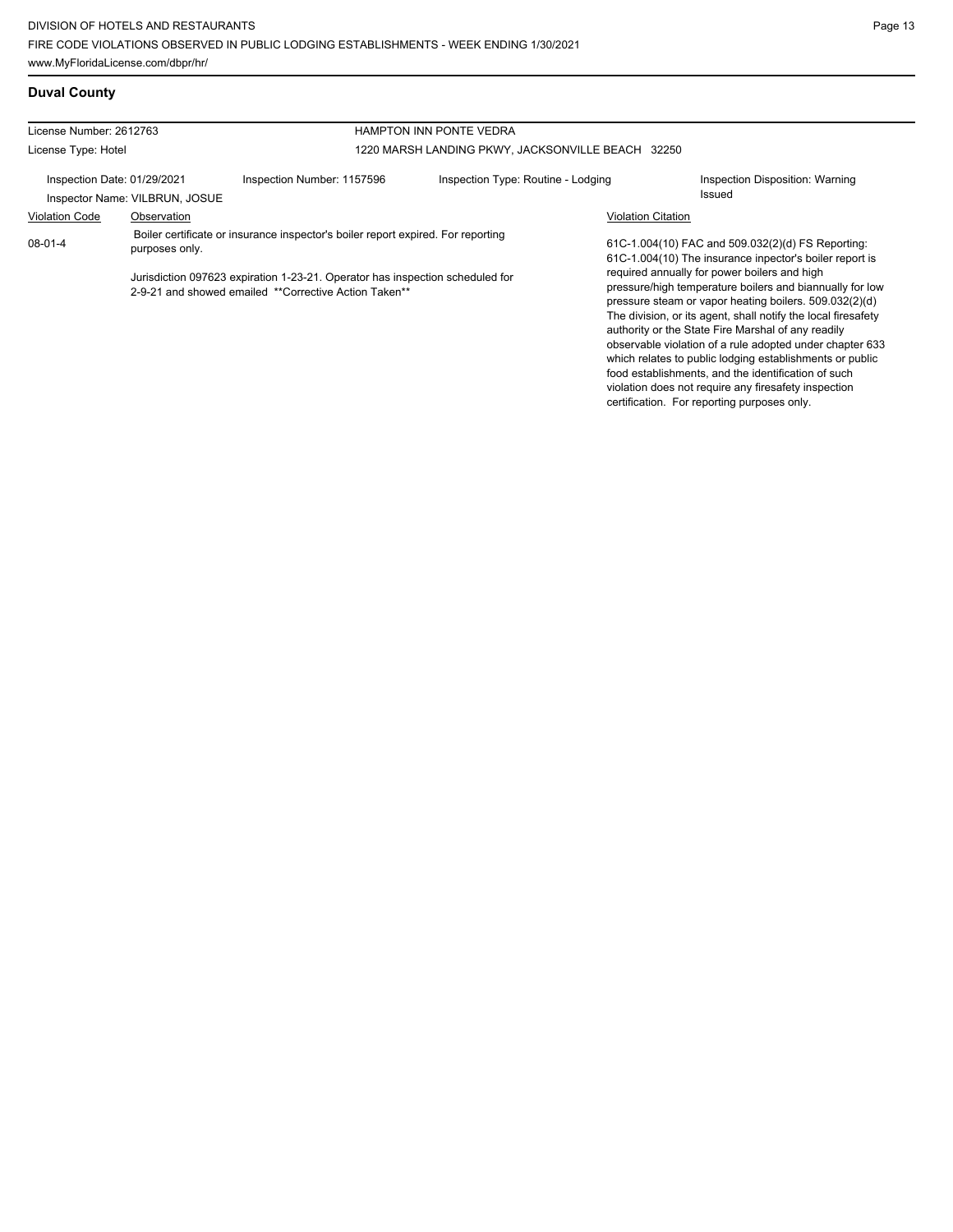# **Duval County**

| License Number: 2612763                                       |                |                                                                                                                                                                                                                            | <b>HAMPTON INN PONTE VEDRA</b>                    |                           |                                                                                                                                                                                                                                                                                                                                                                                                                                                                                                                                                                                                                                                                                                 |
|---------------------------------------------------------------|----------------|----------------------------------------------------------------------------------------------------------------------------------------------------------------------------------------------------------------------------|---------------------------------------------------|---------------------------|-------------------------------------------------------------------------------------------------------------------------------------------------------------------------------------------------------------------------------------------------------------------------------------------------------------------------------------------------------------------------------------------------------------------------------------------------------------------------------------------------------------------------------------------------------------------------------------------------------------------------------------------------------------------------------------------------|
| License Type: Hotel                                           |                |                                                                                                                                                                                                                            | 1220 MARSH LANDING PKWY, JACKSONVILLE BEACH 32250 |                           |                                                                                                                                                                                                                                                                                                                                                                                                                                                                                                                                                                                                                                                                                                 |
| Inspection Date: 01/29/2021<br>Inspector Name: VILBRUN, JOSUE |                | Inspection Number: 1157596                                                                                                                                                                                                 | Inspection Type: Routine - Lodging                |                           | Inspection Disposition: Warning<br>Issued                                                                                                                                                                                                                                                                                                                                                                                                                                                                                                                                                                                                                                                       |
| <b>Violation Code</b>                                         | Observation    |                                                                                                                                                                                                                            |                                                   | <b>Violation Citation</b> |                                                                                                                                                                                                                                                                                                                                                                                                                                                                                                                                                                                                                                                                                                 |
| $08-01-4$                                                     | purposes only. | Boiler certificate or insurance inspector's boiler report expired. For reporting<br>Jurisdiction 097623 expiration 1-23-21. Operator has inspection scheduled for<br>2-9-21 and showed emailed **Corrective Action Taken** |                                                   |                           | 61C-1.004(10) FAC and 509.032(2)(d) FS Reporting:<br>61C-1.004(10) The insurance inpector's boiler report is<br>required annually for power boilers and high<br>pressure/high temperature boilers and biannually for low<br>pressure steam or vapor heating boilers. 509.032(2)(d)<br>The division, or its agent, shall notify the local firesafety<br>authority or the State Fire Marshal of any readily<br>observable violation of a rule adopted under chapter 633<br>which relates to public lodging establishments or public<br>food establishments, and the identification of such<br>violation does not require any firesafety inspection<br>certification. For reporting purposes only. |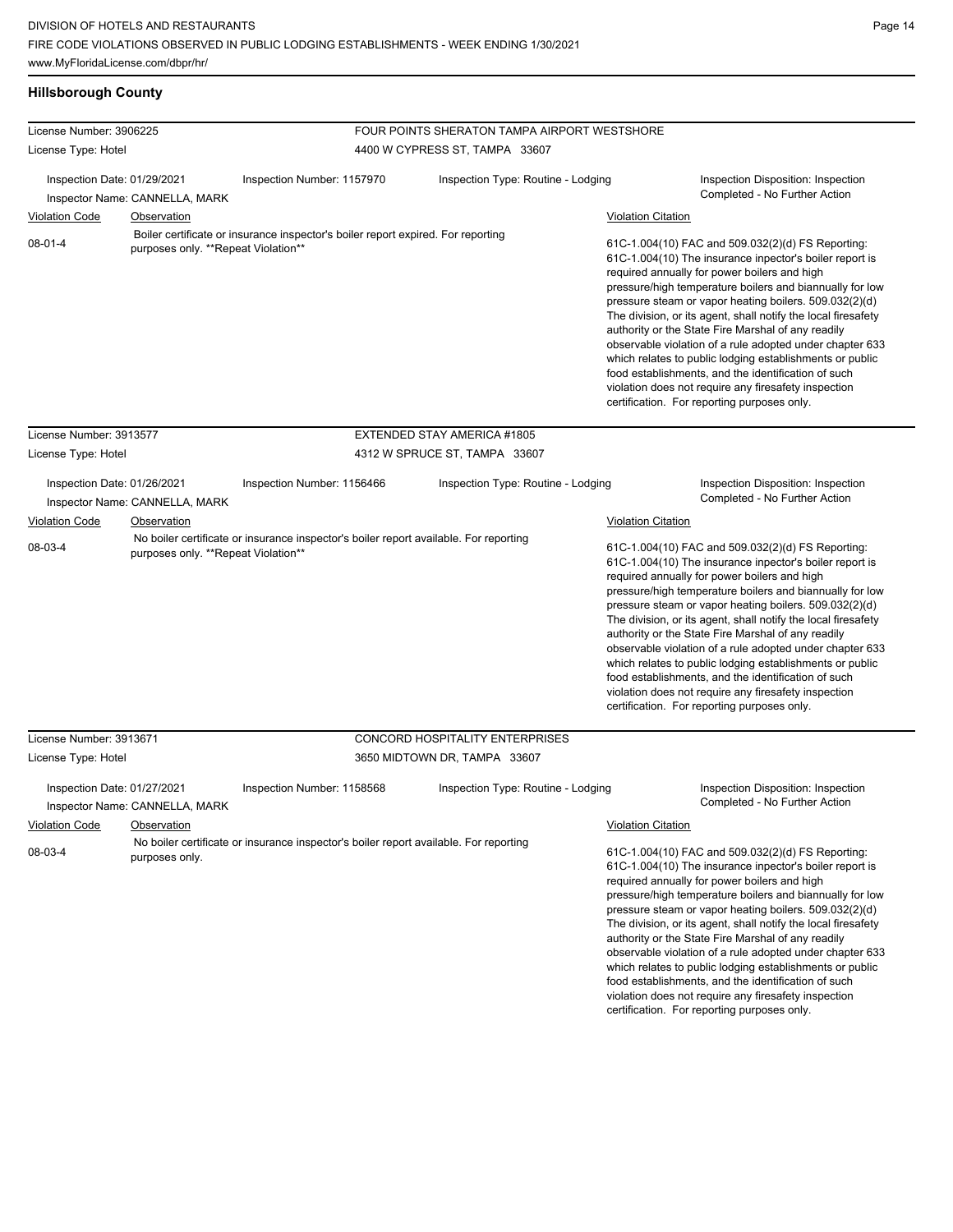# **Hillsborough County**

| License Number: 3906225                                                                    |                                                                                      |                                                                                                                     | FOUR POINTS SHERATON TAMPA AIRPORT WESTSHORE                                 |                           |                                                                                                                                                                                                                                                                                                                                                                                                                                                                                                                                                                                                                                                                                                                                                                        |  |  |
|--------------------------------------------------------------------------------------------|--------------------------------------------------------------------------------------|---------------------------------------------------------------------------------------------------------------------|------------------------------------------------------------------------------|---------------------------|------------------------------------------------------------------------------------------------------------------------------------------------------------------------------------------------------------------------------------------------------------------------------------------------------------------------------------------------------------------------------------------------------------------------------------------------------------------------------------------------------------------------------------------------------------------------------------------------------------------------------------------------------------------------------------------------------------------------------------------------------------------------|--|--|
| License Type: Hotel                                                                        |                                                                                      |                                                                                                                     | 4400 W CYPRESS ST, TAMPA 33607                                               |                           |                                                                                                                                                                                                                                                                                                                                                                                                                                                                                                                                                                                                                                                                                                                                                                        |  |  |
| Inspection Date: 01/29/2021                                                                |                                                                                      | Inspection Number: 1157970                                                                                          | Inspection Type: Routine - Lodging                                           |                           | Inspection Disposition: Inspection<br>Completed - No Further Action                                                                                                                                                                                                                                                                                                                                                                                                                                                                                                                                                                                                                                                                                                    |  |  |
|                                                                                            | Inspector Name: CANNELLA, MARK                                                       |                                                                                                                     |                                                                              |                           |                                                                                                                                                                                                                                                                                                                                                                                                                                                                                                                                                                                                                                                                                                                                                                        |  |  |
| <b>Violation Code</b><br>$08 - 01 - 4$                                                     | Observation<br>purposes only. **Repeat Violation**                                   | Boiler certificate or insurance inspector's boiler report expired. For reporting                                    |                                                                              | <b>Violation Citation</b> | 61C-1.004(10) FAC and 509.032(2)(d) FS Reporting:<br>61C-1.004(10) The insurance inpector's boiler report is<br>required annually for power boilers and high<br>pressure/high temperature boilers and biannually for low<br>pressure steam or vapor heating boilers. 509.032(2)(d)<br>The division, or its agent, shall notify the local firesafety<br>authority or the State Fire Marshal of any readily<br>observable violation of a rule adopted under chapter 633<br>which relates to public lodging establishments or public<br>food establishments, and the identification of such<br>violation does not require any firesafety inspection<br>certification. For reporting purposes only.                                                                        |  |  |
| License Number: 3913577                                                                    |                                                                                      |                                                                                                                     | EXTENDED STAY AMERICA #1805                                                  |                           |                                                                                                                                                                                                                                                                                                                                                                                                                                                                                                                                                                                                                                                                                                                                                                        |  |  |
| License Type: Hotel                                                                        |                                                                                      |                                                                                                                     | 4312 W SPRUCE ST, TAMPA 33607                                                |                           |                                                                                                                                                                                                                                                                                                                                                                                                                                                                                                                                                                                                                                                                                                                                                                        |  |  |
| Inspection Date: 01/26/2021<br><b>Violation Code</b><br>08-03-4<br>License Number: 3913671 | Inspector Name: CANNELLA, MARK<br>Observation<br>purposes only. **Repeat Violation** | Inspection Number: 1156466<br>No boiler certificate or insurance inspector's boiler report available. For reporting | Inspection Type: Routine - Lodging<br><b>CONCORD HOSPITALITY ENTERPRISES</b> | <b>Violation Citation</b> | Inspection Disposition: Inspection<br>Completed - No Further Action<br>61C-1.004(10) FAC and 509.032(2)(d) FS Reporting:<br>61C-1.004(10) The insurance inpector's boiler report is<br>required annually for power boilers and high<br>pressure/high temperature boilers and biannually for low<br>pressure steam or vapor heating boilers. 509.032(2)(d)<br>The division, or its agent, shall notify the local firesafety<br>authority or the State Fire Marshal of any readily<br>observable violation of a rule adopted under chapter 633<br>which relates to public lodging establishments or public<br>food establishments, and the identification of such<br>violation does not require any firesafety inspection<br>certification. For reporting purposes only. |  |  |
| License Type: Hotel                                                                        |                                                                                      |                                                                                                                     | 3650 MIDTOWN DR, TAMPA 33607                                                 |                           |                                                                                                                                                                                                                                                                                                                                                                                                                                                                                                                                                                                                                                                                                                                                                                        |  |  |
| Inspection Date: 01/27/2021<br><b>Violation Code</b><br>08-03-4                            | Inspector Name: CANNELLA, MARK<br>Observation<br>purposes only.                      | Inspection Number: 1158568<br>No boiler certificate or insurance inspector's boiler report available. For reporting | Inspection Type: Routine - Lodging                                           | <b>Violation Citation</b> | Inspection Disposition: Inspection<br>Completed - No Further Action<br>61C-1.004(10) FAC and 509.032(2)(d) FS Reporting:<br>61C-1.004(10) The insurance inpector's boiler report is<br>required annually for power boilers and high<br>pressure/high temperature boilers and biannually for low<br>pressure steam or vapor heating boilers. 509.032(2)(d)<br>The division, or its agent, shall notify the local firesafety<br>authority or the State Fire Marshal of any readily<br>observable violation of a rule adopted under chapter 633<br>which relates to public lodging establishments or public<br>food establishments, and the identification of such<br>violation does not require any firesafety inspection<br>certification. For reporting purposes only. |  |  |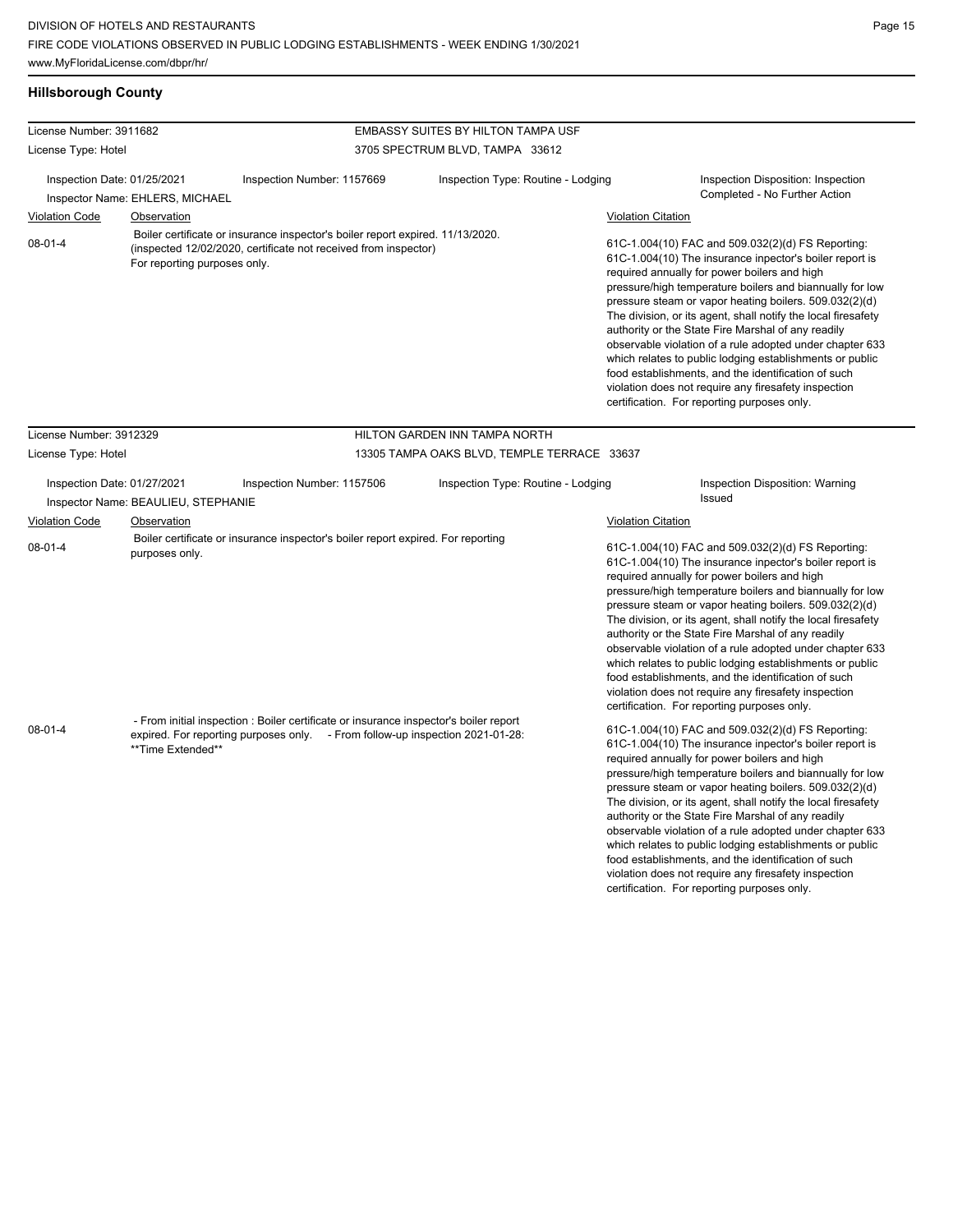# **Hillsborough County**

| License Number: 3911682 |                                                                |                                                                                                                                                                        | EMBASSY SUITES BY HILTON TAMPA USF                                               |                           |                                                                                                                                                                                                                                                                                                                                                                                                                                                                                                                                                                                                                                                                                                 |
|-------------------------|----------------------------------------------------------------|------------------------------------------------------------------------------------------------------------------------------------------------------------------------|----------------------------------------------------------------------------------|---------------------------|-------------------------------------------------------------------------------------------------------------------------------------------------------------------------------------------------------------------------------------------------------------------------------------------------------------------------------------------------------------------------------------------------------------------------------------------------------------------------------------------------------------------------------------------------------------------------------------------------------------------------------------------------------------------------------------------------|
| License Type: Hotel     |                                                                |                                                                                                                                                                        | 3705 SPECTRUM BLVD, TAMPA 33612                                                  |                           |                                                                                                                                                                                                                                                                                                                                                                                                                                                                                                                                                                                                                                                                                                 |
|                         | Inspection Date: 01/25/2021<br>Inspector Name: EHLERS, MICHAEL | Inspection Number: 1157669                                                                                                                                             | Inspection Type: Routine - Lodging                                               |                           | Inspection Disposition: Inspection<br>Completed - No Further Action                                                                                                                                                                                                                                                                                                                                                                                                                                                                                                                                                                                                                             |
| <b>Violation Code</b>   | Observation                                                    |                                                                                                                                                                        |                                                                                  | <b>Violation Citation</b> |                                                                                                                                                                                                                                                                                                                                                                                                                                                                                                                                                                                                                                                                                                 |
| $08 - 01 - 4$           | For reporting purposes only.                                   | Boiler certificate or insurance inspector's boiler report expired. 11/13/2020.<br>(inspected 12/02/2020, certificate not received from inspector)                      |                                                                                  |                           | 61C-1.004(10) FAC and 509.032(2)(d) FS Reporting:<br>61C-1.004(10) The insurance inpector's boiler report is<br>required annually for power boilers and high<br>pressure/high temperature boilers and biannually for low<br>pressure steam or vapor heating boilers. 509.032(2)(d)<br>The division, or its agent, shall notify the local firesafety<br>authority or the State Fire Marshal of any readily<br>observable violation of a rule adopted under chapter 633<br>which relates to public lodging establishments or public<br>food establishments, and the identification of such<br>violation does not require any firesafety inspection<br>certification. For reporting purposes only. |
| License Number: 3912329 |                                                                |                                                                                                                                                                        | HILTON GARDEN INN TAMPA NORTH                                                    |                           |                                                                                                                                                                                                                                                                                                                                                                                                                                                                                                                                                                                                                                                                                                 |
| License Type: Hotel     |                                                                |                                                                                                                                                                        | 13305 TAMPA OAKS BLVD, TEMPLE TERRACE 33637                                      |                           |                                                                                                                                                                                                                                                                                                                                                                                                                                                                                                                                                                                                                                                                                                 |
|                         | Inspection Date: 01/27/2021                                    | Inspection Number: 1157506                                                                                                                                             | Inspection Type: Routine - Lodging                                               |                           | Inspection Disposition: Warning                                                                                                                                                                                                                                                                                                                                                                                                                                                                                                                                                                                                                                                                 |
|                         | Inspector Name: BEAULIEU, STEPHANIE                            |                                                                                                                                                                        |                                                                                  |                           | Issued                                                                                                                                                                                                                                                                                                                                                                                                                                                                                                                                                                                                                                                                                          |
| <b>Violation Code</b>   | Observation                                                    |                                                                                                                                                                        |                                                                                  | <b>Violation Citation</b> |                                                                                                                                                                                                                                                                                                                                                                                                                                                                                                                                                                                                                                                                                                 |
| $08 - 01 - 4$           | purposes only.                                                 |                                                                                                                                                                        | Boiler certificate or insurance inspector's boiler report expired. For reporting |                           | 61C-1.004(10) FAC and 509.032(2)(d) FS Reporting:<br>61C-1.004(10) The insurance inpector's boiler report is<br>required annually for power boilers and high<br>pressure/high temperature boilers and biannually for low<br>pressure steam or vapor heating boilers. 509.032(2)(d)<br>The division, or its agent, shall notify the local firesafety<br>authority or the State Fire Marshal of any readily<br>observable violation of a rule adopted under chapter 633<br>which relates to public lodging establishments or public<br>food establishments, and the identification of such<br>violation does not require any firesafety inspection<br>certification. For reporting purposes only. |
| $08 - 01 - 4$           | **Time Extended**                                              | - From initial inspection : Boiler certificate or insurance inspector's boiler report<br>expired. For reporting purposes only. - From follow-up inspection 2021-01-28: |                                                                                  |                           | 61C-1.004(10) FAC and 509.032(2)(d) FS Reporting:<br>61C-1.004(10) The insurance inpector's boiler report is<br>required annually for power boilers and high<br>pressure/high temperature boilers and biannually for low<br>pressure steam or vapor heating boilers. 509.032(2)(d)<br>The division, or its agent, shall notify the local firesafety<br>authority or the State Fire Marshal of any readily<br>observable violation of a rule adopted under chapter 633<br>which relates to public lodging establishments or public                                                                                                                                                               |

food establishments, and the identification of such violation does not require any firesafety inspection certification. For reporting purposes only.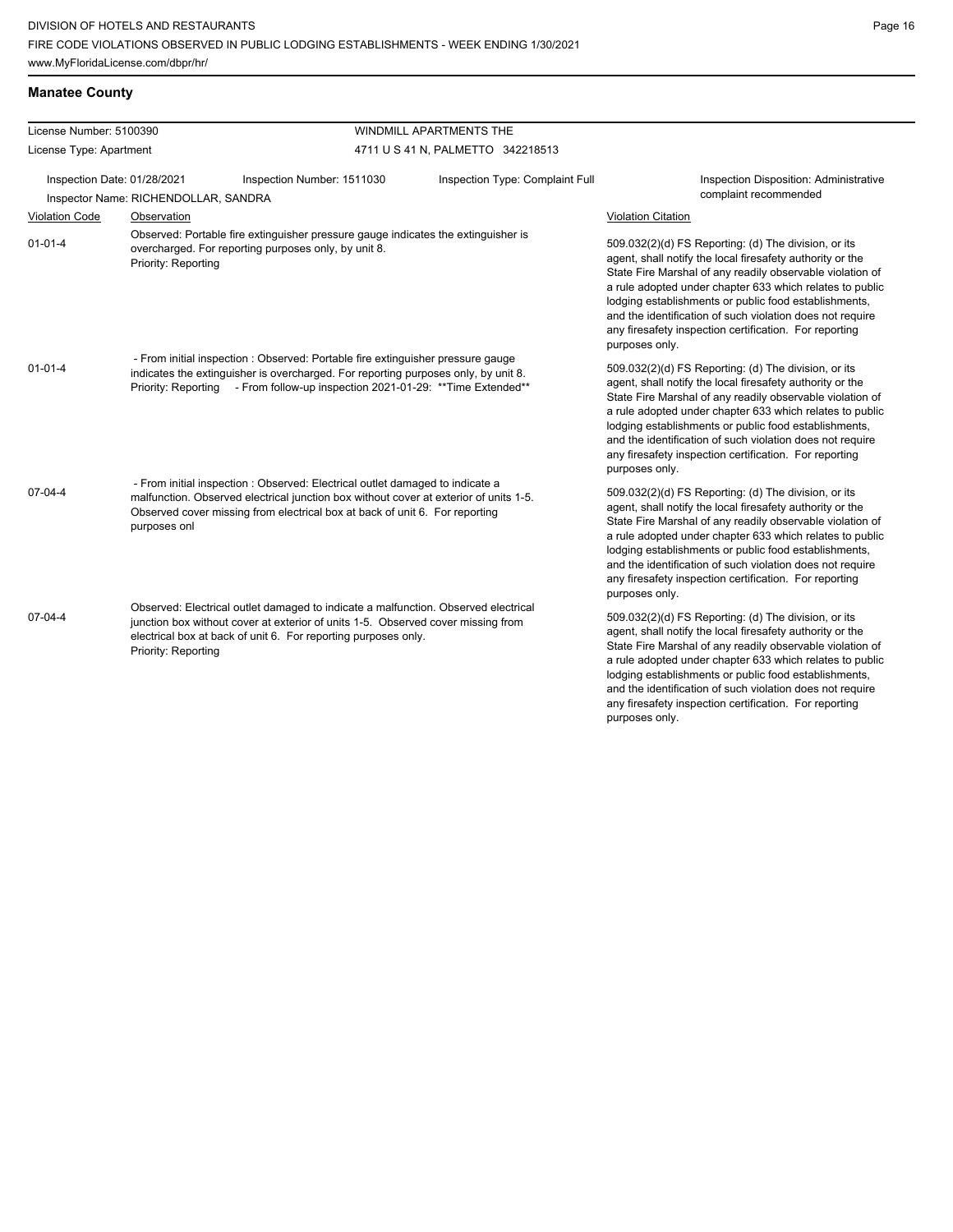**Manatee County**

| License Number: 5100390     |                                      |                                                                                                                                                                                                                                                         | WINDMILL APARTMENTS THE           |                                                                                                                                                                                                                                                                                                                                                                                                                                              |  |  |  |
|-----------------------------|--------------------------------------|---------------------------------------------------------------------------------------------------------------------------------------------------------------------------------------------------------------------------------------------------------|-----------------------------------|----------------------------------------------------------------------------------------------------------------------------------------------------------------------------------------------------------------------------------------------------------------------------------------------------------------------------------------------------------------------------------------------------------------------------------------------|--|--|--|
| License Type: Apartment     |                                      |                                                                                                                                                                                                                                                         | 4711 U S 41 N, PALMETTO 342218513 |                                                                                                                                                                                                                                                                                                                                                                                                                                              |  |  |  |
| Inspection Date: 01/28/2021 |                                      | Inspection Number: 1511030                                                                                                                                                                                                                              | Inspection Type: Complaint Full   | Inspection Disposition: Administrative<br>complaint recommended                                                                                                                                                                                                                                                                                                                                                                              |  |  |  |
|                             | Inspector Name: RICHENDOLLAR, SANDRA |                                                                                                                                                                                                                                                         |                                   |                                                                                                                                                                                                                                                                                                                                                                                                                                              |  |  |  |
| <b>Violation Code</b>       | Observation                          |                                                                                                                                                                                                                                                         |                                   | <b>Violation Citation</b>                                                                                                                                                                                                                                                                                                                                                                                                                    |  |  |  |
| $01 - 01 - 4$               | Priority: Reporting                  | Observed: Portable fire extinguisher pressure gauge indicates the extinguisher is<br>overcharged. For reporting purposes only, by unit 8.                                                                                                               |                                   | 509.032(2)(d) FS Reporting: (d) The division, or its<br>agent, shall notify the local firesafety authority or the<br>State Fire Marshal of any readily observable violation of<br>a rule adopted under chapter 633 which relates to public<br>lodging establishments or public food establishments,<br>and the identification of such violation does not require<br>any firesafety inspection certification. For reporting<br>purposes only. |  |  |  |
| $01 - 01 - 4$               |                                      | - From initial inspection : Observed: Portable fire extinguisher pressure gauge<br>indicates the extinguisher is overcharged. For reporting purposes only, by unit 8.<br>Priority: Reporting - From follow-up inspection 2021-01-29: ** Time Extended** |                                   | 509.032(2)(d) FS Reporting: (d) The division, or its<br>agent, shall notify the local firesafety authority or the<br>State Fire Marshal of any readily observable violation of<br>a rule adopted under chapter 633 which relates to public<br>lodging establishments or public food establishments,<br>and the identification of such violation does not require<br>any firesafety inspection certification. For reporting<br>purposes only. |  |  |  |
| $07 - 04 - 4$               | purposes onl                         | - From initial inspection : Observed: Electrical outlet damaged to indicate a<br>malfunction. Observed electrical junction box without cover at exterior of units 1-5.<br>Observed cover missing from electrical box at back of unit 6. For reporting   |                                   | 509.032(2)(d) FS Reporting: (d) The division, or its<br>agent, shall notify the local firesafety authority or the<br>State Fire Marshal of any readily observable violation of<br>a rule adopted under chapter 633 which relates to public<br>lodging establishments or public food establishments,<br>and the identification of such violation does not require<br>any firesafety inspection certification. For reporting<br>purposes only. |  |  |  |
| $07 - 04 - 4$               | Priority: Reporting                  | Observed: Electrical outlet damaged to indicate a malfunction. Observed electrical<br>junction box without cover at exterior of units 1-5. Observed cover missing from<br>electrical box at back of unit 6. For reporting purposes only.                |                                   | 509.032(2)(d) FS Reporting: (d) The division, or its<br>agent, shall notify the local firesafety authority or the<br>State Fire Marshal of any readily observable violation of<br>a rule adopted under chapter 633 which relates to public<br>lodging establishments or public food establishments,<br>and the identification of such violation does not require<br>any firesafety inspection certification. For reporting                   |  |  |  |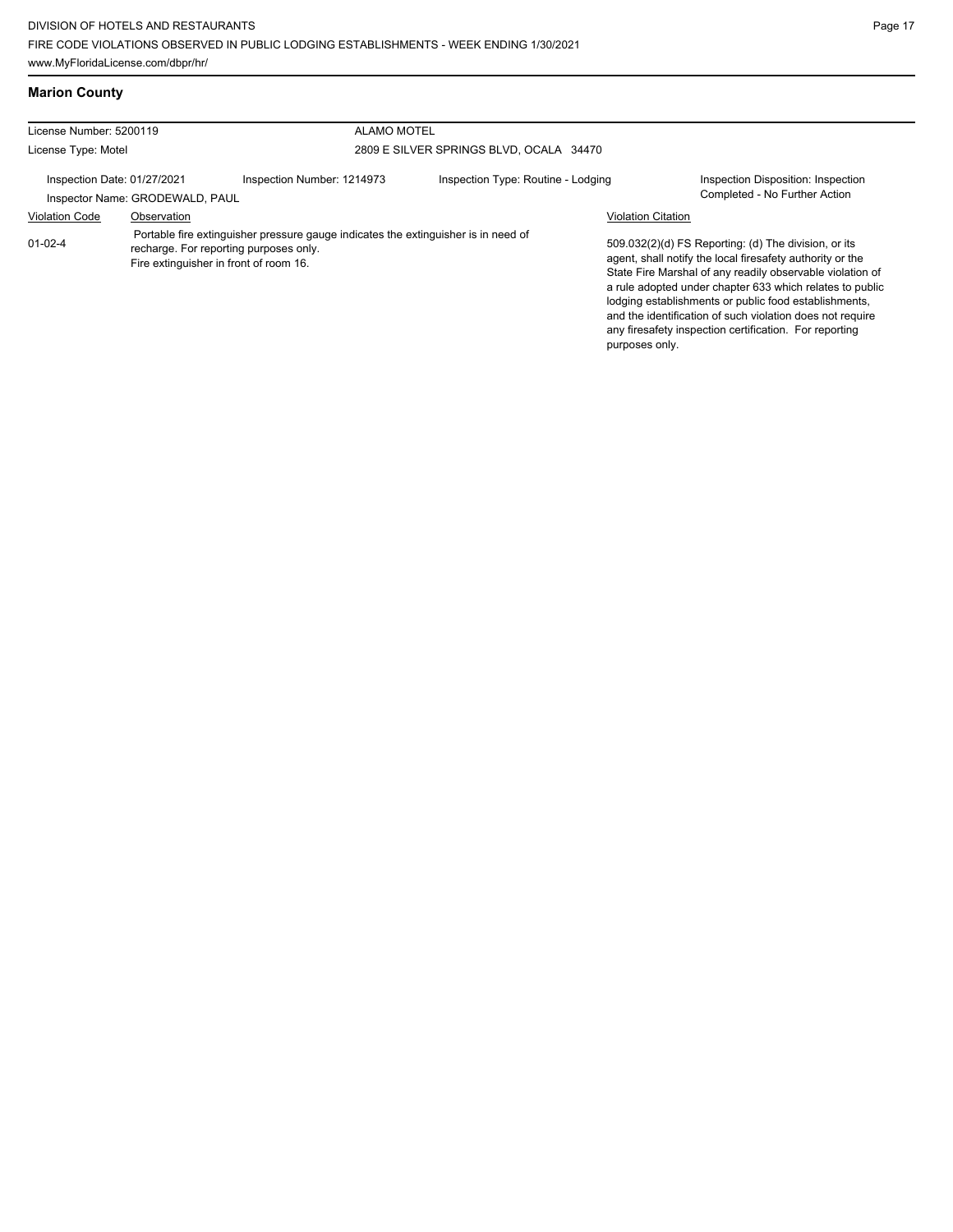# **Marion County**

| License Number: 5200119     |                                 | <b>ALAMO MOTEL</b>                                                                                                                                                     |                                         |                           |                                                                                                                                                                                                                                                                                                                                                                                                                            |
|-----------------------------|---------------------------------|------------------------------------------------------------------------------------------------------------------------------------------------------------------------|-----------------------------------------|---------------------------|----------------------------------------------------------------------------------------------------------------------------------------------------------------------------------------------------------------------------------------------------------------------------------------------------------------------------------------------------------------------------------------------------------------------------|
| License Type: Motel         |                                 |                                                                                                                                                                        | 2809 E SILVER SPRINGS BLVD, OCALA 34470 |                           |                                                                                                                                                                                                                                                                                                                                                                                                                            |
| Inspection Date: 01/27/2021 | Inspector Name: GRODEWALD, PAUL | Inspection Number: 1214973                                                                                                                                             | Inspection Type: Routine - Lodging      |                           | Inspection Disposition: Inspection<br>Completed - No Further Action                                                                                                                                                                                                                                                                                                                                                        |
| <b>Violation Code</b>       | Observation                     |                                                                                                                                                                        |                                         | <b>Violation Citation</b> |                                                                                                                                                                                                                                                                                                                                                                                                                            |
| $01-02-4$                   |                                 | Portable fire extinguisher pressure gauge indicates the extinguisher is in need of<br>recharge. For reporting purposes only.<br>Fire extinguisher in front of room 16. |                                         | purposes only.            | 509.032(2)(d) FS Reporting: (d) The division, or its<br>agent, shall notify the local firesafety authority or the<br>State Fire Marshal of any readily observable violation of<br>a rule adopted under chapter 633 which relates to public<br>lodging establishments or public food establishments,<br>and the identification of such violation does not require<br>any firesafety inspection certification. For reporting |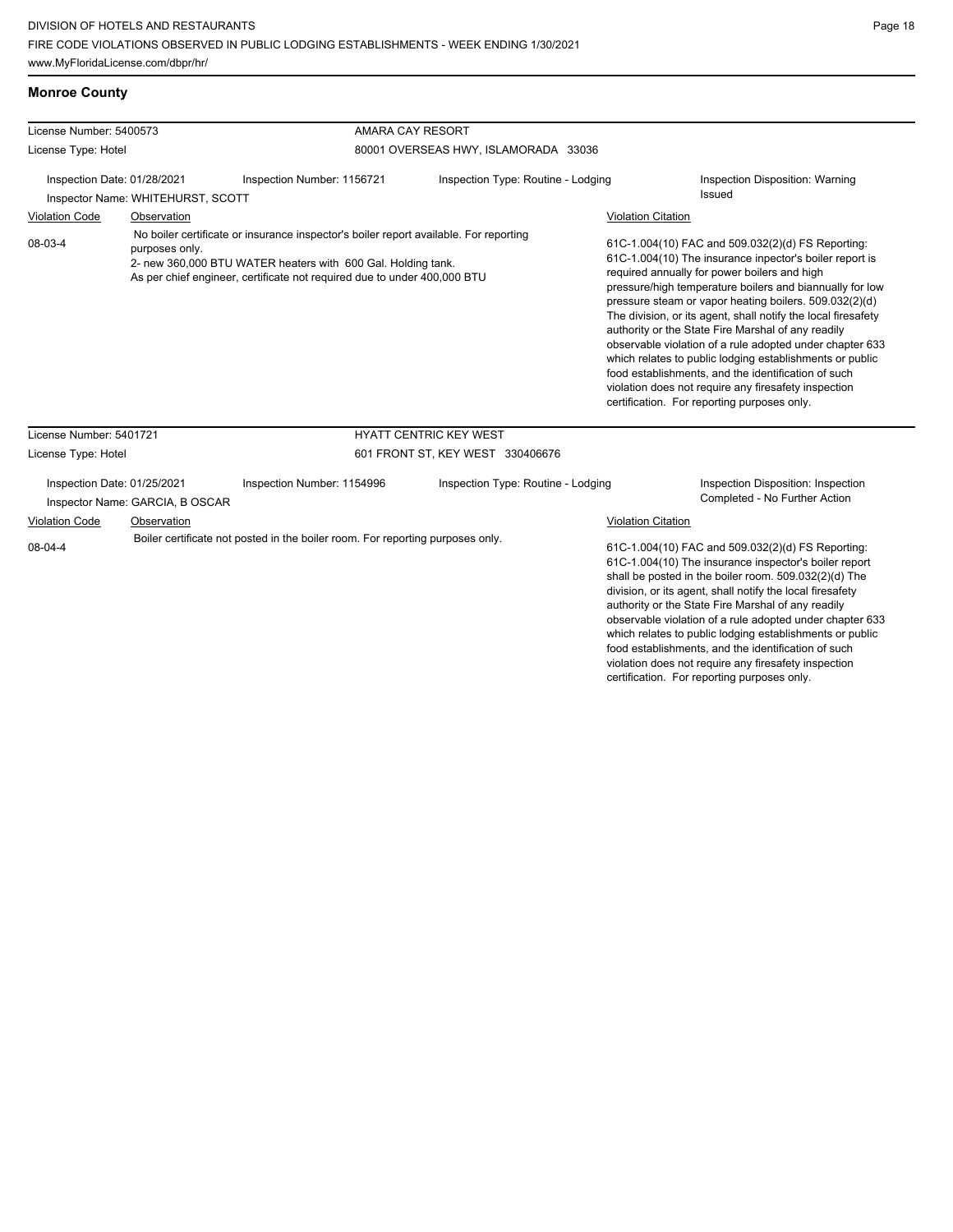## **Monroe County**

| License Number: 5400573                                                                                                                                                                                                                                                                                                                     |                                                                                                                                                                                                                                                                                                                                    |                                              | AMARA CAY RESORT                     |  |                                                                                                                                                                                                                                                                                                                                                                                                                                                                                                                                                                                                                                                                                                                              |  |  |
|---------------------------------------------------------------------------------------------------------------------------------------------------------------------------------------------------------------------------------------------------------------------------------------------------------------------------------------------|------------------------------------------------------------------------------------------------------------------------------------------------------------------------------------------------------------------------------------------------------------------------------------------------------------------------------------|----------------------------------------------|--------------------------------------|--|------------------------------------------------------------------------------------------------------------------------------------------------------------------------------------------------------------------------------------------------------------------------------------------------------------------------------------------------------------------------------------------------------------------------------------------------------------------------------------------------------------------------------------------------------------------------------------------------------------------------------------------------------------------------------------------------------------------------------|--|--|
| License Type: Hotel                                                                                                                                                                                                                                                                                                                         |                                                                                                                                                                                                                                                                                                                                    |                                              | 80001 OVERSEAS HWY, ISLAMORADA 33036 |  |                                                                                                                                                                                                                                                                                                                                                                                                                                                                                                                                                                                                                                                                                                                              |  |  |
|                                                                                                                                                                                                                                                                                                                                             | Inspection Date: 01/28/2021                                                                                                                                                                                                                                                                                                        | Inspection Number: 1156721                   | Inspection Type: Routine - Lodging   |  | Inspection Disposition: Warning<br><b>Issued</b>                                                                                                                                                                                                                                                                                                                                                                                                                                                                                                                                                                                                                                                                             |  |  |
| Inspector Name: WHITEHURST, SCOTT<br><b>Violation Code</b><br>Observation<br>No boiler certificate or insurance inspector's boiler report available. For reporting<br>08-03-4<br>purposes only.<br>2- new 360,000 BTU WATER heaters with 600 Gal. Holding tank.<br>As per chief engineer, certificate not required due to under 400,000 BTU |                                                                                                                                                                                                                                                                                                                                    |                                              |                                      |  | <b>Violation Citation</b><br>61C-1.004(10) FAC and 509.032(2)(d) FS Reporting:<br>61C-1.004(10) The insurance inpector's boiler report is<br>required annually for power boilers and high<br>pressure/high temperature boilers and biannually for low<br>pressure steam or vapor heating boilers. 509.032(2)(d)<br>The division, or its agent, shall notify the local firesafety<br>authority or the State Fire Marshal of any readily<br>observable violation of a rule adopted under chapter 633<br>which relates to public lodging establishments or public<br>food establishments, and the identification of such<br>violation does not require any firesafety inspection<br>certification. For reporting purposes only. |  |  |
| License Number: 5401721                                                                                                                                                                                                                                                                                                                     |                                                                                                                                                                                                                                                                                                                                    |                                              | <b>HYATT CENTRIC KEY WEST</b>        |  |                                                                                                                                                                                                                                                                                                                                                                                                                                                                                                                                                                                                                                                                                                                              |  |  |
| License Type: Hotel                                                                                                                                                                                                                                                                                                                         |                                                                                                                                                                                                                                                                                                                                    |                                              | 601 FRONT ST, KEY WEST 330406676     |  |                                                                                                                                                                                                                                                                                                                                                                                                                                                                                                                                                                                                                                                                                                                              |  |  |
|                                                                                                                                                                                                                                                                                                                                             | $\mathbf{r}$ $\mathbf{r}$ $\mathbf{r}$ $\mathbf{r}$ $\mathbf{r}$ $\mathbf{r}$ $\mathbf{r}$ $\mathbf{r}$ $\mathbf{r}$ $\mathbf{r}$ $\mathbf{r}$ $\mathbf{r}$ $\mathbf{r}$ $\mathbf{r}$ $\mathbf{r}$ $\mathbf{r}$ $\mathbf{r}$ $\mathbf{r}$ $\mathbf{r}$ $\mathbf{r}$ $\mathbf{r}$ $\mathbf{r}$ $\mathbf{r}$ $\mathbf{r}$ $\mathbf{$ | $\cdots$ $\cdots$ $\cdots$ $\cdots$ $\cdots$ |                                      |  | $\mathbf{r}$ , and $\mathbf{r}$ , and $\mathbf{r}$ , and $\mathbf{r}$                                                                                                                                                                                                                                                                                                                                                                                                                                                                                                                                                                                                                                                        |  |  |

Inspection Date: 01/25/2021 Inspection Number: 1154996 Inspection Type: Routine - Lodging Inspection Disposition: Inspection<br>Inspector Name: GARCIA BOSCAR INSPECTION Inspector Name: GARCIA, B OSCAR Violation Code Observation Violation Citation 61C-1.004(10) FAC and 509.032(2)(d) FS Reporting: 08-04-4 Boiler certificate not posted in the boiler room. For reporting purposes only.

61C-1.004(10) The insurance inspector's boiler report shall be posted in the boiler room. 509.032(2)(d) The division, or its agent, shall notify the local firesafety authority or the State Fire Marshal of any readily observable violation of a rule adopted under chapter 633 which relates to public lodging establishments or public food establishments, and the identification of such violation does not require any firesafety inspection certification. For reporting purposes only.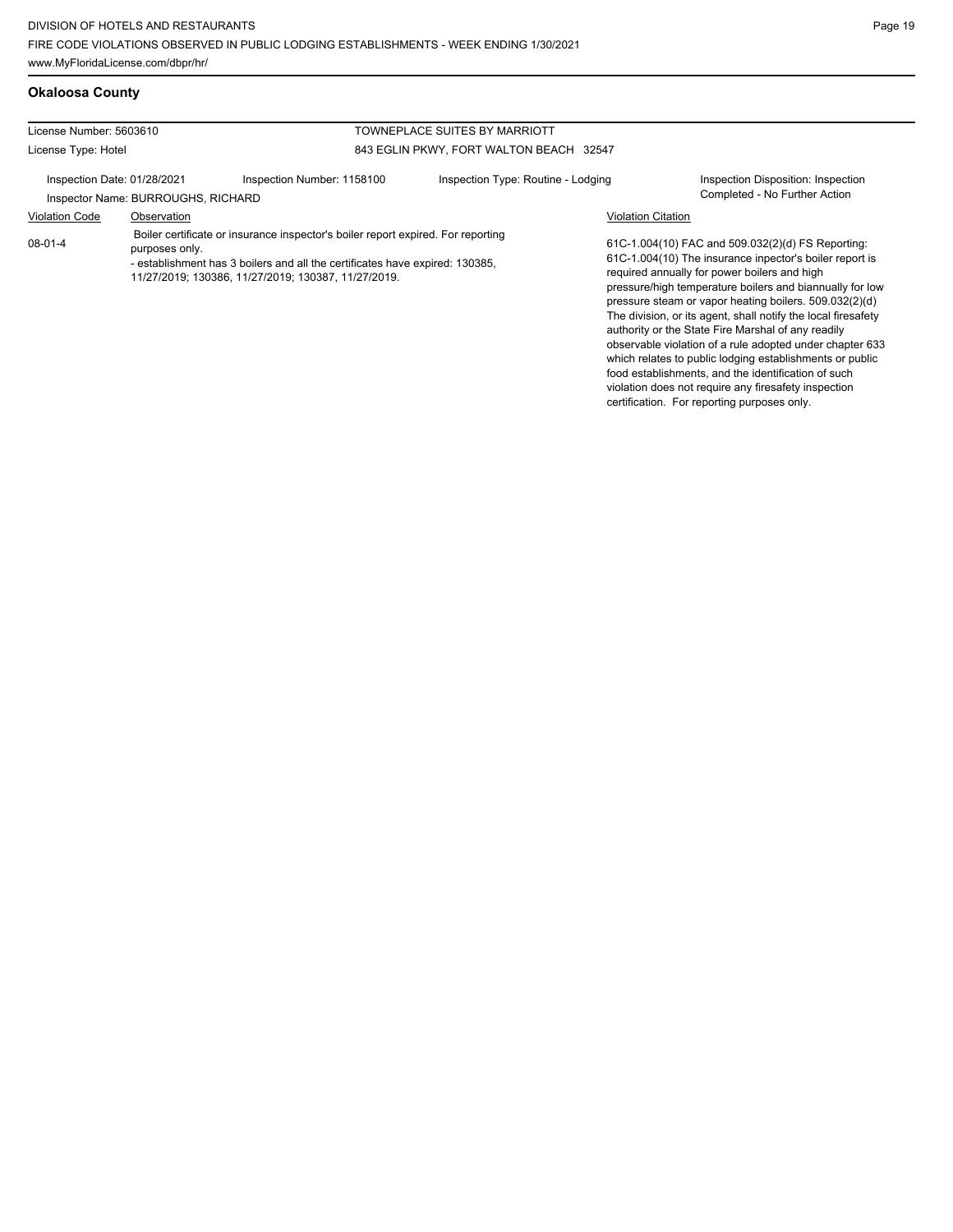**Okaloosa County**

violation does not require any firesafety inspection certification. For reporting purposes only.

| License Number: 5603610     |                                    |                                                                                                                                                                                                                         | TOWNEPLACE SUITES BY MARRIOTT           |                                                                                                                                                                                                                                                                                                                                                                                                                                                                                                                                                                                          |
|-----------------------------|------------------------------------|-------------------------------------------------------------------------------------------------------------------------------------------------------------------------------------------------------------------------|-----------------------------------------|------------------------------------------------------------------------------------------------------------------------------------------------------------------------------------------------------------------------------------------------------------------------------------------------------------------------------------------------------------------------------------------------------------------------------------------------------------------------------------------------------------------------------------------------------------------------------------------|
| License Type: Hotel         |                                    |                                                                                                                                                                                                                         | 843 EGLIN PKWY, FORT WALTON BEACH 32547 |                                                                                                                                                                                                                                                                                                                                                                                                                                                                                                                                                                                          |
| Inspection Date: 01/28/2021 | Inspector Name: BURROUGHS, RICHARD | Inspection Number: 1158100                                                                                                                                                                                              | Inspection Type: Routine - Lodging      | Inspection Disposition: Inspection<br>Completed - No Further Action                                                                                                                                                                                                                                                                                                                                                                                                                                                                                                                      |
| <b>Violation Code</b>       | Observation                        |                                                                                                                                                                                                                         |                                         | <b>Violation Citation</b>                                                                                                                                                                                                                                                                                                                                                                                                                                                                                                                                                                |
| $08-01-4$                   | purposes only.                     | Boiler certificate or insurance inspector's boiler report expired. For reporting<br>- establishment has 3 boilers and all the certificates have expired: 130385,<br>11/27/2019; 130386, 11/27/2019; 130387, 11/27/2019. |                                         | 61C-1.004(10) FAC and 509.032(2)(d) FS Reporting:<br>61C-1.004(10) The insurance inpector's boiler report is<br>required annually for power boilers and high<br>pressure/high temperature boilers and biannually for low<br>pressure steam or vapor heating boilers. 509.032(2)(d)<br>The division, or its agent, shall notify the local firesafety<br>authority or the State Fire Marshal of any readily<br>observable violation of a rule adopted under chapter 633<br>which relates to public lodging establishments or public<br>food establishments, and the identification of such |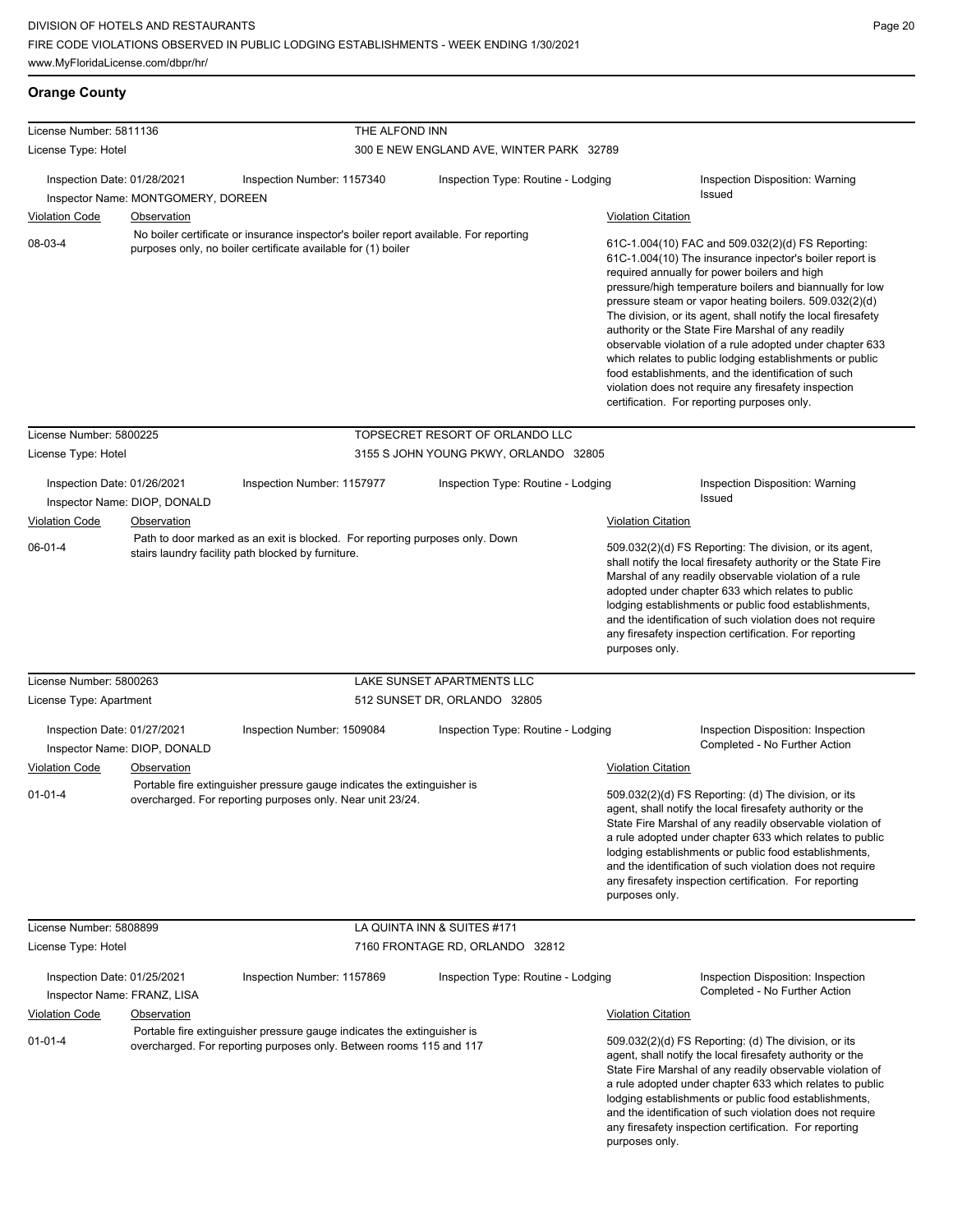**Orange County**

| License Number: 5811136                                                                         |                                                                                                                                                        | THE ALFOND INN                           |                                       |                                                                                                                                                                                                                                                                                                                                                                                                                                                                                                                                                                                                                                                                                                 |                                                                                                                                                                                                                                                                                                                                                                                                                            |
|-------------------------------------------------------------------------------------------------|--------------------------------------------------------------------------------------------------------------------------------------------------------|------------------------------------------|---------------------------------------|-------------------------------------------------------------------------------------------------------------------------------------------------------------------------------------------------------------------------------------------------------------------------------------------------------------------------------------------------------------------------------------------------------------------------------------------------------------------------------------------------------------------------------------------------------------------------------------------------------------------------------------------------------------------------------------------------|----------------------------------------------------------------------------------------------------------------------------------------------------------------------------------------------------------------------------------------------------------------------------------------------------------------------------------------------------------------------------------------------------------------------------|
| License Type: Hotel                                                                             |                                                                                                                                                        | 300 E NEW ENGLAND AVE, WINTER PARK 32789 |                                       |                                                                                                                                                                                                                                                                                                                                                                                                                                                                                                                                                                                                                                                                                                 |                                                                                                                                                                                                                                                                                                                                                                                                                            |
| Inspection Date: 01/28/2021<br>Inspection Number: 1157340<br>Inspector Name: MONTGOMERY, DOREEN |                                                                                                                                                        |                                          | Inspection Type: Routine - Lodging    |                                                                                                                                                                                                                                                                                                                                                                                                                                                                                                                                                                                                                                                                                                 | Inspection Disposition: Warning<br>Issued                                                                                                                                                                                                                                                                                                                                                                                  |
| <b>Violation Code</b>                                                                           | Observation                                                                                                                                            |                                          |                                       | <b>Violation Citation</b>                                                                                                                                                                                                                                                                                                                                                                                                                                                                                                                                                                                                                                                                       |                                                                                                                                                                                                                                                                                                                                                                                                                            |
| 08-03-4                                                                                         | No boiler certificate or insurance inspector's boiler report available. For reporting<br>purposes only, no boiler certificate available for (1) boiler |                                          |                                       | 61C-1.004(10) FAC and 509.032(2)(d) FS Reporting:<br>61C-1.004(10) The insurance inpector's boiler report is<br>required annually for power boilers and high<br>pressure/high temperature boilers and biannually for low<br>pressure steam or vapor heating boilers. 509.032(2)(d)<br>The division, or its agent, shall notify the local firesafety<br>authority or the State Fire Marshal of any readily<br>observable violation of a rule adopted under chapter 633<br>which relates to public lodging establishments or public<br>food establishments, and the identification of such<br>violation does not require any firesafety inspection<br>certification. For reporting purposes only. |                                                                                                                                                                                                                                                                                                                                                                                                                            |
| License Number: 5800225                                                                         |                                                                                                                                                        |                                          | TOPSECRET RESORT OF ORLANDO LLC       |                                                                                                                                                                                                                                                                                                                                                                                                                                                                                                                                                                                                                                                                                                 |                                                                                                                                                                                                                                                                                                                                                                                                                            |
| License Type: Hotel                                                                             |                                                                                                                                                        |                                          | 3155 S JOHN YOUNG PKWY, ORLANDO 32805 |                                                                                                                                                                                                                                                                                                                                                                                                                                                                                                                                                                                                                                                                                                 |                                                                                                                                                                                                                                                                                                                                                                                                                            |
| Inspection Date: 01/26/2021                                                                     | Inspection Number: 1157977<br>Inspector Name: DIOP, DONALD                                                                                             |                                          | Inspection Type: Routine - Lodging    |                                                                                                                                                                                                                                                                                                                                                                                                                                                                                                                                                                                                                                                                                                 | Inspection Disposition: Warning<br>Issued                                                                                                                                                                                                                                                                                                                                                                                  |
| Violation Code                                                                                  | Observation                                                                                                                                            |                                          |                                       | <b>Violation Citation</b>                                                                                                                                                                                                                                                                                                                                                                                                                                                                                                                                                                                                                                                                       |                                                                                                                                                                                                                                                                                                                                                                                                                            |
| $06 - 01 - 4$                                                                                   | Path to door marked as an exit is blocked. For reporting purposes only. Down<br>stairs laundry facility path blocked by furniture.                     |                                          |                                       | purposes only.                                                                                                                                                                                                                                                                                                                                                                                                                                                                                                                                                                                                                                                                                  | 509.032(2)(d) FS Reporting: The division, or its agent,<br>shall notify the local firesafety authority or the State Fire<br>Marshal of any readily observable violation of a rule<br>adopted under chapter 633 which relates to public<br>lodging establishments or public food establishments,<br>and the identification of such violation does not require<br>any firesafety inspection certification. For reporting     |
| License Number: 5800263                                                                         |                                                                                                                                                        |                                          | LAKE SUNSET APARTMENTS LLC            |                                                                                                                                                                                                                                                                                                                                                                                                                                                                                                                                                                                                                                                                                                 |                                                                                                                                                                                                                                                                                                                                                                                                                            |
| License Type: Apartment                                                                         |                                                                                                                                                        |                                          | 512 SUNSET DR, ORLANDO 32805          |                                                                                                                                                                                                                                                                                                                                                                                                                                                                                                                                                                                                                                                                                                 |                                                                                                                                                                                                                                                                                                                                                                                                                            |
| Inspection Date: 01/27/2021                                                                     | Inspection Number: 1509084                                                                                                                             |                                          | Inspection Type: Routine - Lodging    |                                                                                                                                                                                                                                                                                                                                                                                                                                                                                                                                                                                                                                                                                                 | Inspection Disposition: Inspection                                                                                                                                                                                                                                                                                                                                                                                         |
|                                                                                                 | Inspector Name: DIOP, DONALD                                                                                                                           |                                          |                                       |                                                                                                                                                                                                                                                                                                                                                                                                                                                                                                                                                                                                                                                                                                 | Completed - No Further Action                                                                                                                                                                                                                                                                                                                                                                                              |
| <b>Violation Code</b>                                                                           | Observation                                                                                                                                            |                                          |                                       | <b>Violation Citation</b>                                                                                                                                                                                                                                                                                                                                                                                                                                                                                                                                                                                                                                                                       |                                                                                                                                                                                                                                                                                                                                                                                                                            |
| $01 - 01 - 4$                                                                                   | Portable fire extinguisher pressure gauge indicates the extinguisher is<br>overcharged. For reporting purposes only. Near unit 23/24.                  |                                          |                                       | purposes only.                                                                                                                                                                                                                                                                                                                                                                                                                                                                                                                                                                                                                                                                                  | 509.032(2)(d) FS Reporting: (d) The division, or its<br>agent, shall notify the local firesafety authority or the<br>State Fire Marshal of any readily observable violation of<br>a rule adopted under chapter 633 which relates to public<br>lodging establishments or public food establishments,<br>and the identification of such violation does not require<br>any firesafety inspection certification. For reporting |
| License Number: 5808899                                                                         |                                                                                                                                                        |                                          | LA QUINTA INN & SUITES #171           |                                                                                                                                                                                                                                                                                                                                                                                                                                                                                                                                                                                                                                                                                                 |                                                                                                                                                                                                                                                                                                                                                                                                                            |
| License Type: Hotel                                                                             |                                                                                                                                                        |                                          | 7160 FRONTAGE RD, ORLANDO 32812       |                                                                                                                                                                                                                                                                                                                                                                                                                                                                                                                                                                                                                                                                                                 |                                                                                                                                                                                                                                                                                                                                                                                                                            |
| Inspection Date: 01/25/2021<br>Inspector Name: FRANZ, LISA                                      | Inspection Number: 1157869                                                                                                                             |                                          | Inspection Type: Routine - Lodging    |                                                                                                                                                                                                                                                                                                                                                                                                                                                                                                                                                                                                                                                                                                 | Inspection Disposition: Inspection<br>Completed - No Further Action                                                                                                                                                                                                                                                                                                                                                        |
| <b>Violation Code</b>                                                                           | Observation                                                                                                                                            |                                          |                                       | <b>Violation Citation</b>                                                                                                                                                                                                                                                                                                                                                                                                                                                                                                                                                                                                                                                                       |                                                                                                                                                                                                                                                                                                                                                                                                                            |
| $01 - 01 - 4$                                                                                   | Portable fire extinguisher pressure gauge indicates the extinguisher is<br>overcharged. For reporting purposes only. Between rooms 115 and 117         |                                          |                                       | purposes only.                                                                                                                                                                                                                                                                                                                                                                                                                                                                                                                                                                                                                                                                                  | 509.032(2)(d) FS Reporting: (d) The division, or its<br>agent, shall notify the local firesafety authority or the<br>State Fire Marshal of any readily observable violation of<br>a rule adopted under chapter 633 which relates to public<br>lodging establishments or public food establishments,<br>and the identification of such violation does not require<br>any firesafety inspection certification. For reporting |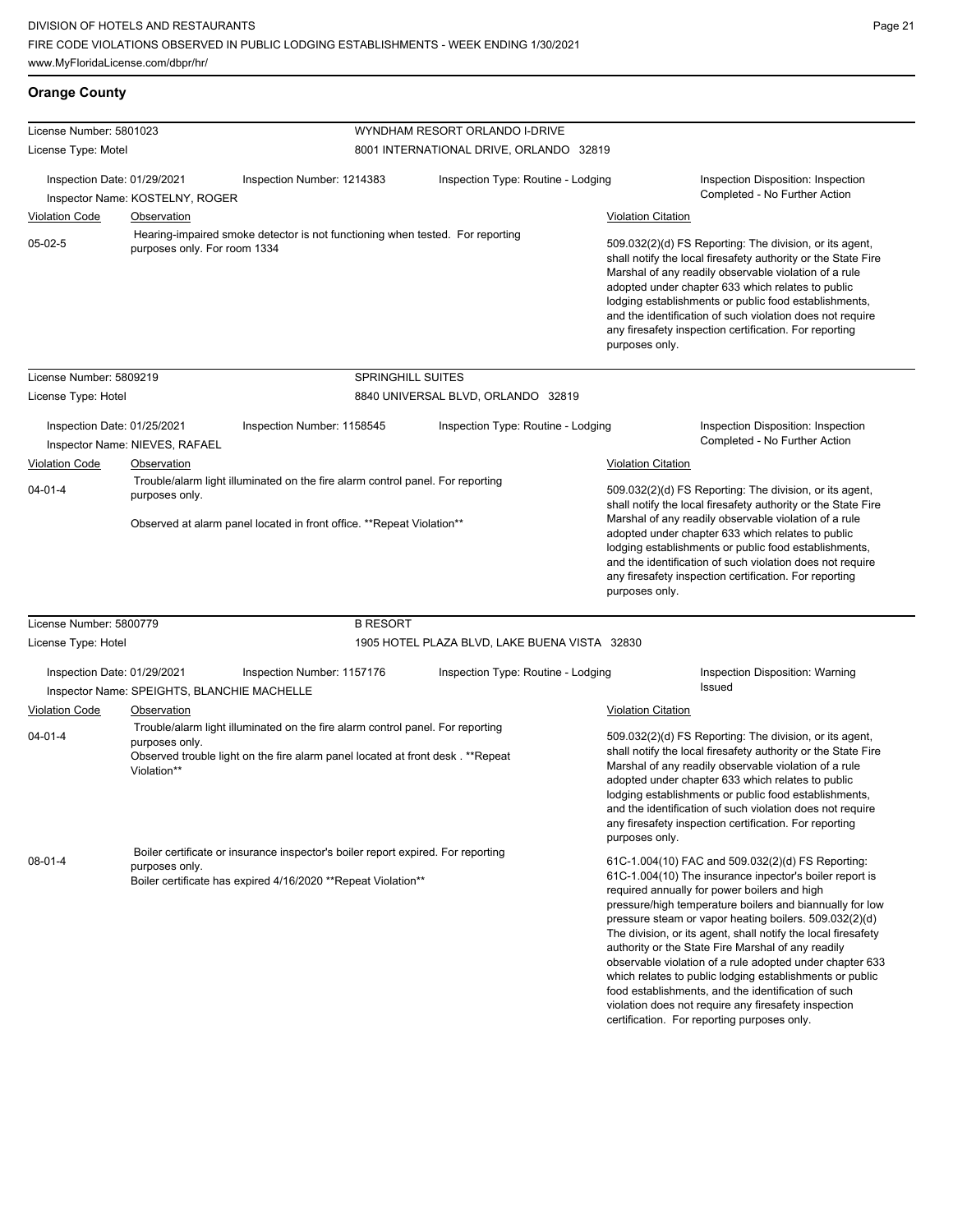| <b>Orange County</b>        |                                             |                                                                                                                                                         |                                               |                                                                                                                                                                                                                                                                                                                                                                                                                                          |                                                                                                                                                                                                                                                                                                                                                                                                                                                                                                                                                                                                                                                  |  |
|-----------------------------|---------------------------------------------|---------------------------------------------------------------------------------------------------------------------------------------------------------|-----------------------------------------------|------------------------------------------------------------------------------------------------------------------------------------------------------------------------------------------------------------------------------------------------------------------------------------------------------------------------------------------------------------------------------------------------------------------------------------------|--------------------------------------------------------------------------------------------------------------------------------------------------------------------------------------------------------------------------------------------------------------------------------------------------------------------------------------------------------------------------------------------------------------------------------------------------------------------------------------------------------------------------------------------------------------------------------------------------------------------------------------------------|--|
| License Number: 5801023     |                                             |                                                                                                                                                         | WYNDHAM RESORT ORLANDO I-DRIVE                |                                                                                                                                                                                                                                                                                                                                                                                                                                          |                                                                                                                                                                                                                                                                                                                                                                                                                                                                                                                                                                                                                                                  |  |
| License Type: Motel         |                                             |                                                                                                                                                         | 8001 INTERNATIONAL DRIVE, ORLANDO 32819       |                                                                                                                                                                                                                                                                                                                                                                                                                                          |                                                                                                                                                                                                                                                                                                                                                                                                                                                                                                                                                                                                                                                  |  |
| Inspection Date: 01/29/2021 |                                             | Inspection Number: 1214383                                                                                                                              | Inspection Type: Routine - Lodging            |                                                                                                                                                                                                                                                                                                                                                                                                                                          | Inspection Disposition: Inspection                                                                                                                                                                                                                                                                                                                                                                                                                                                                                                                                                                                                               |  |
|                             | Inspector Name: KOSTELNY, ROGER             |                                                                                                                                                         |                                               |                                                                                                                                                                                                                                                                                                                                                                                                                                          | Completed - No Further Action                                                                                                                                                                                                                                                                                                                                                                                                                                                                                                                                                                                                                    |  |
| <b>Violation Code</b>       | Observation                                 |                                                                                                                                                         |                                               | <b>Violation Citation</b>                                                                                                                                                                                                                                                                                                                                                                                                                |                                                                                                                                                                                                                                                                                                                                                                                                                                                                                                                                                                                                                                                  |  |
| $05-02-5$                   | purposes only. For room 1334                | Hearing-impaired smoke detector is not functioning when tested. For reporting                                                                           |                                               | 509.032(2)(d) FS Reporting: The division, or its agent,<br>shall notify the local firesafety authority or the State Fire<br>Marshal of any readily observable violation of a rule<br>adopted under chapter 633 which relates to public<br>lodging establishments or public food establishments,<br>and the identification of such violation does not require<br>any firesafety inspection certification. For reporting<br>purposes only. |                                                                                                                                                                                                                                                                                                                                                                                                                                                                                                                                                                                                                                                  |  |
| License Number: 5809219     |                                             | <b>SPRINGHILL SUITES</b>                                                                                                                                |                                               |                                                                                                                                                                                                                                                                                                                                                                                                                                          |                                                                                                                                                                                                                                                                                                                                                                                                                                                                                                                                                                                                                                                  |  |
| License Type: Hotel         |                                             |                                                                                                                                                         | 8840 UNIVERSAL BLVD, ORLANDO 32819            |                                                                                                                                                                                                                                                                                                                                                                                                                                          |                                                                                                                                                                                                                                                                                                                                                                                                                                                                                                                                                                                                                                                  |  |
| Inspection Date: 01/25/2021 | Inspector Name: NIEVES, RAFAEL              | Inspection Number: 1158545                                                                                                                              | Inspection Type: Routine - Lodging            |                                                                                                                                                                                                                                                                                                                                                                                                                                          | Inspection Disposition: Inspection<br>Completed - No Further Action                                                                                                                                                                                                                                                                                                                                                                                                                                                                                                                                                                              |  |
| <b>Violation Code</b>       | Observation                                 |                                                                                                                                                         |                                               | <b>Violation Citation</b>                                                                                                                                                                                                                                                                                                                                                                                                                |                                                                                                                                                                                                                                                                                                                                                                                                                                                                                                                                                                                                                                                  |  |
| $04 - 01 - 4$               | purposes only.                              | Trouble/alarm light illuminated on the fire alarm control panel. For reporting<br>Observed at alarm panel located in front office. **Repeat Violation** |                                               |                                                                                                                                                                                                                                                                                                                                                                                                                                          | 509.032(2)(d) FS Reporting: The division, or its agent,<br>shall notify the local firesafety authority or the State Fire<br>Marshal of any readily observable violation of a rule<br>adopted under chapter 633 which relates to public<br>lodging establishments or public food establishments,<br>and the identification of such violation does not require<br>any firesafety inspection certification. For reporting<br>purposes only.                                                                                                                                                                                                         |  |
| License Number: 5800779     |                                             | <b>B RESORT</b>                                                                                                                                         |                                               |                                                                                                                                                                                                                                                                                                                                                                                                                                          |                                                                                                                                                                                                                                                                                                                                                                                                                                                                                                                                                                                                                                                  |  |
| License Type: Hotel         |                                             |                                                                                                                                                         | 1905 HOTEL PLAZA BLVD, LAKE BUENA VISTA 32830 |                                                                                                                                                                                                                                                                                                                                                                                                                                          |                                                                                                                                                                                                                                                                                                                                                                                                                                                                                                                                                                                                                                                  |  |
| Inspection Date: 01/29/2021 | Inspector Name: SPEIGHTS, BLANCHIE MACHELLE | Inspection Number: 1157176                                                                                                                              | Inspection Type: Routine - Lodging            |                                                                                                                                                                                                                                                                                                                                                                                                                                          | Inspection Disposition: Warning<br><b>Issued</b>                                                                                                                                                                                                                                                                                                                                                                                                                                                                                                                                                                                                 |  |
| <b>Violation Code</b>       | Observation                                 |                                                                                                                                                         |                                               | Violation Citation                                                                                                                                                                                                                                                                                                                                                                                                                       |                                                                                                                                                                                                                                                                                                                                                                                                                                                                                                                                                                                                                                                  |  |
| $04 - 01 - 4$               | purposes only.                              | Trouble/alarm light illuminated on the fire alarm control panel. For reporting                                                                          |                                               |                                                                                                                                                                                                                                                                                                                                                                                                                                          | 509.032(2)(d) FS Reporting: The division, or its agent,                                                                                                                                                                                                                                                                                                                                                                                                                                                                                                                                                                                          |  |
|                             | Violation**                                 | Observed trouble light on the fire alarm panel located at front desk. **Repeat                                                                          |                                               | purposes only.                                                                                                                                                                                                                                                                                                                                                                                                                           | shall notify the local firesafety authority or the State Fire<br>Marshal of any readily observable violation of a rule<br>adopted under chapter 633 which relates to public<br>lodging establishments or public food establishments,<br>and the identification of such violation does not require<br>any firesafety inspection certification. For reporting                                                                                                                                                                                                                                                                                      |  |
| $08 - 01 - 4$               | purposes only.                              | Boiler certificate or insurance inspector's boiler report expired. For reporting<br>Boiler certificate has expired 4/16/2020 ** Repeat Violation**      |                                               |                                                                                                                                                                                                                                                                                                                                                                                                                                          | 61C-1.004(10) FAC and 509.032(2)(d) FS Reporting:<br>61C-1.004(10) The insurance inpector's boiler report is<br>required annually for power boilers and high<br>pressure/high temperature boilers and biannually for low<br>pressure steam or vapor heating boilers. 509.032(2)(d)<br>The division, or its agent, shall notify the local firesafety<br>authority or the State Fire Marshal of any readily<br>observable violation of a rule adopted under chapter 633<br>which relates to public lodging establishments or public<br>food establishments, and the identification of such<br>violation does not require any firesafety inspection |  |

certification. For reporting purposes only.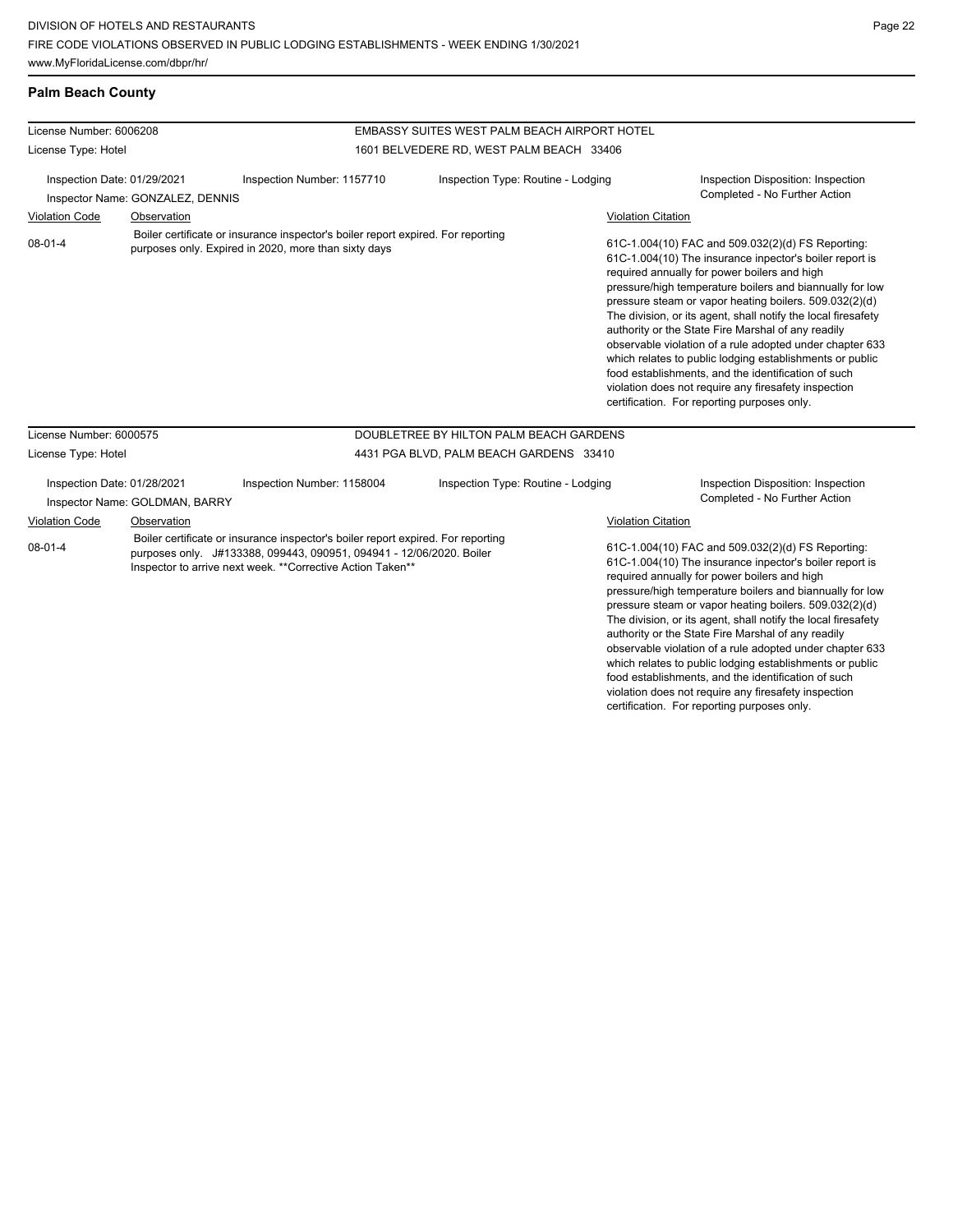## **Palm Beach County**

| EMBASSY SUITES WEST PALM BEACH AIRPORT HOTEL                                                                                                                                                                                         |                                  |                                                                                                                                          |                                          |                                                                                                                                                                                                                                                                                                                                                                                                                                                                                                                                                                                                                                                                                                 |                                                                     |  |
|--------------------------------------------------------------------------------------------------------------------------------------------------------------------------------------------------------------------------------------|----------------------------------|------------------------------------------------------------------------------------------------------------------------------------------|------------------------------------------|-------------------------------------------------------------------------------------------------------------------------------------------------------------------------------------------------------------------------------------------------------------------------------------------------------------------------------------------------------------------------------------------------------------------------------------------------------------------------------------------------------------------------------------------------------------------------------------------------------------------------------------------------------------------------------------------------|---------------------------------------------------------------------|--|
| License Number: 6006208                                                                                                                                                                                                              |                                  |                                                                                                                                          |                                          |                                                                                                                                                                                                                                                                                                                                                                                                                                                                                                                                                                                                                                                                                                 |                                                                     |  |
| License Type: Hotel                                                                                                                                                                                                                  |                                  |                                                                                                                                          | 1601 BELVEDERE RD, WEST PALM BEACH 33406 |                                                                                                                                                                                                                                                                                                                                                                                                                                                                                                                                                                                                                                                                                                 |                                                                     |  |
| Inspection Date: 01/29/2021                                                                                                                                                                                                          | Inspector Name: GONZALEZ, DENNIS | Inspection Number: 1157710                                                                                                               | Inspection Type: Routine - Lodging       |                                                                                                                                                                                                                                                                                                                                                                                                                                                                                                                                                                                                                                                                                                 | Inspection Disposition: Inspection<br>Completed - No Further Action |  |
| <b>Violation Code</b>                                                                                                                                                                                                                | Observation                      |                                                                                                                                          |                                          | <b>Violation Citation</b>                                                                                                                                                                                                                                                                                                                                                                                                                                                                                                                                                                                                                                                                       |                                                                     |  |
| $08-01-4$                                                                                                                                                                                                                            |                                  | Boiler certificate or insurance inspector's boiler report expired. For reporting<br>purposes only. Expired in 2020, more than sixty days |                                          | 61C-1.004(10) FAC and 509.032(2)(d) FS Reporting:<br>61C-1.004(10) The insurance inpector's boiler report is<br>required annually for power boilers and high<br>pressure/high temperature boilers and biannually for low<br>pressure steam or vapor heating boilers. 509.032(2)(d)<br>The division, or its agent, shall notify the local firesafety<br>authority or the State Fire Marshal of any readily<br>observable violation of a rule adopted under chapter 633<br>which relates to public lodging establishments or public<br>food establishments, and the identification of such<br>violation does not require any firesafety inspection<br>certification. For reporting purposes only. |                                                                     |  |
| License Number: 6000575                                                                                                                                                                                                              |                                  |                                                                                                                                          | DOUBLETREE BY HILTON PALM BEACH GARDENS  |                                                                                                                                                                                                                                                                                                                                                                                                                                                                                                                                                                                                                                                                                                 |                                                                     |  |
| License Type: Hotel                                                                                                                                                                                                                  |                                  |                                                                                                                                          | 4431 PGA BLVD, PALM BEACH GARDENS 33410  |                                                                                                                                                                                                                                                                                                                                                                                                                                                                                                                                                                                                                                                                                                 |                                                                     |  |
| Inspection Date: 01/28/2021                                                                                                                                                                                                          | Inspector Name: GOLDMAN, BARRY   | Inspection Number: 1158004                                                                                                               | Inspection Type: Routine - Lodging       |                                                                                                                                                                                                                                                                                                                                                                                                                                                                                                                                                                                                                                                                                                 | Inspection Disposition: Inspection<br>Completed - No Further Action |  |
| <b>Violation Code</b>                                                                                                                                                                                                                | Observation                      |                                                                                                                                          |                                          | <b>Violation Citation</b>                                                                                                                                                                                                                                                                                                                                                                                                                                                                                                                                                                                                                                                                       |                                                                     |  |
| Boiler certificate or insurance inspector's boiler report expired. For reporting<br>$08-01-4$<br>purposes only. J#133388, 099443, 090951, 094941 - 12/06/2020. Boiler<br>Inspector to arrive next week. ** Corrective Action Taken** |                                  |                                                                                                                                          |                                          | 61C-1.004(10) FAC and 509.032(2)(d) FS Reporting:<br>61C-1.004(10) The insurance inpector's boiler report is<br>required annually for power boilers and high<br>pressure/high temperature boilers and biannually for low                                                                                                                                                                                                                                                                                                                                                                                                                                                                        |                                                                     |  |

pressure steam or vapor heating boilers. 509.032(2)(d) The division, or its agent, shall notify the local firesafety authority or the State Fire Marshal of any readily observable violation of a rule adopted under chapter 633 which relates to public lodging establishments or public food establishments, and the identification of such violation does not require any firesafety inspection certification. For reporting purposes only.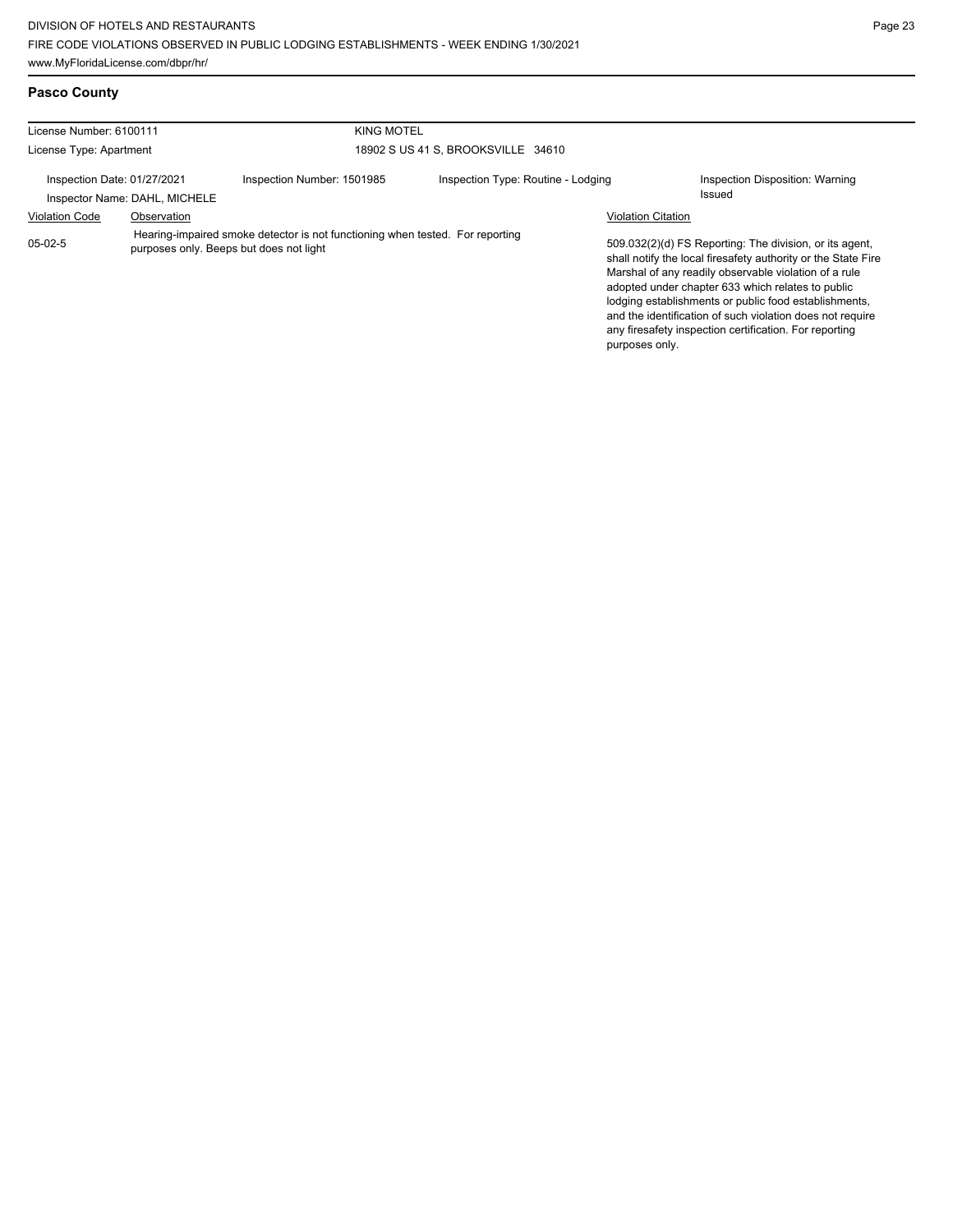| <b>Pasco County</b>                                           |                                                              |                                                                                                                          |                                    |                                                                                                                                                                                                                                                                                                                                                                                                                                          |
|---------------------------------------------------------------|--------------------------------------------------------------|--------------------------------------------------------------------------------------------------------------------------|------------------------------------|------------------------------------------------------------------------------------------------------------------------------------------------------------------------------------------------------------------------------------------------------------------------------------------------------------------------------------------------------------------------------------------------------------------------------------------|
| License Number: 6100111                                       |                                                              | KING MOTEL                                                                                                               |                                    |                                                                                                                                                                                                                                                                                                                                                                                                                                          |
| 18902 S US 41 S, BROOKSVILLE 34610<br>License Type: Apartment |                                                              |                                                                                                                          |                                    |                                                                                                                                                                                                                                                                                                                                                                                                                                          |
|                                                               | Inspection Date: 01/27/2021<br>Inspector Name: DAHL, MICHELE | Inspection Number: 1501985                                                                                               | Inspection Type: Routine - Lodging | Inspection Disposition: Warning<br>Issued                                                                                                                                                                                                                                                                                                                                                                                                |
| <b>Violation Code</b>                                         | Observation                                                  |                                                                                                                          |                                    | <b>Violation Citation</b>                                                                                                                                                                                                                                                                                                                                                                                                                |
| $05-02-5$                                                     |                                                              | Hearing-impaired smoke detector is not functioning when tested. For reporting<br>purposes only. Beeps but does not light |                                    | 509.032(2)(d) FS Reporting: The division, or its agent,<br>shall notify the local firesafety authority or the State Fire<br>Marshal of any readily observable violation of a rule<br>adopted under chapter 633 which relates to public<br>lodging establishments or public food establishments,<br>and the identification of such violation does not require<br>any firesafety inspection certification. For reporting<br>purposes only. |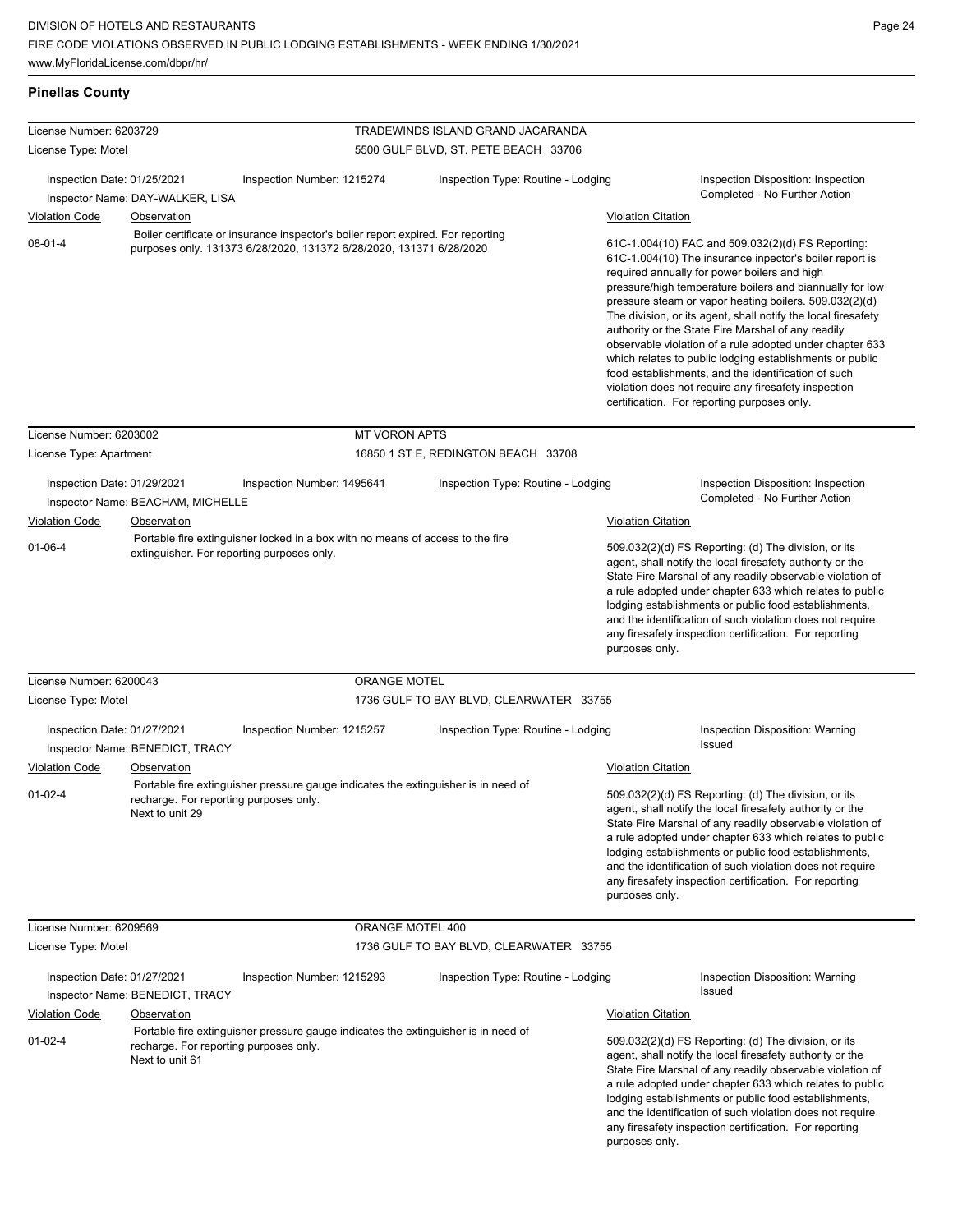| <b>Pinellas County</b>                 |                                                                                                                                                                                                                                                                                                              |                                                                                                                                                         |                                         |                                                                                                                                                                                                                                                                                                          |                                                                                                                                                                                                                                                                                                                                                                                                                                                                                                                                                                                                                                                                                                 |  |
|----------------------------------------|--------------------------------------------------------------------------------------------------------------------------------------------------------------------------------------------------------------------------------------------------------------------------------------------------------------|---------------------------------------------------------------------------------------------------------------------------------------------------------|-----------------------------------------|----------------------------------------------------------------------------------------------------------------------------------------------------------------------------------------------------------------------------------------------------------------------------------------------------------|-------------------------------------------------------------------------------------------------------------------------------------------------------------------------------------------------------------------------------------------------------------------------------------------------------------------------------------------------------------------------------------------------------------------------------------------------------------------------------------------------------------------------------------------------------------------------------------------------------------------------------------------------------------------------------------------------|--|
| License Number: 6203729                |                                                                                                                                                                                                                                                                                                              |                                                                                                                                                         | TRADEWINDS ISLAND GRAND JACARANDA       |                                                                                                                                                                                                                                                                                                          |                                                                                                                                                                                                                                                                                                                                                                                                                                                                                                                                                                                                                                                                                                 |  |
| License Type: Motel                    |                                                                                                                                                                                                                                                                                                              |                                                                                                                                                         | 5500 GULF BLVD, ST. PETE BEACH 33706    |                                                                                                                                                                                                                                                                                                          |                                                                                                                                                                                                                                                                                                                                                                                                                                                                                                                                                                                                                                                                                                 |  |
| Inspection Date: 01/25/2021            | Inspector Name: DAY-WALKER, LISA                                                                                                                                                                                                                                                                             | Inspection Number: 1215274                                                                                                                              | Inspection Type: Routine - Lodging      |                                                                                                                                                                                                                                                                                                          | Inspection Disposition: Inspection<br>Completed - No Further Action                                                                                                                                                                                                                                                                                                                                                                                                                                                                                                                                                                                                                             |  |
| <b>Violation Code</b>                  | Observation                                                                                                                                                                                                                                                                                                  |                                                                                                                                                         |                                         |                                                                                                                                                                                                                                                                                                          | <b>Violation Citation</b>                                                                                                                                                                                                                                                                                                                                                                                                                                                                                                                                                                                                                                                                       |  |
| $08 - 01 - 4$                          |                                                                                                                                                                                                                                                                                                              | Boiler certificate or insurance inspector's boiler report expired. For reporting<br>purposes only. 131373 6/28/2020, 131372 6/28/2020, 131371 6/28/2020 |                                         |                                                                                                                                                                                                                                                                                                          | 61C-1.004(10) FAC and 509.032(2)(d) FS Reporting:<br>61C-1.004(10) The insurance inpector's boiler report is<br>required annually for power boilers and high<br>pressure/high temperature boilers and biannually for low<br>pressure steam or vapor heating boilers. 509.032(2)(d)<br>The division, or its agent, shall notify the local firesafety<br>authority or the State Fire Marshal of any readily<br>observable violation of a rule adopted under chapter 633<br>which relates to public lodging establishments or public<br>food establishments, and the identification of such<br>violation does not require any firesafety inspection<br>certification. For reporting purposes only. |  |
| License Number: 6203002                |                                                                                                                                                                                                                                                                                                              | <b>MT VORON APTS</b>                                                                                                                                    |                                         |                                                                                                                                                                                                                                                                                                          |                                                                                                                                                                                                                                                                                                                                                                                                                                                                                                                                                                                                                                                                                                 |  |
| License Type: Apartment                |                                                                                                                                                                                                                                                                                                              |                                                                                                                                                         | 16850 1 ST E, REDINGTON BEACH 33708     |                                                                                                                                                                                                                                                                                                          |                                                                                                                                                                                                                                                                                                                                                                                                                                                                                                                                                                                                                                                                                                 |  |
| Inspection Date: 01/29/2021            | Inspector Name: BEACHAM, MICHELLE                                                                                                                                                                                                                                                                            | Inspection Number: 1495641                                                                                                                              | Inspection Type: Routine - Lodging      |                                                                                                                                                                                                                                                                                                          | Inspection Disposition: Inspection<br>Completed - No Further Action                                                                                                                                                                                                                                                                                                                                                                                                                                                                                                                                                                                                                             |  |
| <b>Violation Code</b><br>$01 - 06 - 4$ | <b>Violation Citation</b><br>Observation<br>Portable fire extinguisher locked in a box with no means of access to the fire<br>509.032(2)(d) FS Reporting: (d) The division, or its<br>extinguisher. For reporting purposes only.<br>any firesafety inspection certification. For reporting<br>purposes only. |                                                                                                                                                         |                                         | agent, shall notify the local firesafety authority or the<br>State Fire Marshal of any readily observable violation of<br>a rule adopted under chapter 633 which relates to public<br>lodging establishments or public food establishments,<br>and the identification of such violation does not require |                                                                                                                                                                                                                                                                                                                                                                                                                                                                                                                                                                                                                                                                                                 |  |
| License Number: 6200043                |                                                                                                                                                                                                                                                                                                              | <b>ORANGE MOTEL</b>                                                                                                                                     |                                         |                                                                                                                                                                                                                                                                                                          |                                                                                                                                                                                                                                                                                                                                                                                                                                                                                                                                                                                                                                                                                                 |  |
| License Type: Motel                    |                                                                                                                                                                                                                                                                                                              |                                                                                                                                                         | 1736 GULF TO BAY BLVD, CLEARWATER 33755 |                                                                                                                                                                                                                                                                                                          |                                                                                                                                                                                                                                                                                                                                                                                                                                                                                                                                                                                                                                                                                                 |  |
| Inspection Date: 01/27/2021            | Inspector Name: BENEDICT, TRACY                                                                                                                                                                                                                                                                              | Inspection Number: 1215257                                                                                                                              | Inspection Type: Routine - Lodging      |                                                                                                                                                                                                                                                                                                          | Inspection Disposition: Warning<br><b>Issued</b>                                                                                                                                                                                                                                                                                                                                                                                                                                                                                                                                                                                                                                                |  |
| <b>Violation Code</b><br>$01 - 02 - 4$ | Observation<br>recharge. For reporting purposes only.<br>Next to unit 29                                                                                                                                                                                                                                     | Portable fire extinguisher pressure gauge indicates the extinguisher is in need of                                                                      |                                         |                                                                                                                                                                                                                                                                                                          | <b>Violation Citation</b><br>509.032(2)(d) FS Reporting: (d) The division, or its<br>agent, shall notify the local firesafety authority or the<br>State Fire Marshal of any readily observable violation of<br>a rule adopted under chapter 633 which relates to public<br>lodging establishments or public food establishments,<br>and the identification of such violation does not require<br>any firesafety inspection certification. For reporting<br>purposes only.                                                                                                                                                                                                                       |  |
| License Number: 6209569                |                                                                                                                                                                                                                                                                                                              |                                                                                                                                                         | ORANGE MOTEL 400                        |                                                                                                                                                                                                                                                                                                          |                                                                                                                                                                                                                                                                                                                                                                                                                                                                                                                                                                                                                                                                                                 |  |
| License Type: Motel                    |                                                                                                                                                                                                                                                                                                              |                                                                                                                                                         | 1736 GULF TO BAY BLVD, CLEARWATER 33755 |                                                                                                                                                                                                                                                                                                          |                                                                                                                                                                                                                                                                                                                                                                                                                                                                                                                                                                                                                                                                                                 |  |
| Inspection Date: 01/27/2021            | Inspector Name: BENEDICT, TRACY                                                                                                                                                                                                                                                                              | Inspection Number: 1215293                                                                                                                              | Inspection Type: Routine - Lodging      |                                                                                                                                                                                                                                                                                                          | Inspection Disposition: Warning<br>Issued                                                                                                                                                                                                                                                                                                                                                                                                                                                                                                                                                                                                                                                       |  |
| <b>Violation Code</b>                  | Observation                                                                                                                                                                                                                                                                                                  |                                                                                                                                                         |                                         | <b>Violation Citation</b>                                                                                                                                                                                                                                                                                |                                                                                                                                                                                                                                                                                                                                                                                                                                                                                                                                                                                                                                                                                                 |  |
| $01 - 02 - 4$                          | recharge. For reporting purposes only.<br>Next to unit 61                                                                                                                                                                                                                                                    | Portable fire extinguisher pressure gauge indicates the extinguisher is in need of                                                                      |                                         | purposes only.                                                                                                                                                                                                                                                                                           | 509.032(2)(d) FS Reporting: (d) The division, or its<br>agent, shall notify the local firesafety authority or the<br>State Fire Marshal of any readily observable violation of<br>a rule adopted under chapter 633 which relates to public<br>lodging establishments or public food establishments,<br>and the identification of such violation does not require<br>any firesafety inspection certification. For reporting                                                                                                                                                                                                                                                                      |  |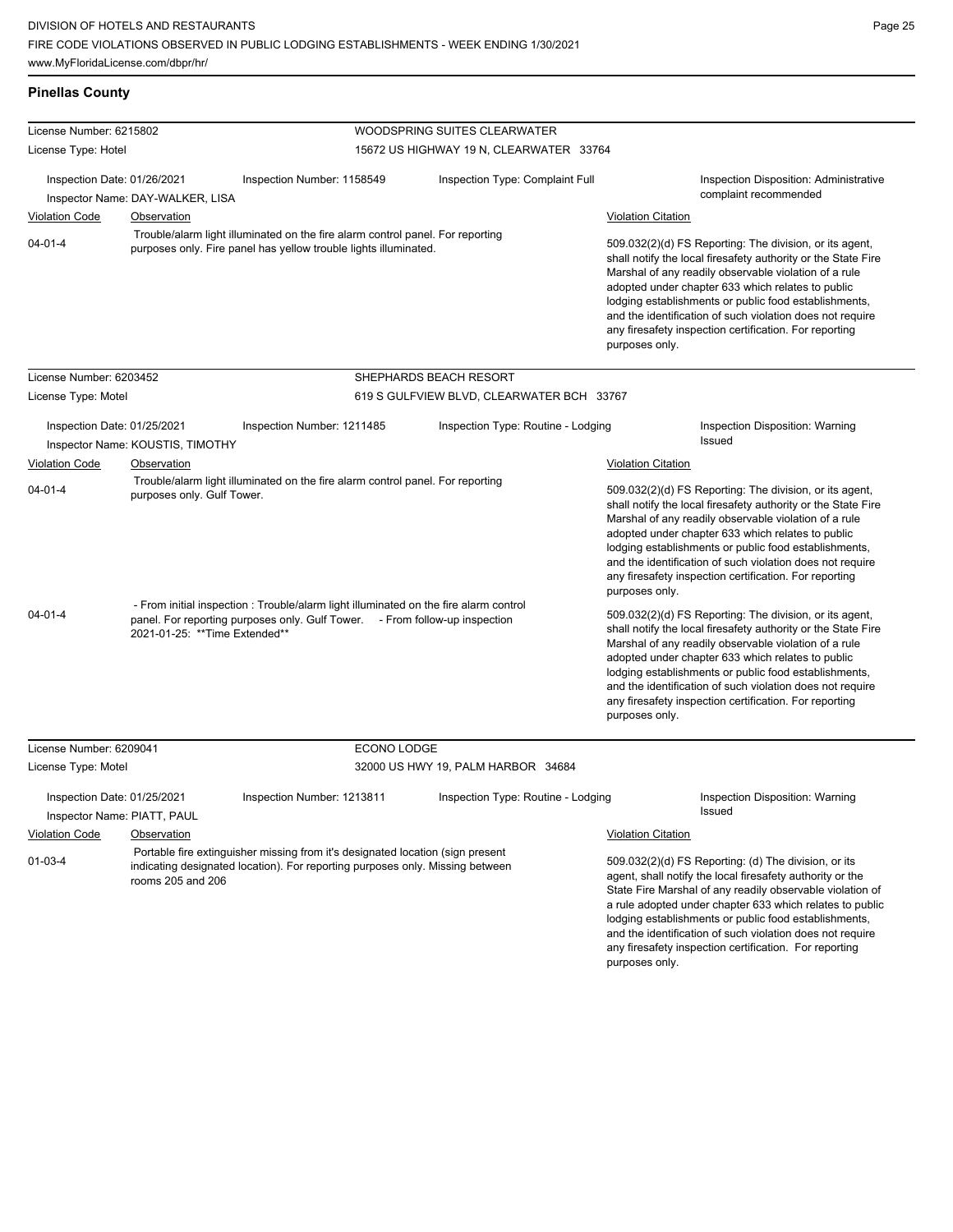| <b>Pinellas County</b>                                          |                                  |                                                                                                                                                                                                                                                        |                                           |                                                                                                                                                                                                                                                                                                                                                                                                                                          |                                           |  |
|-----------------------------------------------------------------|----------------------------------|--------------------------------------------------------------------------------------------------------------------------------------------------------------------------------------------------------------------------------------------------------|-------------------------------------------|------------------------------------------------------------------------------------------------------------------------------------------------------------------------------------------------------------------------------------------------------------------------------------------------------------------------------------------------------------------------------------------------------------------------------------------|-------------------------------------------|--|
| License Number: 6215802                                         |                                  |                                                                                                                                                                                                                                                        | WOODSPRING SUITES CLEARWATER              |                                                                                                                                                                                                                                                                                                                                                                                                                                          |                                           |  |
| License Type: Hotel                                             |                                  |                                                                                                                                                                                                                                                        | 15672 US HIGHWAY 19 N, CLEARWATER 33764   |                                                                                                                                                                                                                                                                                                                                                                                                                                          |                                           |  |
| Inspection Date: 01/26/2021<br>Inspector Name: DAY-WALKER, LISA |                                  | Inspection Number: 1158549                                                                                                                                                                                                                             | Inspection Type: Complaint Full           | Inspection Disposition: Administrative<br>complaint recommended                                                                                                                                                                                                                                                                                                                                                                          |                                           |  |
| <b>Violation Code</b>                                           | Observation                      |                                                                                                                                                                                                                                                        |                                           | <b>Violation Citation</b>                                                                                                                                                                                                                                                                                                                                                                                                                |                                           |  |
| $04 - 01 - 4$                                                   |                                  | Trouble/alarm light illuminated on the fire alarm control panel. For reporting<br>purposes only. Fire panel has yellow trouble lights illuminated.                                                                                                     |                                           | 509.032(2)(d) FS Reporting: The division, or its agent,<br>shall notify the local firesafety authority or the State Fire<br>Marshal of any readily observable violation of a rule<br>adopted under chapter 633 which relates to public<br>lodging establishments or public food establishments,<br>and the identification of such violation does not require<br>any firesafety inspection certification. For reporting<br>purposes only. |                                           |  |
| License Number: 6203452                                         |                                  |                                                                                                                                                                                                                                                        | SHEPHARDS BEACH RESORT                    |                                                                                                                                                                                                                                                                                                                                                                                                                                          |                                           |  |
| License Type: Motel                                             |                                  |                                                                                                                                                                                                                                                        | 619 S GULFVIEW BLVD, CLEARWATER BCH 33767 |                                                                                                                                                                                                                                                                                                                                                                                                                                          |                                           |  |
| Inspection Date: 01/25/2021                                     | Inspector Name: KOUSTIS, TIMOTHY | Inspection Number: 1211485                                                                                                                                                                                                                             | Inspection Type: Routine - Lodging        |                                                                                                                                                                                                                                                                                                                                                                                                                                          | Inspection Disposition: Warning<br>Issued |  |
| <b>Violation Code</b>                                           | Observation                      |                                                                                                                                                                                                                                                        |                                           | <b>Violation Citation</b>                                                                                                                                                                                                                                                                                                                                                                                                                |                                           |  |
| $04 - 01 - 4$                                                   | purposes only. Gulf Tower.       | Trouble/alarm light illuminated on the fire alarm control panel. For reporting<br>- From initial inspection : Trouble/alarm light illuminated on the fire alarm control<br>panel. For reporting purposes only. Gulf Tower. - From follow-up inspection |                                           | 509.032(2)(d) FS Reporting: The division, or its agent,<br>shall notify the local firesafety authority or the State Fire<br>Marshal of any readily observable violation of a rule<br>adopted under chapter 633 which relates to public<br>lodging establishments or public food establishments,<br>and the identification of such violation does not require<br>any firesafety inspection certification. For reporting<br>purposes only. |                                           |  |
| $04 - 01 - 4$                                                   | 2021-01-25: **Time Extended**    |                                                                                                                                                                                                                                                        |                                           | 509.032(2)(d) FS Reporting: The division, or its agent,<br>shall notify the local firesafety authority or the State Fire<br>Marshal of any readily observable violation of a rule<br>adopted under chapter 633 which relates to public<br>lodging establishments or public food establishments,<br>and the identification of such violation does not require<br>any firesafety inspection certification. For reporting<br>purposes only. |                                           |  |
| License Number: 6209041                                         |                                  |                                                                                                                                                                                                                                                        | ECONO LODGE                               |                                                                                                                                                                                                                                                                                                                                                                                                                                          |                                           |  |
| License Type: Motel                                             |                                  |                                                                                                                                                                                                                                                        | 32000 US HWY 19, PALM HARBOR 34684        |                                                                                                                                                                                                                                                                                                                                                                                                                                          |                                           |  |
| Inspection Date: 01/25/2021<br>Inspector Name: PIATT, PAUL      |                                  | Inspection Number: 1213811                                                                                                                                                                                                                             | Inspection Type: Routine - Lodging        |                                                                                                                                                                                                                                                                                                                                                                                                                                          | Inspection Disposition: Warning<br>Issued |  |
| <b>Violation Code</b>                                           | Observation                      |                                                                                                                                                                                                                                                        |                                           | <b>Violation Citation</b>                                                                                                                                                                                                                                                                                                                                                                                                                |                                           |  |
| $01 - 03 - 4$                                                   | rooms 205 and 206                | Portable fire extinguisher missing from it's designated location (sign present<br>indicating designated location). For reporting purposes only. Missing between                                                                                        |                                           | 509.032(2)(d) FS Reporting: (d) The division, or its<br>agent, shall notify the local firesafety authority or the<br>State Fire Marshal of any readily observable violation of<br>a rule adopted under chapter 633 which relates to public<br>lodging establishments or public food establishments,<br>and the identification of such violation does not require<br>any firesafety inspection certification. For reporting               |                                           |  |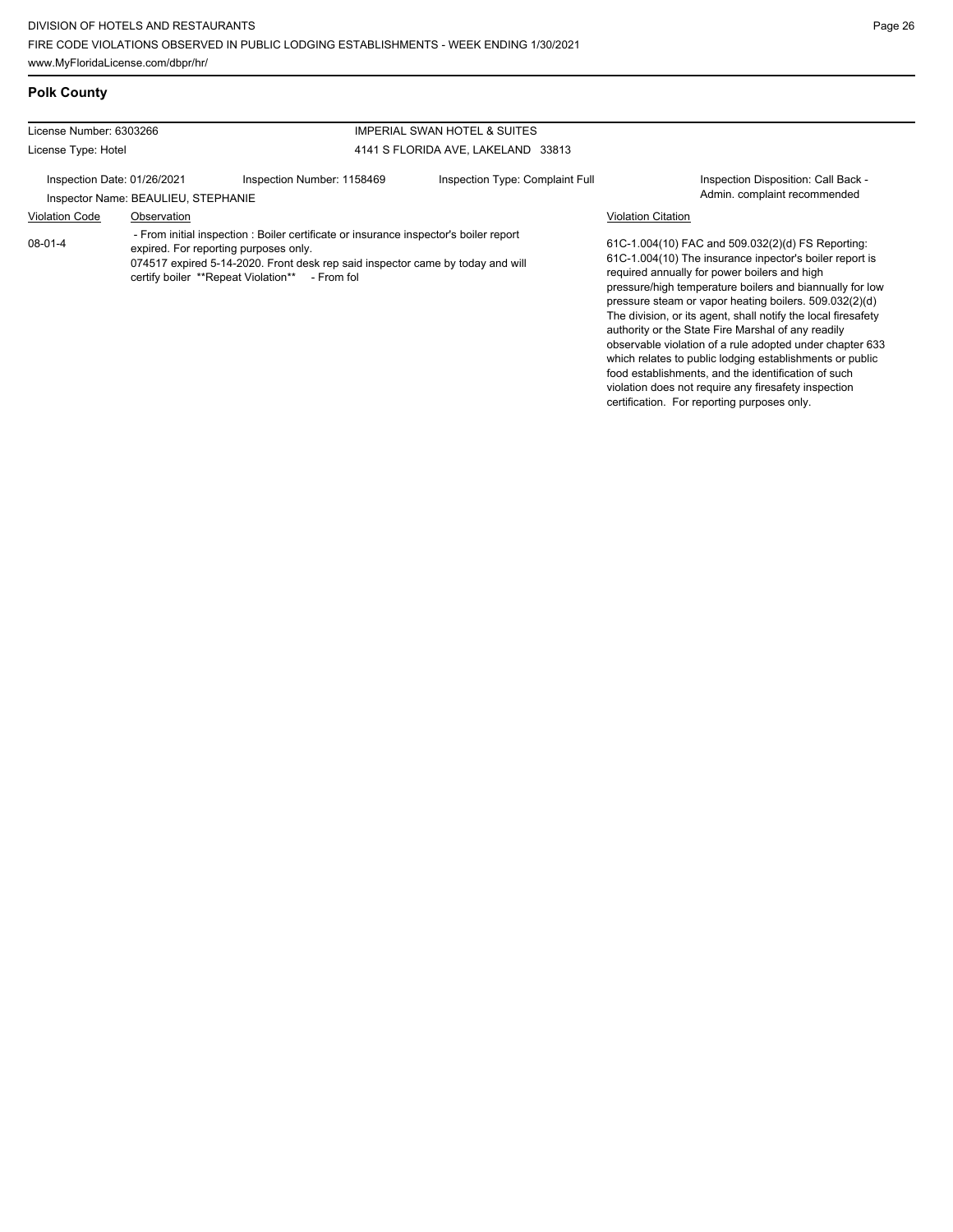**Polk County**

violation does not require any firesafety inspection certification. For reporting purposes only.

| License Number: 6303266<br>License Type: Hotel |                                     |                                                                                                                                                                                                                                                                    | <b>IMPERIAL SWAN HOTEL &amp; SUITES</b> |                                                                                                                                                                                                                                                                                                                                                                                                                                                                                                                                                                                          |
|------------------------------------------------|-------------------------------------|--------------------------------------------------------------------------------------------------------------------------------------------------------------------------------------------------------------------------------------------------------------------|-----------------------------------------|------------------------------------------------------------------------------------------------------------------------------------------------------------------------------------------------------------------------------------------------------------------------------------------------------------------------------------------------------------------------------------------------------------------------------------------------------------------------------------------------------------------------------------------------------------------------------------------|
|                                                |                                     |                                                                                                                                                                                                                                                                    | 4141 S FLORIDA AVE, LAKELAND 33813      |                                                                                                                                                                                                                                                                                                                                                                                                                                                                                                                                                                                          |
| Inspection Date: 01/26/2021                    | Inspector Name: BEAULIEU, STEPHANIE | Inspection Number: 1158469                                                                                                                                                                                                                                         | Inspection Type: Complaint Full         | Inspection Disposition: Call Back -<br>Admin. complaint recommended                                                                                                                                                                                                                                                                                                                                                                                                                                                                                                                      |
| <b>Violation Code</b>                          | Observation                         |                                                                                                                                                                                                                                                                    |                                         | <b>Violation Citation</b>                                                                                                                                                                                                                                                                                                                                                                                                                                                                                                                                                                |
| $08-01-4$                                      |                                     | - From initial inspection : Boiler certificate or insurance inspector's boiler report<br>expired. For reporting purposes only.<br>074517 expired 5-14-2020. Front desk rep said inspector came by today and will<br>certify boiler **Repeat Violation** - From fol |                                         | 61C-1.004(10) FAC and 509.032(2)(d) FS Reporting:<br>61C-1.004(10) The insurance inpector's boiler report is<br>required annually for power boilers and high<br>pressure/high temperature boilers and biannually for low<br>pressure steam or vapor heating boilers. 509.032(2)(d)<br>The division, or its agent, shall notify the local firesafety<br>authority or the State Fire Marshal of any readily<br>observable violation of a rule adopted under chapter 633<br>which relates to public lodging establishments or public<br>food establishments, and the identification of such |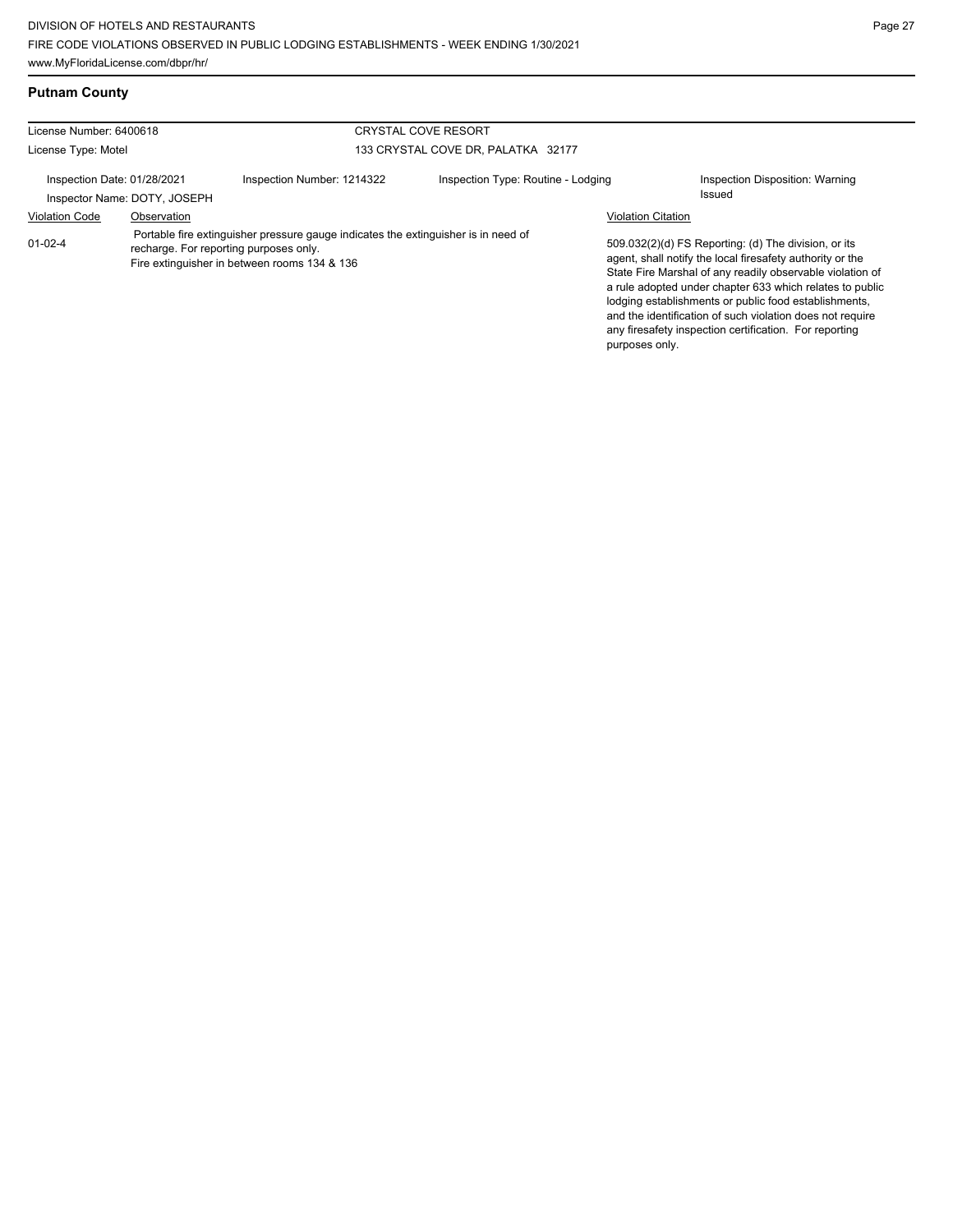# **Putnam County**

| License Number: 6400618     |                              | <b>CRYSTAL COVE RESORT</b>                                                                                                                                                   |                                    |                           |                                                                                                                                                                                                                                                                                                                                                                                                                            |
|-----------------------------|------------------------------|------------------------------------------------------------------------------------------------------------------------------------------------------------------------------|------------------------------------|---------------------------|----------------------------------------------------------------------------------------------------------------------------------------------------------------------------------------------------------------------------------------------------------------------------------------------------------------------------------------------------------------------------------------------------------------------------|
| License Type: Motel         |                              | 133 CRYSTAL COVE DR, PALATKA 32177                                                                                                                                           |                                    |                           |                                                                                                                                                                                                                                                                                                                                                                                                                            |
| Inspection Date: 01/28/2021 | Inspector Name: DOTY, JOSEPH | Inspection Number: 1214322                                                                                                                                                   | Inspection Type: Routine - Lodging |                           | Inspection Disposition: Warning<br>Issued                                                                                                                                                                                                                                                                                                                                                                                  |
| <b>Violation Code</b>       | Observation                  |                                                                                                                                                                              |                                    | <b>Violation Citation</b> |                                                                                                                                                                                                                                                                                                                                                                                                                            |
| $01 - 02 - 4$               |                              | Portable fire extinguisher pressure gauge indicates the extinguisher is in need of<br>recharge. For reporting purposes only.<br>Fire extinguisher in between rooms 134 & 136 |                                    | purposes only.            | 509.032(2)(d) FS Reporting: (d) The division, or its<br>agent, shall notify the local firesafety authority or the<br>State Fire Marshal of any readily observable violation of<br>a rule adopted under chapter 633 which relates to public<br>lodging establishments or public food establishments,<br>and the identification of such violation does not require<br>any firesafety inspection certification. For reporting |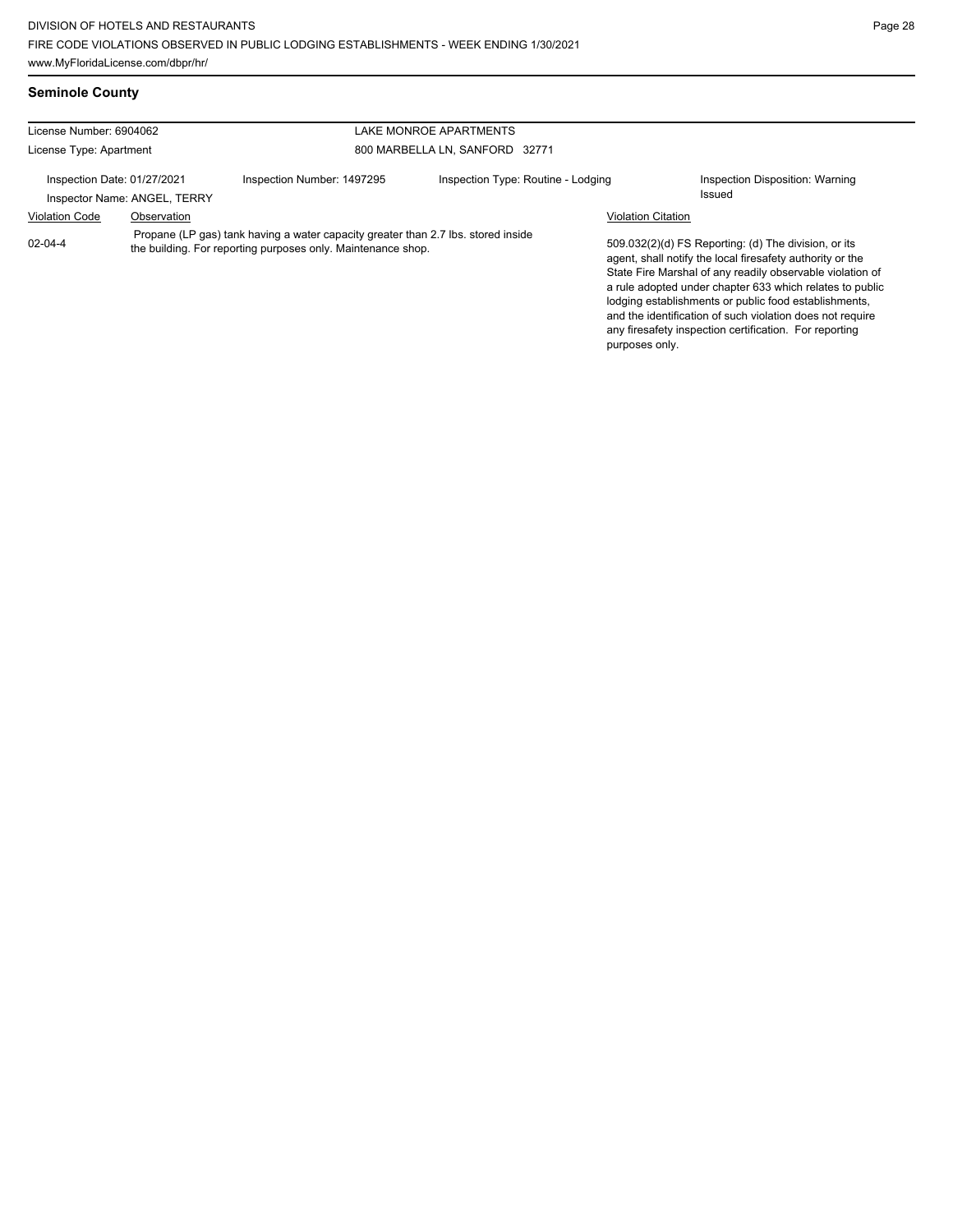| License Number: 6904062     |                              |                                                                                                                                                   | LAKE MONROE APARTMENTS             |                           |                                                                                                                                                                                                                                                                                                                                                                                                                            |
|-----------------------------|------------------------------|---------------------------------------------------------------------------------------------------------------------------------------------------|------------------------------------|---------------------------|----------------------------------------------------------------------------------------------------------------------------------------------------------------------------------------------------------------------------------------------------------------------------------------------------------------------------------------------------------------------------------------------------------------------------|
| License Type: Apartment     |                              | 800 MARBELLA LN, SANFORD 32771                                                                                                                    |                                    |                           |                                                                                                                                                                                                                                                                                                                                                                                                                            |
| Inspection Date: 01/27/2021 | Inspector Name: ANGEL, TERRY | Inspection Number: 1497295                                                                                                                        | Inspection Type: Routine - Lodging |                           | Inspection Disposition: Warning<br>Issued                                                                                                                                                                                                                                                                                                                                                                                  |
| <b>Violation Code</b>       | Observation                  |                                                                                                                                                   |                                    | <b>Violation Citation</b> |                                                                                                                                                                                                                                                                                                                                                                                                                            |
| $02 - 04 - 4$               |                              | Propane (LP gas) tank having a water capacity greater than 2.7 lbs. stored inside<br>the building. For reporting purposes only. Maintenance shop. |                                    |                           | 509.032(2)(d) FS Reporting: (d) The division, or its<br>agent, shall notify the local firesafety authority or the<br>State Fire Marshal of any readily observable violation of<br>a rule adopted under chapter 633 which relates to public<br>lodging establishments or public food establishments.<br>and the identification of such violation does not require<br>any firesafety inspection certification. For reporting |